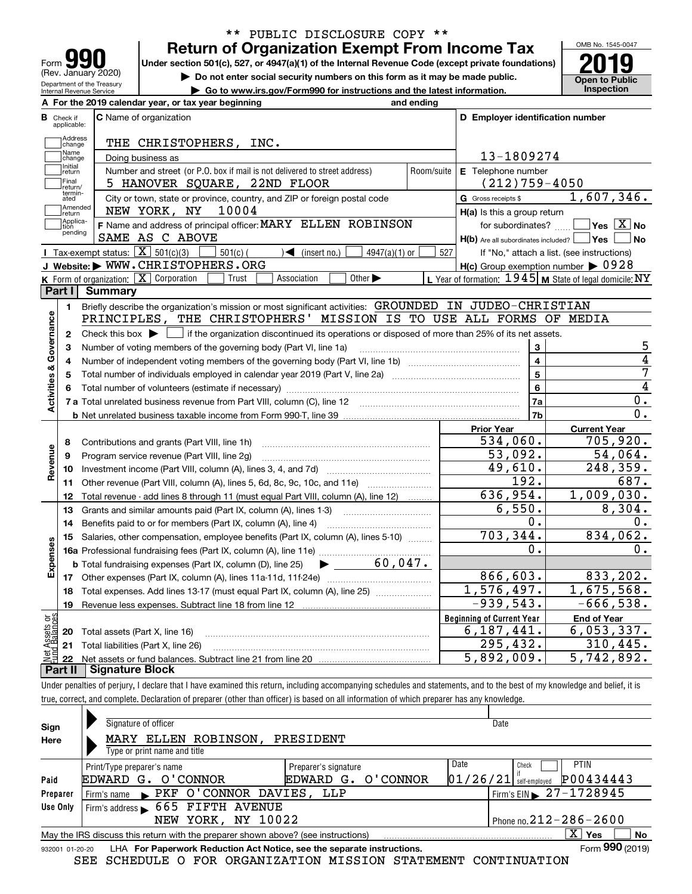| q                                                      |
|--------------------------------------------------------|
| Form                                                   |
| (Rev. January 2020)                                    |
| Department of the Treasury<br>Internal Revenue Service |

## **Return of Organization Exempt From Income Tax** \*\* PUBLIC DISCLOSURE COPY \*\*

Under section 501(c), 527, or 4947(a)(1) of the Internal Revenue Code (except private foundations) **2019** 

**Open to Public** 

OMB No. 1545-0047

| Do not enter social security numbers on this form as it may be made public. |  |
|-----------------------------------------------------------------------------|--|
| ► Go to www.irs.gov/Form990 for instructions and the latest information.    |  |

|                         |                              | A For the 2019 calendar year, or tax year beginning                                                                                                 | and ending |                                                         |                                                           |  |  |  |
|-------------------------|------------------------------|-----------------------------------------------------------------------------------------------------------------------------------------------------|------------|---------------------------------------------------------|-----------------------------------------------------------|--|--|--|
| в                       | Check if<br>applicable:      | <b>C</b> Name of organization                                                                                                                       |            | D Employer identification number                        |                                                           |  |  |  |
|                         | Address<br>change            | THE CHRISTOPHERS, INC.                                                                                                                              |            |                                                         |                                                           |  |  |  |
|                         | Name<br>change               | Doing business as                                                                                                                                   |            | 13-1809274                                              |                                                           |  |  |  |
|                         | Initial<br>return            | Number and street (or P.O. box if mail is not delivered to street address)                                                                          | Room/suite | E Telephone number                                      |                                                           |  |  |  |
|                         | Final<br>return/             | 5 HANOVER SQUARE, 22ND FLOOR                                                                                                                        |            | $(212)759 - 4050$                                       |                                                           |  |  |  |
|                         | termin-<br>ated              | City or town, state or province, country, and ZIP or foreign postal code                                                                            |            | G Gross receipts \$                                     | 1,607,346.                                                |  |  |  |
|                         | Amended<br>return            | NEW YORK, NY<br>10004                                                                                                                               |            | $H(a)$ is this a group return                           |                                                           |  |  |  |
|                         | Applica-<br>Ition<br>pending | F Name and address of principal officer: MARY ELLEN ROBINSON                                                                                        |            | for subordinates?                                       | $\sqrt{}$ Yes $\sqrt{}$ X $\sqrt{}$ No                    |  |  |  |
|                         |                              | SAME AS C ABOVE                                                                                                                                     |            | $H(b)$ Are all subordinates included? $\Box$ Yes $\Box$ | No                                                        |  |  |  |
|                         |                              | Tax-exempt status: $\boxed{\mathbf{X}}$ 501(c)(3)<br>$\sqrt{\bullet}$ (insert no.)<br>$501(c)$ (<br>$4947(a)(1)$ or                                 | 527        |                                                         | If "No," attach a list. (see instructions)                |  |  |  |
|                         |                              | J Website: WWW.CHRISTOPHERS.ORG                                                                                                                     |            | $H(c)$ Group exemption number $\triangleright$ 0928     |                                                           |  |  |  |
|                         |                              | K Form of organization: X Corporation<br>Other $\blacktriangleright$<br>Association<br>Trust                                                        |            |                                                         | L Year of formation: $1945$ M State of legal domicile: NY |  |  |  |
|                         | Part I I                     | Summary                                                                                                                                             |            |                                                         |                                                           |  |  |  |
|                         | 1.                           | Briefly describe the organization's mission or most significant activities: GROUNDED IN JUDEO-CHRISTIAN                                             |            |                                                         |                                                           |  |  |  |
| Activities & Governance |                              | PRINCIPLES, THE CHRISTOPHERS' MISSION IS TO USE ALL FORMS OF MEDIA                                                                                  |            |                                                         |                                                           |  |  |  |
|                         | $\mathbf{2}$                 | Check this box $\blacktriangleright$ $\blacksquare$ if the organization discontinued its operations or disposed of more than 25% of its net assets. |            |                                                         | 5                                                         |  |  |  |
|                         | 3                            | Number of voting members of the governing body (Part VI, line 1a)                                                                                   |            | 3<br>$\overline{\mathbf{4}}$                            | $\overline{4}$                                            |  |  |  |
|                         | 4<br>5                       |                                                                                                                                                     |            | $\overline{5}$                                          | 7                                                         |  |  |  |
|                         | 6                            |                                                                                                                                                     |            | 6                                                       | $\overline{4}$                                            |  |  |  |
|                         |                              |                                                                                                                                                     |            | 7a                                                      | $\overline{0}$ .                                          |  |  |  |
|                         |                              |                                                                                                                                                     |            | 7b                                                      | $\overline{0}$ .                                          |  |  |  |
|                         |                              |                                                                                                                                                     |            | <b>Prior Year</b>                                       | <b>Current Year</b>                                       |  |  |  |
|                         | 8                            | Contributions and grants (Part VIII, line 1h)                                                                                                       |            | 534,060.                                                | 705,920.                                                  |  |  |  |
|                         | 9                            | Program service revenue (Part VIII, line 2g)                                                                                                        |            | 53,092.                                                 | 54,064.                                                   |  |  |  |
| Revenue                 | 10                           |                                                                                                                                                     |            | 49,610.                                                 | 248, 359.                                                 |  |  |  |
|                         | 11                           | Other revenue (Part VIII, column (A), lines 5, 6d, 8c, 9c, 10c, and 11e)                                                                            |            | 192.                                                    | 687.                                                      |  |  |  |
|                         | 12                           | Total revenue - add lines 8 through 11 (must equal Part VIII, column (A), line 12)                                                                  |            | 636,954.                                                | 1,009,030.                                                |  |  |  |
|                         | 13                           | Grants and similar amounts paid (Part IX, column (A), lines 1-3)                                                                                    |            | 6,550.                                                  | 8,304.                                                    |  |  |  |
|                         | 14                           |                                                                                                                                                     |            | о.                                                      | 0.                                                        |  |  |  |
|                         | 15                           | Salaries, other compensation, employee benefits (Part IX, column (A), lines 5-10)                                                                   |            | 703, 344.                                               | 834,062.                                                  |  |  |  |
|                         |                              |                                                                                                                                                     |            | 0.                                                      | 0.                                                        |  |  |  |
| Expenses                |                              | $\bullet$ 60,047.<br><b>b</b> Total fundraising expenses (Part IX, column (D), line 25)                                                             |            |                                                         |                                                           |  |  |  |
|                         |                              |                                                                                                                                                     |            | 866,603.                                                | 833,202.                                                  |  |  |  |
|                         | 18                           | Total expenses. Add lines 13-17 (must equal Part IX, column (A), line 25) <i></i>                                                                   |            | $\overline{1,576,497}$ .                                | 1,675,568.                                                |  |  |  |
|                         | 19                           |                                                                                                                                                     |            | $-939,543.$                                             | $-666, 538.$                                              |  |  |  |
| ăğ                      |                              |                                                                                                                                                     |            | <b>Beginning of Current Year</b>                        | <b>End of Year</b>                                        |  |  |  |
| sets                    |                              | <b>20</b> Total assets (Part X, line 16)                                                                                                            |            | 6, 187, 441.                                            | 6,053,337.                                                |  |  |  |
|                         |                              | 21 Total liabilities (Part X, line 26)                                                                                                              |            | 295,432.                                                | 310,445.                                                  |  |  |  |
|                         | 22                           | Signature Block                                                                                                                                     |            | 5,892,009.                                              | 5,742,892.                                                |  |  |  |
|                         | Part II                      |                                                                                                                                                     |            |                                                         |                                                           |  |  |  |

Under penalties of perjury, I declare that I have examined this return, including accompanying schedules and statements, and to the best of my knowledge and belief, it is true, correct, and complete. Declaration of preparer (other than officer) is based on all information of which preparer has any knowledge.

| Sign            | Signature of officer                                                              |                       | Date                     |                              |
|-----------------|-----------------------------------------------------------------------------------|-----------------------|--------------------------|------------------------------|
| Here            | MARY ELLEN ROBINSON,                                                              | PRESIDENT             |                          |                              |
|                 | Type or print name and title                                                      |                       |                          |                              |
|                 | Print/Type preparer's name                                                        | Preparer's signature  | Date                     | <b>PTIN</b><br>Check         |
| Paid            | EDWARD G. O'CONNOR                                                                | O'CONNOR<br>EDWARD G. | $01/26/21$ self-employed | P00434443                    |
| Preparer        | Firm's name PKF O'CONNOR DAVIES, LLP                                              |                       |                          | Firm's EIN 27-1728945        |
| Use Only        | Firm's address > 665 FIFTH AVENUE                                                 |                       |                          |                              |
|                 | NEW YORK, NY 10022                                                                |                       |                          | Phone no. $212 - 286 - 2600$ |
|                 | May the IRS discuss this return with the preparer shown above? (see instructions) |                       |                          | X.<br>No<br>Yes              |
| 932001 01-20-20 | LHA For Paperwork Reduction Act Notice, see the separate instructions.            |                       |                          | Form 990 (2019)              |

SEE SCHEDULE O FOR ORGANIZATION MISSION STATEMENT CONTINUATION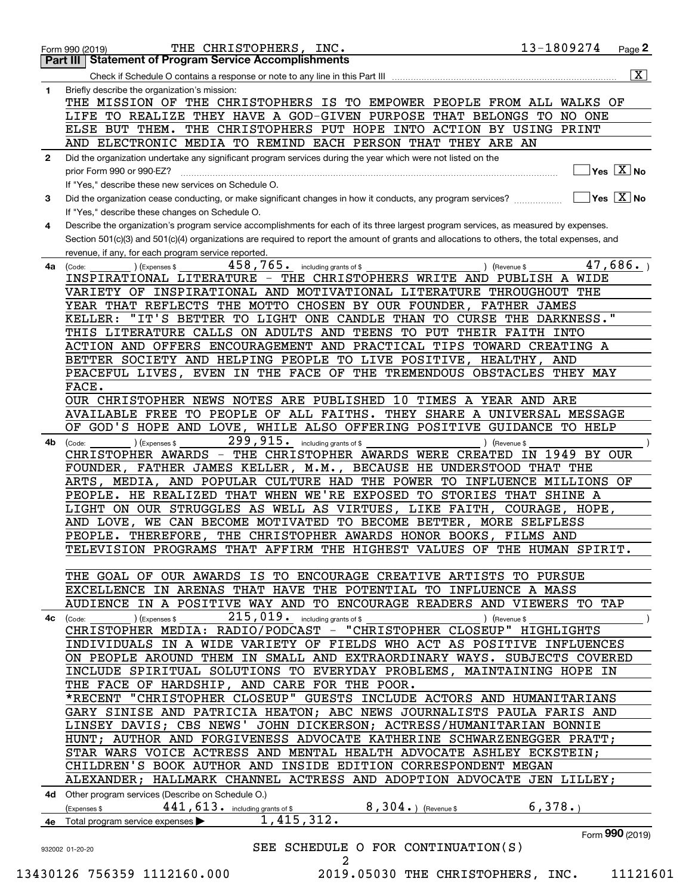| <b>Statement of Program Service Accomplishments</b><br>Part III<br>Briefly describe the organization's mission:<br>THE MISSION OF THE CHRISTOPHERS IS TO EMPOWER PEOPLE FROM ALL WALKS OF<br>LIFE TO REALIZE THEY HAVE A GOD-GIVEN PURPOSE THAT BELONGS TO NO ONE<br>ELSE BUT THEM. THE CHRISTOPHERS PUT HOPE INTO ACTION BY USING PRINT | $\overline{\mathbf{x}}$                |
|------------------------------------------------------------------------------------------------------------------------------------------------------------------------------------------------------------------------------------------------------------------------------------------------------------------------------------------|----------------------------------------|
| 1                                                                                                                                                                                                                                                                                                                                        |                                        |
|                                                                                                                                                                                                                                                                                                                                          |                                        |
|                                                                                                                                                                                                                                                                                                                                          |                                        |
|                                                                                                                                                                                                                                                                                                                                          |                                        |
|                                                                                                                                                                                                                                                                                                                                          |                                        |
|                                                                                                                                                                                                                                                                                                                                          |                                        |
| AND ELECTRONIC MEDIA TO REMIND EACH PERSON THAT THEY ARE AN                                                                                                                                                                                                                                                                              |                                        |
| Did the organization undertake any significant program services during the year which were not listed on the<br>$\mathbf{2}$                                                                                                                                                                                                             |                                        |
| prior Form 990 or 990-EZ?                                                                                                                                                                                                                                                                                                                | $\sqrt{}$ Yes $\sqrt{}$ X $\sqrt{}$ No |
| If "Yes," describe these new services on Schedule O.                                                                                                                                                                                                                                                                                     |                                        |
| 3                                                                                                                                                                                                                                                                                                                                        | $\sqrt{}$ Yes $\sqrt{}$ X $\sqrt{}$ No |
| If "Yes," describe these changes on Schedule O.                                                                                                                                                                                                                                                                                          |                                        |
| Describe the organization's program service accomplishments for each of its three largest program services, as measured by expenses.<br>4                                                                                                                                                                                                |                                        |
| Section 501(c)(3) and 501(c)(4) organizations are required to report the amount of grants and allocations to others, the total expenses, and                                                                                                                                                                                             |                                        |
| revenue, if any, for each program service reported.                                                                                                                                                                                                                                                                                      |                                        |
| 458,765.<br>(Expenses \$<br>including grants of \$<br>(Revenue \$<br>4a                                                                                                                                                                                                                                                                  | 47,686.                                |
| (Code:<br>INSPIRATIONAL LITERATURE - THE CHRISTOPHERS WRITE AND PUBLISH A WIDE                                                                                                                                                                                                                                                           |                                        |
|                                                                                                                                                                                                                                                                                                                                          |                                        |
| VARIETY OF INSPIRATIONAL AND MOTIVATIONAL LITERATURE THROUGHOUT THE                                                                                                                                                                                                                                                                      |                                        |
| YEAR THAT REFLECTS THE MOTTO CHOSEN BY OUR FOUNDER, FATHER JAMES                                                                                                                                                                                                                                                                         |                                        |
| "IT'S BETTER TO LIGHT ONE CANDLE THAN TO CURSE THE DARKNESS."<br>KELLER:                                                                                                                                                                                                                                                                 |                                        |
| THIS LITERATURE CALLS ON ADULTS AND TEENS TO PUT THEIR FAITH INTO                                                                                                                                                                                                                                                                        |                                        |
| ACTION AND OFFERS ENCOURAGEMENT AND PRACTICAL TIPS TOWARD CREATING A                                                                                                                                                                                                                                                                     |                                        |
| BETTER SOCIETY AND HELPING PEOPLE TO LIVE POSITIVE, HEALTHY,                                                                                                                                                                                                                                                                             | AND                                    |
| PEACEFUL LIVES, EVEN IN THE FACE OF THE TREMENDOUS OBSTACLES THEY MAY                                                                                                                                                                                                                                                                    |                                        |
| FACE.                                                                                                                                                                                                                                                                                                                                    |                                        |
| OUR CHRISTOPHER NEWS NOTES ARE PUBLISHED 10 TIMES A YEAR AND ARE                                                                                                                                                                                                                                                                         |                                        |
| AVAILABLE FREE TO PEOPLE OF ALL FAITHS. THEY SHARE A UNIVERSAL MESSAGE                                                                                                                                                                                                                                                                   |                                        |
| OF GOD'S HOPE AND LOVE, WHILE ALSO OFFERING POSITIVE GUIDANCE TO HELP                                                                                                                                                                                                                                                                    |                                        |
| 299,915.<br>including grants of \$<br>4b<br>(Expenses \$<br>) (Revenue \$<br>(Code:                                                                                                                                                                                                                                                      |                                        |
| CHRISTOPHER AWARDS - THE CHRISTOPHER AWARDS WERE CREATED IN 1949 BY OUR                                                                                                                                                                                                                                                                  |                                        |
| FOUNDER, FATHER JAMES KELLER, M.M., BECAUSE HE UNDERSTOOD THAT THE                                                                                                                                                                                                                                                                       |                                        |
| ARTS, MEDIA, AND POPULAR CULTURE HAD THE POWER TO INFLUENCE MILLIONS OF                                                                                                                                                                                                                                                                  |                                        |
| PEOPLE. HE REALIZED THAT WHEN WE'RE EXPOSED TO STORIES THAT SHINE A                                                                                                                                                                                                                                                                      |                                        |
|                                                                                                                                                                                                                                                                                                                                          |                                        |
| LIGHT ON OUR STRUGGLES AS WELL AS VIRTUES, LIKE FAITH, COURAGE, HOPE,                                                                                                                                                                                                                                                                    |                                        |
| AND LOVE, WE CAN BECOME MOTIVATED TO BECOME BETTER, MORE SELFLESS                                                                                                                                                                                                                                                                        |                                        |
| PEOPLE. THEREFORE, THE CHRISTOPHER AWARDS HONOR BOOKS, FILMS AND                                                                                                                                                                                                                                                                         |                                        |
| TELEVISION PROGRAMS THAT AFFIRM THE HIGHEST VALUES OF THE HUMAN SPIRIT.                                                                                                                                                                                                                                                                  |                                        |
|                                                                                                                                                                                                                                                                                                                                          |                                        |
| THE GOAL OF OUR AWARDS IS TO ENCOURAGE CREATIVE ARTISTS TO PURSUE                                                                                                                                                                                                                                                                        |                                        |
| EXCELLENCE IN ARENAS THAT HAVE THE POTENTIAL TO INFLUENCE A MASS                                                                                                                                                                                                                                                                         |                                        |
| AUDIENCE IN A POSITIVE WAY AND TO ENCOURAGE READERS AND VIEWERS TO TAP                                                                                                                                                                                                                                                                   |                                        |
| 215, 019. including grants of \$<br>) (Expenses \$<br>) (Revenue \$<br>4с<br>(Code:                                                                                                                                                                                                                                                      |                                        |
| CHRISTOPHER MEDIA: RADIO/PODCAST - "CHRISTOPHER CLOSEUP" HIGHLIGHTS                                                                                                                                                                                                                                                                      |                                        |
| INDIVIDUALS IN A WIDE VARIETY OF FIELDS WHO ACT AS POSITIVE INFLUENCES                                                                                                                                                                                                                                                                   |                                        |
| ON PEOPLE AROUND THEM IN SMALL AND EXTRAORDINARY WAYS. SUBJECTS COVERED                                                                                                                                                                                                                                                                  |                                        |
| INCLUDE SPIRITUAL SOLUTIONS TO EVERYDAY PROBLEMS, MAINTAINING HOPE IN                                                                                                                                                                                                                                                                    |                                        |
| THE FACE OF HARDSHIP, AND CARE FOR THE POOR.                                                                                                                                                                                                                                                                                             |                                        |
| *RECENT "CHRISTOPHER CLOSEUP" GUESTS INCLUDE ACTORS AND HUMANITARIANS                                                                                                                                                                                                                                                                    |                                        |
| GARY SINISE AND PATRICIA HEATON; ABC NEWS JOURNALISTS PAULA FARIS AND                                                                                                                                                                                                                                                                    |                                        |
| LINSEY DAVIS; CBS NEWS' JOHN DICKERSON; ACTRESS/HUMANITARIAN BONNIE                                                                                                                                                                                                                                                                      |                                        |
| HUNT; AUTHOR AND FORGIVENESS ADVOCATE KATHERINE SCHWARZENEGGER PRATT;                                                                                                                                                                                                                                                                    |                                        |
|                                                                                                                                                                                                                                                                                                                                          |                                        |
| STAR WARS VOICE ACTRESS AND MENTAL HEALTH ADVOCATE ASHLEY ECKSTEIN;                                                                                                                                                                                                                                                                      |                                        |
| CHILDREN'S BOOK AUTHOR AND INSIDE EDITION CORRESPONDENT MEGAN                                                                                                                                                                                                                                                                            |                                        |
| ALEXANDER; HALLMARK CHANNEL ACTRESS AND ADOPTION ADVOCATE JEN LILLEY;                                                                                                                                                                                                                                                                    |                                        |
| Other program services (Describe on Schedule O.)<br>4d -                                                                                                                                                                                                                                                                                 |                                        |
| $441$ , $613$ . including grants of \$<br>8, 304.) (Revenue \$<br>(Expenses \$                                                                                                                                                                                                                                                           | 6,378.                                 |
| 1,415,312.<br>Total program service expenses<br>4е                                                                                                                                                                                                                                                                                       |                                        |
|                                                                                                                                                                                                                                                                                                                                          | Form 990 (2019)                        |
| SEE SCHEDULE O FOR CONTINUATION(S)<br>932002 01-20-20                                                                                                                                                                                                                                                                                    |                                        |
| $\mathfrak{D}$                                                                                                                                                                                                                                                                                                                           |                                        |
| 13430126 756359 1112160.000<br>2019.05030 THE CHRISTOPHERS, INC.                                                                                                                                                                                                                                                                         | 11121601                               |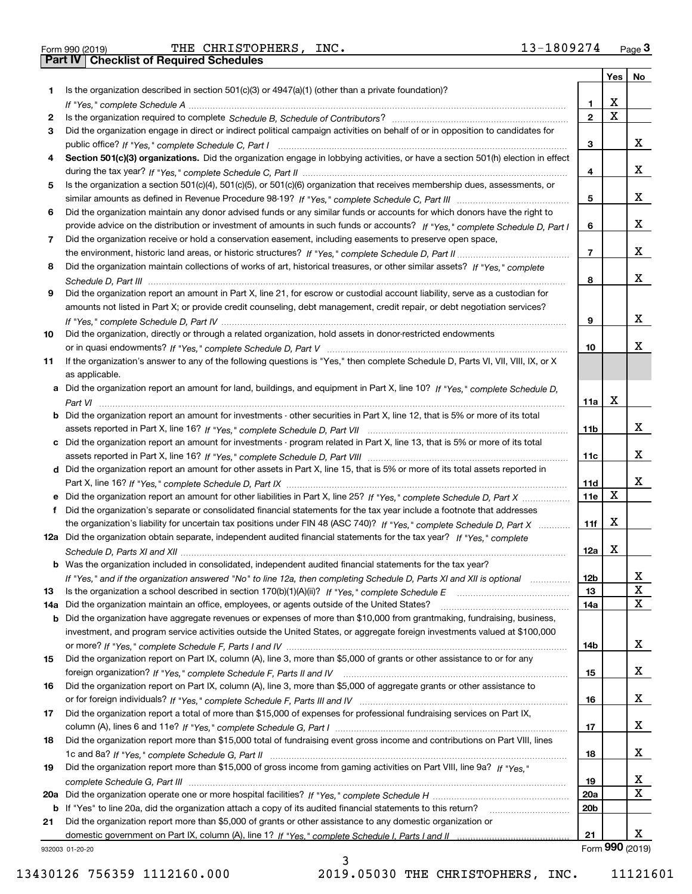Form 990 (2019) THE CHRISTOPHERS,INC. 13-1809274 <sub>Page</sub> 3<br>**Part IV | Checklist of Required Schedules** 

|     |                                                                                                                                       |                 | Yes   No                |                              |
|-----|---------------------------------------------------------------------------------------------------------------------------------------|-----------------|-------------------------|------------------------------|
| 1   | Is the organization described in section $501(c)(3)$ or $4947(a)(1)$ (other than a private foundation)?                               |                 |                         |                              |
|     |                                                                                                                                       | 1               | х                       |                              |
| 2   |                                                                                                                                       | $\overline{2}$  | $\overline{\mathbf{x}}$ |                              |
| 3   | Did the organization engage in direct or indirect political campaign activities on behalf of or in opposition to candidates for       |                 |                         |                              |
|     |                                                                                                                                       | 3               |                         | x                            |
| 4   | Section 501(c)(3) organizations. Did the organization engage in lobbying activities, or have a section 501(h) election in effect      |                 |                         |                              |
|     |                                                                                                                                       | 4               |                         | x                            |
| 5   | Is the organization a section 501(c)(4), 501(c)(5), or 501(c)(6) organization that receives membership dues, assessments, or          |                 |                         |                              |
|     |                                                                                                                                       | 5               |                         | x                            |
| 6   | Did the organization maintain any donor advised funds or any similar funds or accounts for which donors have the right to             |                 |                         |                              |
|     | provide advice on the distribution or investment of amounts in such funds or accounts? If "Yes," complete Schedule D, Part I          | 6               |                         | x                            |
| 7   | Did the organization receive or hold a conservation easement, including easements to preserve open space,                             |                 |                         |                              |
|     |                                                                                                                                       | $\overline{7}$  |                         | x                            |
| 8   | Did the organization maintain collections of works of art, historical treasures, or other similar assets? If "Yes," complete          |                 |                         | x                            |
|     |                                                                                                                                       | 8               |                         |                              |
| 9   | Did the organization report an amount in Part X, line 21, for escrow or custodial account liability, serve as a custodian for         |                 |                         |                              |
|     | amounts not listed in Part X; or provide credit counseling, debt management, credit repair, or debt negotiation services?             | 9               |                         | x                            |
| 10  |                                                                                                                                       |                 |                         |                              |
|     | Did the organization, directly or through a related organization, hold assets in donor-restricted endowments                          | 10              |                         | х                            |
| 11  | If the organization's answer to any of the following questions is "Yes," then complete Schedule D, Parts VI, VII, VIII, IX, or X      |                 |                         |                              |
|     | as applicable.                                                                                                                        |                 |                         |                              |
|     | a Did the organization report an amount for land, buildings, and equipment in Part X, line 10? If "Yes," complete Schedule D.         |                 |                         |                              |
|     |                                                                                                                                       | 11a             | х                       |                              |
|     | <b>b</b> Did the organization report an amount for investments - other securities in Part X, line 12, that is 5% or more of its total |                 |                         |                              |
|     |                                                                                                                                       | 11b             |                         | x                            |
|     | c Did the organization report an amount for investments - program related in Part X, line 13, that is 5% or more of its total         |                 |                         |                              |
|     |                                                                                                                                       | 11c             |                         | x                            |
|     | d Did the organization report an amount for other assets in Part X, line 15, that is 5% or more of its total assets reported in       |                 |                         |                              |
|     |                                                                                                                                       | 11d             |                         | x                            |
|     |                                                                                                                                       | <b>11e</b>      | X                       |                              |
| f.  | Did the organization's separate or consolidated financial statements for the tax year include a footnote that addresses               |                 |                         |                              |
|     | the organization's liability for uncertain tax positions under FIN 48 (ASC 740)? If "Yes," complete Schedule D, Part X                | 11f             | X                       |                              |
|     | 12a Did the organization obtain separate, independent audited financial statements for the tax year? If "Yes," complete               |                 |                         |                              |
|     |                                                                                                                                       | 12a             | х                       |                              |
|     | <b>b</b> Was the organization included in consolidated, independent audited financial statements for the tax year?                    |                 |                         |                              |
|     | If "Yes," and if the organization answered "No" to line 12a, then completing Schedule D, Parts XI and XII is optional                 | 12 <sub>b</sub> |                         | 43.                          |
| 13  |                                                                                                                                       | 13              |                         | X                            |
| 14a | Did the organization maintain an office, employees, or agents outside of the United States?                                           | 14a             |                         | X                            |
| b   | Did the organization have aggregate revenues or expenses of more than \$10,000 from grantmaking, fundraising, business,               |                 |                         |                              |
|     | investment, and program service activities outside the United States, or aggregate foreign investments valued at \$100,000            |                 |                         |                              |
|     |                                                                                                                                       | 14b             |                         | X                            |
| 15  | Did the organization report on Part IX, column (A), line 3, more than \$5,000 of grants or other assistance to or for any             |                 |                         |                              |
|     |                                                                                                                                       | 15              |                         | X                            |
| 16  | Did the organization report on Part IX, column (A), line 3, more than \$5,000 of aggregate grants or other assistance to              |                 |                         |                              |
|     |                                                                                                                                       | 16              |                         | x                            |
| 17  | Did the organization report a total of more than \$15,000 of expenses for professional fundraising services on Part IX,               |                 |                         |                              |
|     |                                                                                                                                       | 17              |                         | X                            |
| 18  | Did the organization report more than \$15,000 total of fundraising event gross income and contributions on Part VIII, lines          |                 |                         |                              |
|     |                                                                                                                                       | 18              |                         | X                            |
| 19  | Did the organization report more than \$15,000 of gross income from gaming activities on Part VIII, line 9a? If "Yes."                |                 |                         |                              |
|     |                                                                                                                                       | 19              |                         | X<br>$\overline{\mathbf{X}}$ |
| 20a |                                                                                                                                       | 20a             |                         |                              |
|     | b If "Yes" to line 20a, did the organization attach a copy of its audited financial statements to this return?                        | 20b             |                         |                              |
| 21  | Did the organization report more than \$5,000 of grants or other assistance to any domestic organization or                           |                 |                         | x                            |
|     |                                                                                                                                       | 21              |                         | Form 990 (2019)              |
|     | 932003 01-20-20                                                                                                                       |                 |                         |                              |

932003 01-20-20

3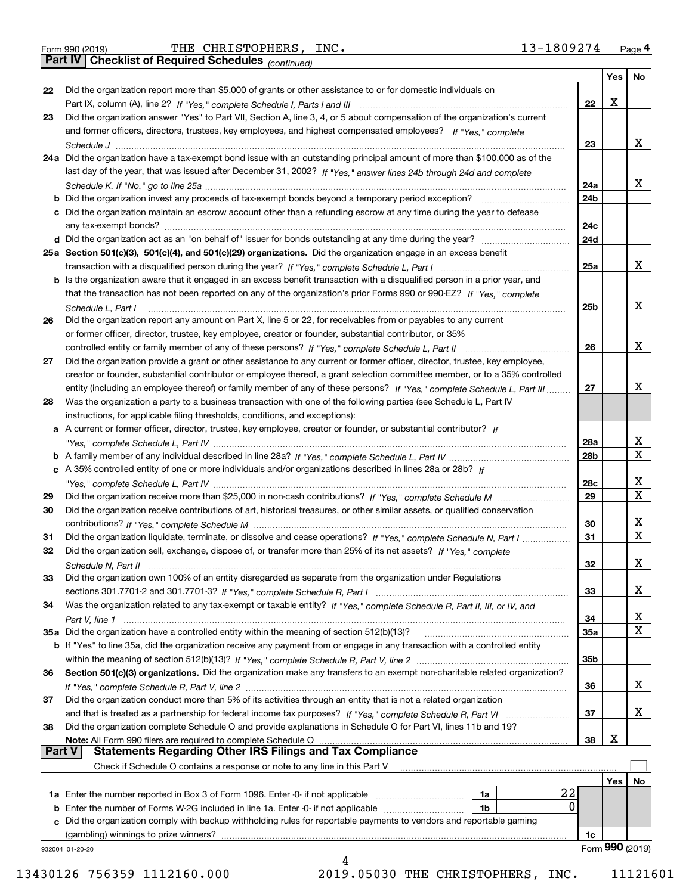| Form 990 (2019) |  |  |
|-----------------|--|--|

*(continued)*

|        |                                                                                                                              |                 | Yes | No                      |
|--------|------------------------------------------------------------------------------------------------------------------------------|-----------------|-----|-------------------------|
| 22     | Did the organization report more than \$5,000 of grants or other assistance to or for domestic individuals on                |                 |     |                         |
|        |                                                                                                                              | 22              | X   |                         |
| 23     | Did the organization answer "Yes" to Part VII, Section A, line 3, 4, or 5 about compensation of the organization's current   |                 |     |                         |
|        | and former officers, directors, trustees, key employees, and highest compensated employees? If "Yes," complete               |                 |     |                         |
|        |                                                                                                                              | 23              |     | X.                      |
|        | 24a Did the organization have a tax-exempt bond issue with an outstanding principal amount of more than \$100,000 as of the  |                 |     |                         |
|        | last day of the year, that was issued after December 31, 2002? If "Yes," answer lines 24b through 24d and complete           |                 |     |                         |
|        |                                                                                                                              | 24a             |     | X.                      |
|        | <b>b</b> Did the organization invest any proceeds of tax-exempt bonds beyond a temporary period exception?                   | 24b             |     |                         |
|        | c Did the organization maintain an escrow account other than a refunding escrow at any time during the year to defease       |                 |     |                         |
|        |                                                                                                                              | 24c             |     |                         |
|        |                                                                                                                              | 24d             |     |                         |
|        | 25a Section 501(c)(3), 501(c)(4), and 501(c)(29) organizations. Did the organization engage in an excess benefit             |                 |     |                         |
|        |                                                                                                                              | 25a             |     | X.                      |
|        | b Is the organization aware that it engaged in an excess benefit transaction with a disqualified person in a prior year, and |                 |     |                         |
|        | that the transaction has not been reported on any of the organization's prior Forms 990 or 990-EZ? If "Yes." complete        |                 |     |                         |
|        | Schedule L. Part I                                                                                                           | 25b             |     | x                       |
| 26     | Did the organization report any amount on Part X, line 5 or 22, for receivables from or payables to any current              |                 |     |                         |
|        | or former officer, director, trustee, key employee, creator or founder, substantial contributor, or 35%                      |                 |     |                         |
|        |                                                                                                                              | 26              |     | x                       |
| 27     | Did the organization provide a grant or other assistance to any current or former officer, director, trustee, key employee,  |                 |     |                         |
|        | creator or founder, substantial contributor or employee thereof, a grant selection committee member, or to a 35% controlled  |                 |     |                         |
|        | entity (including an employee thereof) or family member of any of these persons? If "Yes," complete Schedule L, Part III     | 27              |     | x                       |
| 28     | Was the organization a party to a business transaction with one of the following parties (see Schedule L, Part IV            |                 |     |                         |
|        | instructions, for applicable filing thresholds, conditions, and exceptions):                                                 |                 |     |                         |
|        | a A current or former officer, director, trustee, key employee, creator or founder, or substantial contributor? If           |                 |     |                         |
|        |                                                                                                                              | 28a             |     | x                       |
|        |                                                                                                                              | 28 <sub>b</sub> |     | $\mathbf X$             |
|        | c A 35% controlled entity of one or more individuals and/or organizations described in lines 28a or 28b? If                  |                 |     |                         |
|        |                                                                                                                              | 28c             |     | x                       |
| 29     |                                                                                                                              | 29              |     | $\mathbf x$             |
| 30     | Did the organization receive contributions of art, historical treasures, or other similar assets, or qualified conservation  |                 |     |                         |
|        |                                                                                                                              | 30              |     | x                       |
| 31     | Did the organization liquidate, terminate, or dissolve and cease operations? If "Yes," complete Schedule N, Part I           | 31              |     | $\overline{\mathbf{x}}$ |
| 32     | Did the organization sell, exchange, dispose of, or transfer more than 25% of its net assets? If "Yes," complete             |                 |     |                         |
|        |                                                                                                                              | 32              |     | x                       |
| 33     | Did the organization own 100% of an entity disregarded as separate from the organization under Regulations                   |                 |     |                         |
|        |                                                                                                                              | 33              |     | X                       |
| 34     | Was the organization related to any tax-exempt or taxable entity? If "Yes," complete Schedule R, Part II, III, or IV, and    |                 |     |                         |
|        |                                                                                                                              | 34              |     | x                       |
|        | 35a Did the organization have a controlled entity within the meaning of section 512(b)(13)?                                  | 35a             |     | X                       |
|        | b If "Yes" to line 35a, did the organization receive any payment from or engage in any transaction with a controlled entity  |                 |     |                         |
|        |                                                                                                                              | 35b             |     |                         |
| 36     | Section 501(c)(3) organizations. Did the organization make any transfers to an exempt non-charitable related organization?   |                 |     |                         |
|        |                                                                                                                              | 36              |     | x                       |
| 37     | Did the organization conduct more than 5% of its activities through an entity that is not a related organization             |                 |     |                         |
|        | and that is treated as a partnership for federal income tax purposes? If "Yes," complete Schedule R, Part VI                 | 37              |     | x                       |
| 38     | Did the organization complete Schedule O and provide explanations in Schedule O for Part VI, lines 11b and 19?               |                 |     |                         |
|        | Note: All Form 990 filers are required to complete Schedule O                                                                | 38              | X   |                         |
| Part V | <b>Statements Regarding Other IRS Filings and Tax Compliance</b>                                                             |                 |     |                         |
|        | Check if Schedule O contains a response or note to any line in this Part V                                                   |                 |     |                         |
|        |                                                                                                                              |                 | Yes | No                      |
|        | 22<br>1a Enter the number reported in Box 3 of Form 1096. Enter -0- if not applicable<br>1a                                  |                 |     |                         |
|        | 0<br><b>b</b> Enter the number of Forms W-2G included in line 1a. Enter -0- if not applicable<br>1b                          |                 |     |                         |
|        | Did the organization comply with backup withholding rules for reportable payments to vendors and reportable gaming           |                 |     |                         |
|        | (gambling) winnings to prize winners?                                                                                        | 1c              |     |                         |
|        | 932004 01-20-20                                                                                                              |                 |     | Form 990 (2019)         |
|        | 4                                                                                                                            |                 |     |                         |

 <sup>13430126 756359 1112160.000 2019.05030</sup> THE CHRISTOPHERS, INC. 11121601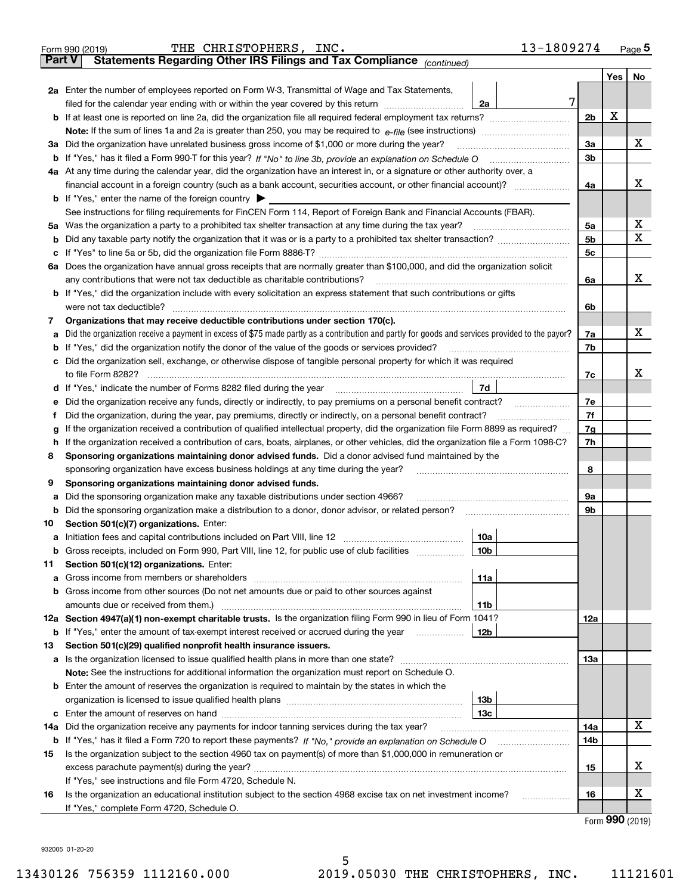| <b>Part V</b> | 13-1809274<br>THE CHRISTOPHERS, INC.<br>Form 990 (2019)<br>Statements Regarding Other IRS Filings and Tax Compliance (continued)                            |                |     | Page 5                      |
|---------------|-------------------------------------------------------------------------------------------------------------------------------------------------------------|----------------|-----|-----------------------------|
|               |                                                                                                                                                             |                | Yes | No                          |
|               | 2a Enter the number of employees reported on Form W-3, Transmittal of Wage and Tax Statements,                                                              |                |     |                             |
|               | 7<br>filed for the calendar year ending with or within the year covered by this return <i>manumumumum</i><br>2a                                             |                |     |                             |
|               |                                                                                                                                                             | 2 <sub>b</sub> | x   |                             |
|               |                                                                                                                                                             |                |     |                             |
|               | 3a Did the organization have unrelated business gross income of \$1,000 or more during the year?                                                            | 3a             |     | x                           |
|               |                                                                                                                                                             | 3 <sub>b</sub> |     |                             |
|               | 4a At any time during the calendar year, did the organization have an interest in, or a signature or other authority over, a                                |                |     |                             |
|               | financial account in a foreign country (such as a bank account, securities account, or other financial account)?                                            | 4a             |     | х                           |
|               | <b>b</b> If "Yes," enter the name of the foreign country $\triangleright$                                                                                   |                |     |                             |
|               | See instructions for filing requirements for FinCEN Form 114, Report of Foreign Bank and Financial Accounts (FBAR).                                         |                |     |                             |
|               | 5a Was the organization a party to a prohibited tax shelter transaction at any time during the tax year?                                                    | 5a             |     | х                           |
|               |                                                                                                                                                             | 5 <sub>b</sub> |     | X                           |
|               |                                                                                                                                                             | 5 <sub>c</sub> |     |                             |
|               | 6a Does the organization have annual gross receipts that are normally greater than \$100,000, and did the organization solicit                              |                |     |                             |
|               | any contributions that were not tax deductible as charitable contributions?                                                                                 | 6a             |     | x                           |
|               | <b>b</b> If "Yes," did the organization include with every solicitation an express statement that such contributions or gifts                               |                |     |                             |
|               | were not tax deductible?                                                                                                                                    | 6b             |     |                             |
| 7             | Organizations that may receive deductible contributions under section 170(c).                                                                               |                |     |                             |
| a             | Did the organization receive a payment in excess of \$75 made partly as a contribution and partly for goods and services provided to the payor?             | 7a             |     | x                           |
|               | <b>b</b> If "Yes," did the organization notify the donor of the value of the goods or services provided?                                                    | 7b             |     |                             |
|               | c Did the organization sell, exchange, or otherwise dispose of tangible personal property for which it was required                                         |                |     |                             |
|               | to file Form 8282?                                                                                                                                          | 7c             |     | х                           |
|               | 7d<br>d If "Yes," indicate the number of Forms 8282 filed during the year                                                                                   |                |     |                             |
| е             | Did the organization receive any funds, directly or indirectly, to pay premiums on a personal benefit contract?                                             | 7е             |     |                             |
| f             | Did the organization, during the year, pay premiums, directly or indirectly, on a personal benefit contract?                                                | 7f             |     |                             |
| g             | If the organization received a contribution of qualified intellectual property, did the organization file Form 8899 as required?                            | 7g             |     |                             |
|               | h If the organization received a contribution of cars, boats, airplanes, or other vehicles, did the organization file a Form 1098-C?                        | 7h             |     |                             |
| 8             | Sponsoring organizations maintaining donor advised funds. Did a donor advised fund maintained by the                                                        |                |     |                             |
|               | sponsoring organization have excess business holdings at any time during the year?                                                                          | 8              |     |                             |
| 9             | Sponsoring organizations maintaining donor advised funds.                                                                                                   |                |     |                             |
| а             | Did the sponsoring organization make any taxable distributions under section 4966?                                                                          | 9а             |     |                             |
|               | <b>b</b> Did the sponsoring organization make a distribution to a donor, donor advisor, or related person?                                                  | 9b             |     |                             |
| 10            | Section 501(c)(7) organizations. Enter:                                                                                                                     |                |     |                             |
|               | 10a<br>a Initiation fees and capital contributions included on Part VIII, line 12                                                                           |                |     |                             |
|               | <b>b</b> Gross receipts, included on Form 990, Part VIII, line 12, for public use of club facilities<br>10 <sub>b</sub>                                     |                |     |                             |
| 11            | Section 501(c)(12) organizations. Enter:                                                                                                                    |                |     |                             |
| а             | 11a                                                                                                                                                         |                |     |                             |
|               | <b>b</b> Gross income from other sources (Do not net amounts due or paid to other sources against<br>11 <sub>b</sub><br>amounts due or received from them.) |                |     |                             |
|               | 12a Section 4947(a)(1) non-exempt charitable trusts. Is the organization filing Form 990 in lieu of Form 1041?                                              | 12a            |     |                             |
|               | 12 <sub>b</sub><br><b>b</b> If "Yes," enter the amount of tax-exempt interest received or accrued during the year                                           |                |     |                             |
| 13            | Section 501(c)(29) qualified nonprofit health insurance issuers.                                                                                            |                |     |                             |
|               |                                                                                                                                                             | 13a            |     |                             |
|               | Note: See the instructions for additional information the organization must report on Schedule O.                                                           |                |     |                             |
|               | <b>b</b> Enter the amount of reserves the organization is required to maintain by the states in which the                                                   |                |     |                             |
|               | 13 <sub>b</sub>                                                                                                                                             |                |     |                             |
|               | 13 <sub>c</sub>                                                                                                                                             |                |     |                             |
| 14a           | Did the organization receive any payments for indoor tanning services during the tax year?                                                                  | 14a            |     | X                           |
|               |                                                                                                                                                             | 14b            |     |                             |
| 15            | Is the organization subject to the section 4960 tax on payment(s) of more than \$1,000,000 in remuneration or                                               |                |     |                             |
|               |                                                                                                                                                             | 15             |     | х                           |
|               | If "Yes," see instructions and file Form 4720, Schedule N.                                                                                                  |                |     |                             |
| 16            | Is the organization an educational institution subject to the section 4968 excise tax on net investment income?<br>.                                        | 16             |     | х                           |
|               | If "Yes," complete Form 4720, Schedule O.                                                                                                                   |                |     |                             |
|               |                                                                                                                                                             |                |     | $F_{\text{arm}}$ 990 (2010) |

5

Form (2019) **990**

932005 01-20-20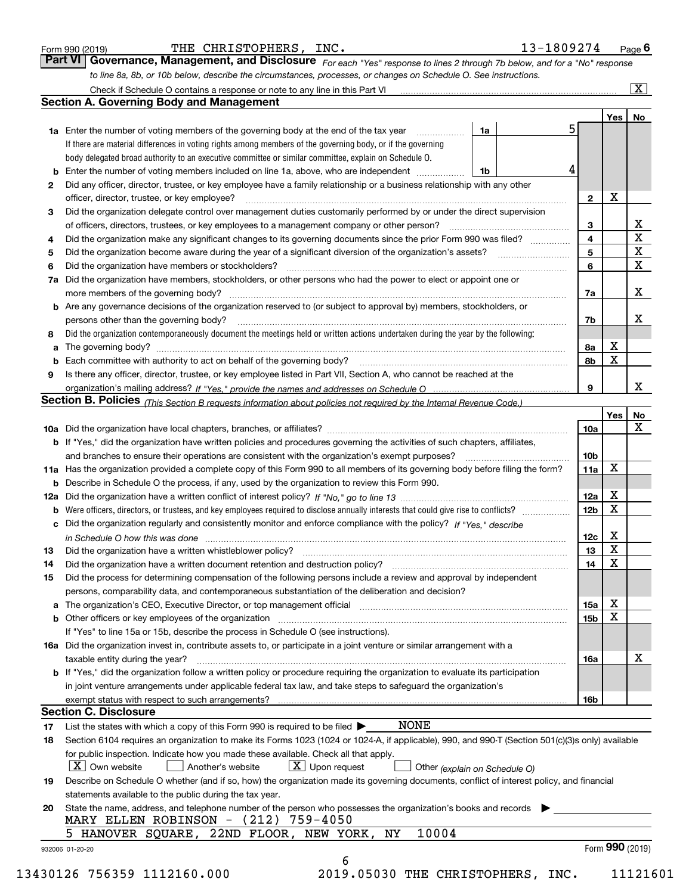| Form 990 (2019) |  |  |
|-----------------|--|--|
|                 |  |  |

| Form 990 (2019) | CHRISTOPHERS,<br>THE | INC. | 13-1809274 | Page |  |
|-----------------|----------------------|------|------------|------|--|
|-----------------|----------------------|------|------------|------|--|

| orm 990 (2019) |  | THE CHRISTOPHERS,                                                           | INC. | 13-1809274                                                                                                                  | $P$ <sub>age</sub> 6    |
|----------------|--|-----------------------------------------------------------------------------|------|-----------------------------------------------------------------------------------------------------------------------------|-------------------------|
|                |  |                                                                             |      | Part VI Governance, Management, and Disclosure For each "Yes" response to lines 2 through 7b below, and for a "No" response |                         |
|                |  |                                                                             |      | to line 8a, 8b, or 10b below, describe the circumstances, processes, or changes on Schedule O. See instructions.            |                         |
|                |  | Check if Schedule O contains a response or note to any line in this Part VI |      |                                                                                                                             | $\overline{\mathbf{X}}$ |

|    |                                                                                                                                                                                                                                                                                                                                                                                                                                                                                       |                               | 51 |                 | Yes             | No                           |
|----|---------------------------------------------------------------------------------------------------------------------------------------------------------------------------------------------------------------------------------------------------------------------------------------------------------------------------------------------------------------------------------------------------------------------------------------------------------------------------------------|-------------------------------|----|-----------------|-----------------|------------------------------|
|    | <b>1a</b> Enter the number of voting members of the governing body at the end of the tax year                                                                                                                                                                                                                                                                                                                                                                                         | 1a                            |    |                 |                 |                              |
|    | If there are material differences in voting rights among members of the governing body, or if the governing                                                                                                                                                                                                                                                                                                                                                                           |                               |    |                 |                 |                              |
|    | body delegated broad authority to an executive committee or similar committee, explain on Schedule O.                                                                                                                                                                                                                                                                                                                                                                                 |                               | 4  |                 |                 |                              |
| b  | Enter the number of voting members included on line 1a, above, who are independent                                                                                                                                                                                                                                                                                                                                                                                                    | 1 <sub>b</sub>                |    |                 |                 |                              |
| 2  | Did any officer, director, trustee, or key employee have a family relationship or a business relationship with any other                                                                                                                                                                                                                                                                                                                                                              |                               |    |                 | X               |                              |
|    | officer, director, trustee, or key employee?                                                                                                                                                                                                                                                                                                                                                                                                                                          |                               |    | $\mathbf{2}$    |                 |                              |
| 3  | Did the organization delegate control over management duties customarily performed by or under the direct supervision                                                                                                                                                                                                                                                                                                                                                                 |                               |    |                 |                 |                              |
|    |                                                                                                                                                                                                                                                                                                                                                                                                                                                                                       |                               |    | 3               |                 | X<br>$\overline{\mathbf{x}}$ |
| 4  | Did the organization make any significant changes to its governing documents since the prior Form 990 was filed?                                                                                                                                                                                                                                                                                                                                                                      |                               |    | $\overline{4}$  |                 |                              |
| 5  |                                                                                                                                                                                                                                                                                                                                                                                                                                                                                       |                               |    | 5               |                 | $\mathbf X$                  |
| 6  | Did the organization have members or stockholders?                                                                                                                                                                                                                                                                                                                                                                                                                                    |                               |    | 6               |                 | X                            |
| 7a | Did the organization have members, stockholders, or other persons who had the power to elect or appoint one or                                                                                                                                                                                                                                                                                                                                                                        |                               |    |                 |                 |                              |
|    |                                                                                                                                                                                                                                                                                                                                                                                                                                                                                       |                               |    | 7a              |                 | х                            |
|    | <b>b</b> Are any governance decisions of the organization reserved to (or subject to approval by) members, stockholders, or                                                                                                                                                                                                                                                                                                                                                           |                               |    |                 |                 |                              |
|    | $\begin{minipage}{0.5\textwidth} \begin{tabular}{ l l l } \hline \multicolumn{1}{ l l l } \hline \multicolumn{1}{ l l } \multicolumn{1}{ l } \multicolumn{1}{ l } \multicolumn{1}{ l } \multicolumn{1}{ l } \multicolumn{1}{ l } \multicolumn{1}{ l } \multicolumn{1}{ l } \multicolumn{1}{ l } \multicolumn{1}{ l } \multicolumn{1}{ l } \multicolumn{1}{ l } \multicolumn{1}{ l } \multicolumn{1}{ l } \multicolumn{1}{ l } \multicolumn$<br>persons other than the governing body? |                               |    | 7b              |                 | х                            |
| 8  | Did the organization contemporaneously document the meetings held or written actions undertaken during the year by the following:                                                                                                                                                                                                                                                                                                                                                     |                               |    |                 |                 |                              |
| a  |                                                                                                                                                                                                                                                                                                                                                                                                                                                                                       |                               |    | 8a              | X               |                              |
| b  |                                                                                                                                                                                                                                                                                                                                                                                                                                                                                       |                               |    | 8b              | X               |                              |
| 9  | Is there any officer, director, trustee, or key employee listed in Part VII, Section A, who cannot be reached at the                                                                                                                                                                                                                                                                                                                                                                  |                               |    |                 |                 |                              |
|    |                                                                                                                                                                                                                                                                                                                                                                                                                                                                                       |                               |    | 9               |                 | x                            |
|    | Section B. Policies (This Section B requests information about policies not required by the Internal Revenue Code.)                                                                                                                                                                                                                                                                                                                                                                   |                               |    |                 |                 |                              |
|    |                                                                                                                                                                                                                                                                                                                                                                                                                                                                                       |                               |    |                 | Yes             | No                           |
|    |                                                                                                                                                                                                                                                                                                                                                                                                                                                                                       |                               |    | 10a             |                 | X                            |
|    | <b>b</b> If "Yes," did the organization have written policies and procedures governing the activities of such chapters, affiliates,                                                                                                                                                                                                                                                                                                                                                   |                               |    |                 |                 |                              |
|    |                                                                                                                                                                                                                                                                                                                                                                                                                                                                                       |                               |    | 10 <sub>b</sub> |                 |                              |
|    | 11a Has the organization provided a complete copy of this Form 990 to all members of its governing body before filing the form?                                                                                                                                                                                                                                                                                                                                                       |                               |    | 11a             | X               |                              |
|    | <b>b</b> Describe in Schedule O the process, if any, used by the organization to review this Form 990.                                                                                                                                                                                                                                                                                                                                                                                |                               |    |                 |                 |                              |
|    |                                                                                                                                                                                                                                                                                                                                                                                                                                                                                       |                               |    | 12a             | X               |                              |
| b  |                                                                                                                                                                                                                                                                                                                                                                                                                                                                                       |                               |    | 12 <sub>b</sub> | X               |                              |
|    | c Did the organization regularly and consistently monitor and enforce compliance with the policy? If "Yes," describe                                                                                                                                                                                                                                                                                                                                                                  |                               |    |                 |                 |                              |
|    | in Schedule O how this was done manufactured and continuum control of the state of the state of the state of t                                                                                                                                                                                                                                                                                                                                                                        |                               |    | 12c             | Х               |                              |
| 13 | Did the organization have a written whistleblower policy? [11] matter content to the organization have a written whistleblower policy? [11] matter content content content of the organization have a written whistleblower po                                                                                                                                                                                                                                                        |                               |    | 13              | X               |                              |
| 14 | Did the organization have a written document retention and destruction policy? manufactured and the organization have a written document retention and destruction policy?                                                                                                                                                                                                                                                                                                            |                               |    | 14              | X               |                              |
| 15 | Did the process for determining compensation of the following persons include a review and approval by independent                                                                                                                                                                                                                                                                                                                                                                    |                               |    |                 |                 |                              |
|    | persons, comparability data, and contemporaneous substantiation of the deliberation and decision?                                                                                                                                                                                                                                                                                                                                                                                     |                               |    |                 |                 |                              |
|    | a The organization's CEO, Executive Director, or top management official manufactured content content of the organization's CEO, Executive Director, or top management official manufactured content of the state of the state                                                                                                                                                                                                                                                        |                               |    | 15a             | х               |                              |
|    |                                                                                                                                                                                                                                                                                                                                                                                                                                                                                       |                               |    | 15b             | X               |                              |
|    | If "Yes" to line 15a or 15b, describe the process in Schedule O (see instructions).                                                                                                                                                                                                                                                                                                                                                                                                   |                               |    |                 |                 |                              |
|    | 16a Did the organization invest in, contribute assets to, or participate in a joint venture or similar arrangement with a                                                                                                                                                                                                                                                                                                                                                             |                               |    |                 |                 |                              |
|    | taxable entity during the year?                                                                                                                                                                                                                                                                                                                                                                                                                                                       |                               |    | 16a             |                 | х                            |
|    | b If "Yes," did the organization follow a written policy or procedure requiring the organization to evaluate its participation                                                                                                                                                                                                                                                                                                                                                        |                               |    |                 |                 |                              |
|    | in joint venture arrangements under applicable federal tax law, and take steps to safeguard the organization's                                                                                                                                                                                                                                                                                                                                                                        |                               |    |                 |                 |                              |
|    | exempt status with respect to such arrangements?                                                                                                                                                                                                                                                                                                                                                                                                                                      |                               |    | 16b             |                 |                              |
|    | <b>Section C. Disclosure</b>                                                                                                                                                                                                                                                                                                                                                                                                                                                          |                               |    |                 |                 |                              |
| 17 | <b>NONE</b><br>List the states with which a copy of this Form 990 is required to be filed $\blacktriangleright$                                                                                                                                                                                                                                                                                                                                                                       |                               |    |                 |                 |                              |
| 18 | Section 6104 requires an organization to make its Forms 1023 (1024 or 1024-A, if applicable), 990, and 990-T (Section 501(c)(3)s only) available                                                                                                                                                                                                                                                                                                                                      |                               |    |                 |                 |                              |
|    | for public inspection. Indicate how you made these available. Check all that apply.                                                                                                                                                                                                                                                                                                                                                                                                   |                               |    |                 |                 |                              |
|    | $\mid$ $\rm X\mid$ Own website<br>$\lfloor x \rfloor$ Upon request<br>  Another's website                                                                                                                                                                                                                                                                                                                                                                                             | Other (explain on Schedule O) |    |                 |                 |                              |
| 19 | Describe on Schedule O whether (and if so, how) the organization made its governing documents, conflict of interest policy, and financial                                                                                                                                                                                                                                                                                                                                             |                               |    |                 |                 |                              |
|    | statements available to the public during the tax year.                                                                                                                                                                                                                                                                                                                                                                                                                               |                               |    |                 |                 |                              |
| 20 | State the name, address, and telephone number of the person who possesses the organization's books and records<br>MARY ELLEN ROBINSON $-$ (212) 759-4050                                                                                                                                                                                                                                                                                                                              |                               |    |                 |                 |                              |
|    | 10004<br>5 HANOVER SQUARE, 22ND FLOOR, NEW YORK, NY                                                                                                                                                                                                                                                                                                                                                                                                                                   |                               |    |                 |                 |                              |
|    |                                                                                                                                                                                                                                                                                                                                                                                                                                                                                       |                               |    |                 | Form 990 (2019) |                              |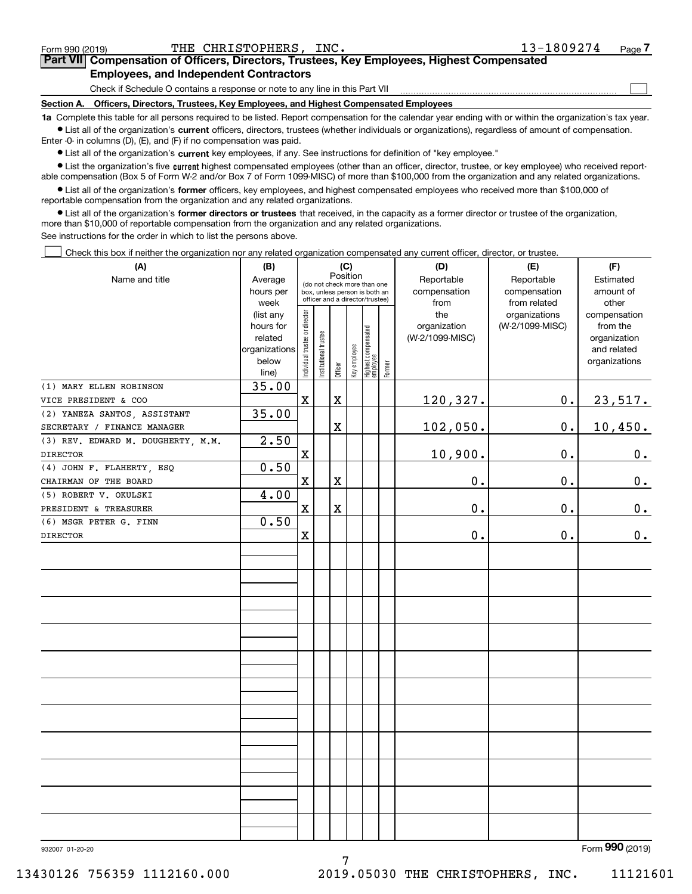| Form 990 (2019) | THE CHRISTOPHERS.<br>INC.                                                                                                                                 | 13-1809274 | Page. |  |  |  |  |  |  |
|-----------------|-----------------------------------------------------------------------------------------------------------------------------------------------------------|------------|-------|--|--|--|--|--|--|
|                 | Part VII Compensation of Officers, Directors, Trustees, Key Employees, Highest Compensated                                                                |            |       |  |  |  |  |  |  |
|                 | <b>Employees, and Independent Contractors</b>                                                                                                             |            |       |  |  |  |  |  |  |
|                 | Check if Schedule O contains a response or note to any line in this Part VII                                                                              |            |       |  |  |  |  |  |  |
| Section A.      | Officers, Directors, Trustees, Key Employees, and Highest Compensated Employees                                                                           |            |       |  |  |  |  |  |  |
|                 | 1a Complete this table for all persons required to be listed. Benort compensation for the calendar vear ending with or within the organization's tax vear |            |       |  |  |  |  |  |  |

**1a •** List all of the organization's current officers, directors, trustees (whether individuals or organizations), regardless of amount of compensation. Complete this table for all persons required to be listed. Report compensation for the calendar year ending with or within the organization's tax year. Enter -0- in columns (D), (E), and (F) if no compensation was paid.

 $\bullet$  List all of the organization's  $\,$ current key employees, if any. See instructions for definition of "key employee."

**•** List the organization's five current highest compensated employees (other than an officer, director, trustee, or key employee) who received reportable compensation (Box 5 of Form W-2 and/or Box 7 of Form 1099-MISC) of more than \$100,000 from the organization and any related organizations.

**•** List all of the organization's former officers, key employees, and highest compensated employees who received more than \$100,000 of reportable compensation from the organization and any related organizations.

**former directors or trustees**  ¥ List all of the organization's that received, in the capacity as a former director or trustee of the organization, more than \$10,000 of reportable compensation from the organization and any related organizations.

See instructions for the order in which to list the persons above.

Check this box if neither the organization nor any related organization compensated any current officer, director, or trustee.  $\mathcal{L}^{\text{max}}$ 

| (A)                                | (B)           | (C)                            |                       |             |              |                                   |        | (D)             | (E)             | (F)                            |  |  |  |
|------------------------------------|---------------|--------------------------------|-----------------------|-------------|--------------|-----------------------------------|--------|-----------------|-----------------|--------------------------------|--|--|--|
| Name and title                     | Average       |                                |                       | Position    |              | (do not check more than one       |        | Reportable      | Reportable      | Estimated                      |  |  |  |
|                                    | hours per     |                                |                       |             |              | box, unless person is both an     |        | compensation    | compensation    | amount of                      |  |  |  |
|                                    | week          |                                |                       |             |              | officer and a director/trustee)   |        | from            | from related    | other                          |  |  |  |
|                                    | (list any     |                                |                       |             |              |                                   |        | the             | organizations   | compensation                   |  |  |  |
|                                    | hours for     |                                |                       |             |              |                                   |        | organization    | (W-2/1099-MISC) | from the                       |  |  |  |
|                                    | related       |                                |                       |             |              |                                   |        | (W-2/1099-MISC) |                 | organization                   |  |  |  |
|                                    | organizations |                                |                       |             |              |                                   |        |                 |                 | and related                    |  |  |  |
|                                    | below         | Individual trustee or director | Institutional trustee | Officer     | Key employee | Highest compensated<br>  employee | Former |                 |                 | organizations                  |  |  |  |
|                                    | line)         |                                |                       |             |              |                                   |        |                 |                 |                                |  |  |  |
| (1) MARY ELLEN ROBINSON            | 35.00         |                                |                       |             |              |                                   |        |                 |                 |                                |  |  |  |
| VICE PRESIDENT & COO               |               | $\mathbf X$                    |                       | $\mathbf X$ |              |                                   |        | 120,327.        | $0$ .           | 23,517.                        |  |  |  |
| (2) YANEZA SANTOS, ASSISTANT       | 35.00         |                                |                       |             |              |                                   |        |                 |                 |                                |  |  |  |
| SECRETARY / FINANCE MANAGER        |               |                                |                       | $\rm X$     |              |                                   |        | 102,050.        | $0$ .           | 10,450.                        |  |  |  |
| (3) REV. EDWARD M. DOUGHERTY, M.M. | 2.50          |                                |                       |             |              |                                   |        |                 |                 |                                |  |  |  |
| <b>DIRECTOR</b>                    |               | $\mathbf X$                    |                       |             |              |                                   |        | 10,900.         | $0$ .           | 0.                             |  |  |  |
| (4) JOHN F. FLAHERTY, ESQ          | 0.50          |                                |                       |             |              |                                   |        |                 |                 |                                |  |  |  |
| CHAIRMAN OF THE BOARD              |               | $\mathbf X$                    |                       | $\mathbf X$ |              |                                   |        | $0$ .           | 0.              | $0_{.}$                        |  |  |  |
| (5) ROBERT V. OKULSKI              | 4.00          |                                |                       |             |              |                                   |        |                 |                 |                                |  |  |  |
| PRESIDENT & TREASURER              |               | $\mathbf X$                    |                       | $\mathbf X$ |              |                                   |        | 0.              | 0.              | $0_{.}$                        |  |  |  |
| (6) MSGR PETER G. FINN             | 0.50          |                                |                       |             |              |                                   |        |                 |                 |                                |  |  |  |
| <b>DIRECTOR</b>                    |               | $\mathbf X$                    |                       |             |              |                                   |        | $\mathbf 0$ .   | $0$ .           | 0.                             |  |  |  |
|                                    |               |                                |                       |             |              |                                   |        |                 |                 |                                |  |  |  |
|                                    |               |                                |                       |             |              |                                   |        |                 |                 |                                |  |  |  |
|                                    |               |                                |                       |             |              |                                   |        |                 |                 |                                |  |  |  |
|                                    |               |                                |                       |             |              |                                   |        |                 |                 |                                |  |  |  |
|                                    |               |                                |                       |             |              |                                   |        |                 |                 |                                |  |  |  |
|                                    |               |                                |                       |             |              |                                   |        |                 |                 |                                |  |  |  |
|                                    |               |                                |                       |             |              |                                   |        |                 |                 |                                |  |  |  |
|                                    |               |                                |                       |             |              |                                   |        |                 |                 |                                |  |  |  |
|                                    |               |                                |                       |             |              |                                   |        |                 |                 |                                |  |  |  |
|                                    |               |                                |                       |             |              |                                   |        |                 |                 |                                |  |  |  |
|                                    |               |                                |                       |             |              |                                   |        |                 |                 |                                |  |  |  |
|                                    |               |                                |                       |             |              |                                   |        |                 |                 |                                |  |  |  |
|                                    |               |                                |                       |             |              |                                   |        |                 |                 |                                |  |  |  |
|                                    |               |                                |                       |             |              |                                   |        |                 |                 |                                |  |  |  |
|                                    |               |                                |                       |             |              |                                   |        |                 |                 |                                |  |  |  |
|                                    |               |                                |                       |             |              |                                   |        |                 |                 |                                |  |  |  |
|                                    |               |                                |                       |             |              |                                   |        |                 |                 |                                |  |  |  |
|                                    |               |                                |                       |             |              |                                   |        |                 |                 |                                |  |  |  |
|                                    |               |                                |                       |             |              |                                   |        |                 |                 |                                |  |  |  |
|                                    |               |                                |                       |             |              |                                   |        |                 |                 |                                |  |  |  |
|                                    |               |                                |                       |             |              |                                   |        |                 |                 |                                |  |  |  |
|                                    |               |                                |                       |             |              |                                   |        |                 |                 |                                |  |  |  |
|                                    |               |                                |                       |             |              |                                   |        |                 |                 | $000 \times 10^{-1}$<br>$\sim$ |  |  |  |

7

932007 01-20-20

Form (2019) **990**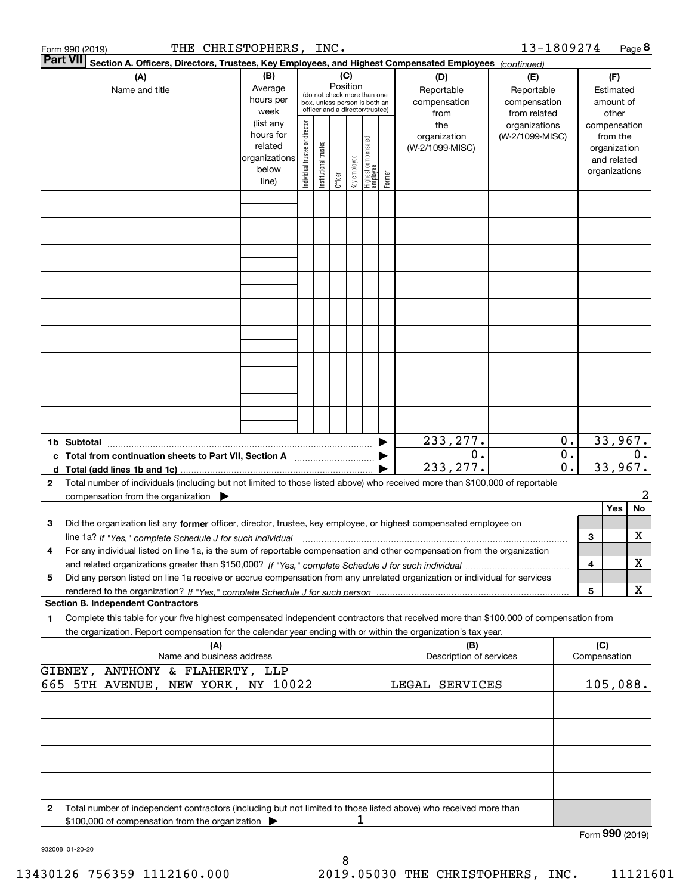|              | THE CHRISTOPHERS, INC.<br>Form 990 (2019)                                                                                                                                                                                                                                   |                                                         |                                   |                       |                 |              |                                                                                                 |        |                                                  | 13-1809274                                                         |                        |                                                          | Page 8          |
|--------------|-----------------------------------------------------------------------------------------------------------------------------------------------------------------------------------------------------------------------------------------------------------------------------|---------------------------------------------------------|-----------------------------------|-----------------------|-----------------|--------------|-------------------------------------------------------------------------------------------------|--------|--------------------------------------------------|--------------------------------------------------------------------|------------------------|----------------------------------------------------------|-----------------|
|              | <b>Part VII</b><br>Section A. Officers, Directors, Trustees, Key Employees, and Highest Compensated Employees (continued)                                                                                                                                                   |                                                         |                                   |                       |                 |              |                                                                                                 |        |                                                  |                                                                    |                        |                                                          |                 |
|              | (A)<br>Name and title                                                                                                                                                                                                                                                       | (B)<br>Average<br>hours per<br>week<br>(list any        |                                   |                       | (C)<br>Position |              | (do not check more than one<br>box, unless person is both an<br>officer and a director/trustee) |        | (D)<br>Reportable<br>compensation<br>from<br>the | (E)<br>Reportable<br>compensation<br>from related<br>organizations |                        | (F)<br>Estimated<br>amount of<br>other<br>compensation   |                 |
|              |                                                                                                                                                                                                                                                                             | hours for<br>related<br>organizations<br>below<br>line) | director<br>Individual trustee or | Institutional trustee | Officer         | key employee | Highest compensated<br>employee                                                                 | Former | organization<br>(W-2/1099-MISC)                  | (W-2/1099-MISC)                                                    |                        | from the<br>organization<br>and related<br>organizations |                 |
|              |                                                                                                                                                                                                                                                                             |                                                         |                                   |                       |                 |              |                                                                                                 |        |                                                  |                                                                    |                        |                                                          |                 |
|              |                                                                                                                                                                                                                                                                             |                                                         |                                   |                       |                 |              |                                                                                                 |        |                                                  |                                                                    |                        |                                                          |                 |
|              |                                                                                                                                                                                                                                                                             |                                                         |                                   |                       |                 |              |                                                                                                 |        |                                                  |                                                                    |                        |                                                          |                 |
|              |                                                                                                                                                                                                                                                                             |                                                         |                                   |                       |                 |              |                                                                                                 |        |                                                  |                                                                    |                        |                                                          |                 |
|              |                                                                                                                                                                                                                                                                             |                                                         |                                   |                       |                 |              |                                                                                                 |        |                                                  |                                                                    |                        |                                                          |                 |
|              |                                                                                                                                                                                                                                                                             |                                                         |                                   |                       |                 |              |                                                                                                 |        |                                                  |                                                                    |                        |                                                          |                 |
|              |                                                                                                                                                                                                                                                                             |                                                         |                                   |                       |                 |              |                                                                                                 |        |                                                  |                                                                    |                        |                                                          |                 |
|              | 1b Subtotal<br>c Total from continuation sheets to Part VII, Section A [ [ [ [ [ [ [ ] ] ] [ ] [ ]                                                                                                                                                                          |                                                         |                                   |                       |                 |              |                                                                                                 |        | 233, 277.<br>0.                                  |                                                                    | 0.<br>$\overline{0}$ . |                                                          | 33,967.<br>0.   |
|              |                                                                                                                                                                                                                                                                             |                                                         |                                   |                       |                 |              |                                                                                                 |        | 233, 277.                                        |                                                                    | $\overline{0}$ .       |                                                          | 33,967.         |
| $\mathbf{2}$ | Total number of individuals (including but not limited to those listed above) who received more than \$100,000 of reportable<br>compensation from the organization $\blacktriangleright$                                                                                    |                                                         |                                   |                       |                 |              |                                                                                                 |        |                                                  |                                                                    |                        |                                                          | 2               |
| з            | Did the organization list any former officer, director, trustee, key employee, or highest compensated employee on                                                                                                                                                           |                                                         |                                   |                       |                 |              |                                                                                                 |        |                                                  |                                                                    |                        | Yes                                                      | No              |
| 4            | line 1a? If "Yes," complete Schedule J for such individual manufactured contained and the 1a? If "Yes," complete Schedule J for such individual<br>For any individual listed on line 1a, is the sum of reportable compensation and other compensation from the organization |                                                         |                                   |                       |                 |              |                                                                                                 |        |                                                  |                                                                    |                        | 3<br>4                                                   | х<br>х          |
| 5            | Did any person listed on line 1a receive or accrue compensation from any unrelated organization or individual for services                                                                                                                                                  |                                                         |                                   |                       |                 |              |                                                                                                 |        |                                                  |                                                                    |                        | 5                                                        | X               |
| 1            | <b>Section B. Independent Contractors</b><br>Complete this table for your five highest compensated independent contractors that received more than \$100,000 of compensation from                                                                                           |                                                         |                                   |                       |                 |              |                                                                                                 |        |                                                  |                                                                    |                        |                                                          |                 |
|              | the organization. Report compensation for the calendar year ending with or within the organization's tax year.<br>(A)                                                                                                                                                       |                                                         |                                   |                       |                 |              |                                                                                                 |        | (B)                                              |                                                                    |                        | (C)                                                      |                 |
|              | Name and business address                                                                                                                                                                                                                                                   |                                                         |                                   |                       |                 |              |                                                                                                 |        | Description of services                          |                                                                    |                        | Compensation                                             |                 |
|              | GIBNEY, ANTHONY & FLAHERTY, LLP<br>665 5TH AVENUE, NEW YORK, NY 10022                                                                                                                                                                                                       |                                                         |                                   |                       |                 |              |                                                                                                 |        | LEGAL SERVICES                                   |                                                                    |                        |                                                          | 105,088.        |
|              |                                                                                                                                                                                                                                                                             |                                                         |                                   |                       |                 |              |                                                                                                 |        |                                                  |                                                                    |                        |                                                          |                 |
|              |                                                                                                                                                                                                                                                                             |                                                         |                                   |                       |                 |              |                                                                                                 |        |                                                  |                                                                    |                        |                                                          |                 |
|              |                                                                                                                                                                                                                                                                             |                                                         |                                   |                       |                 |              |                                                                                                 |        |                                                  |                                                                    |                        |                                                          |                 |
| 2            | Total number of independent contractors (including but not limited to those listed above) who received more than<br>\$100,000 of compensation from the organization                                                                                                         |                                                         |                                   |                       |                 | 1            |                                                                                                 |        |                                                  |                                                                    |                        |                                                          |                 |
|              | 932008 01-20-20                                                                                                                                                                                                                                                             |                                                         |                                   |                       |                 |              |                                                                                                 |        |                                                  |                                                                    |                        |                                                          | Form 990 (2019) |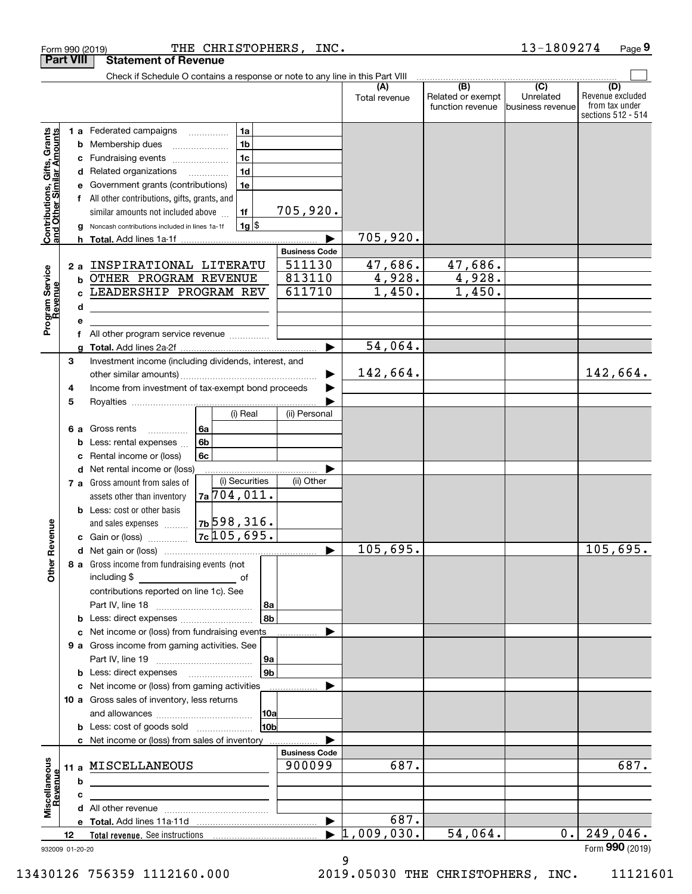|                                                           |     |         | Form 990 (2019)                                                               |                          |                                  | THE CHRISTOPHERS, INC. |                      |                                              | 13-1809274                                        | Page 9                                    |
|-----------------------------------------------------------|-----|---------|-------------------------------------------------------------------------------|--------------------------|----------------------------------|------------------------|----------------------|----------------------------------------------|---------------------------------------------------|-------------------------------------------|
| <b>Part VIII</b>                                          |     |         | <b>Statement of Revenue</b>                                                   |                          |                                  |                        |                      |                                              |                                                   |                                           |
|                                                           |     |         | Check if Schedule O contains a response or note to any line in this Part VIII |                          |                                  |                        | (A)<br>Total revenue | (B)<br>Related or exempt<br>function revenue | $\overline{(C)}$<br>Unrelated<br>business revenue | (D)<br>Revenue excluded<br>from tax under |
|                                                           |     |         |                                                                               |                          |                                  |                        |                      |                                              |                                                   | sections 512 - 514                        |
|                                                           |     |         | 1 a Federated campaigns                                                       |                          | 1a                               |                        |                      |                                              |                                                   |                                           |
|                                                           |     | b       | Membership dues                                                               |                          | 1 <sub>b</sub><br>1 <sub>c</sub> |                        |                      |                                              |                                                   |                                           |
|                                                           |     | d       | Fundraising events<br>Related organizations                                   | $\overline{\phantom{a}}$ | 1 <sub>d</sub>                   |                        |                      |                                              |                                                   |                                           |
|                                                           |     | е       | Government grants (contributions)                                             |                          | 1e                               |                        |                      |                                              |                                                   |                                           |
|                                                           |     |         | f All other contributions, gifts, grants, and                                 |                          |                                  |                        |                      |                                              |                                                   |                                           |
| Contributions, Gifts, Grants<br>and Other Similar Amounts |     |         | similar amounts not included above                                            |                          | 1f                               | 705,920.               |                      |                                              |                                                   |                                           |
|                                                           |     | g       | Noncash contributions included in lines 1a-1f                                 |                          | <u>1g \$</u>                     |                        |                      |                                              |                                                   |                                           |
|                                                           |     |         |                                                                               |                          |                                  | <b>Business Code</b>   | 705, 920.            |                                              |                                                   |                                           |
|                                                           |     |         | INSPIRATIONAL LITERATU                                                        |                          |                                  | 511130                 | 47,686.              | 47,686.                                      |                                                   |                                           |
|                                                           |     | 2a<br>b | OTHER PROGRAM REVENUE                                                         |                          |                                  | 813110                 | 4,928.               | 4,928.                                       |                                                   |                                           |
| Program Service<br>Revenue                                |     | C       | LEADERSHIP PROGRAM REV                                                        |                          |                                  | 611710                 | 1,450.               | 1,450.                                       |                                                   |                                           |
|                                                           |     | d       |                                                                               |                          |                                  |                        |                      |                                              |                                                   |                                           |
|                                                           |     | е       |                                                                               |                          |                                  |                        |                      |                                              |                                                   |                                           |
|                                                           |     | f       | All other program service revenue                                             |                          |                                  |                        |                      |                                              |                                                   |                                           |
|                                                           |     | a       |                                                                               |                          |                                  |                        | 54,064.              |                                              |                                                   |                                           |
|                                                           | 3   |         | Investment income (including dividends, interest, and                         |                          |                                  |                        | 142,664.             |                                              |                                                   | 142,664.                                  |
|                                                           | 4   |         | Income from investment of tax-exempt bond proceeds                            |                          |                                  |                        |                      |                                              |                                                   |                                           |
|                                                           | 5   |         |                                                                               |                          |                                  |                        |                      |                                              |                                                   |                                           |
|                                                           |     |         |                                                                               |                          | (i) Real                         | (ii) Personal          |                      |                                              |                                                   |                                           |
|                                                           |     | 6а      | Gross rents<br>.                                                              | 6a                       |                                  |                        |                      |                                              |                                                   |                                           |
|                                                           |     | b       | Less: rental expenses                                                         | 6b                       |                                  |                        |                      |                                              |                                                   |                                           |
|                                                           |     | c       | Rental income or (loss)                                                       | 6c                       |                                  |                        |                      |                                              |                                                   |                                           |
|                                                           |     | d       | Net rental income or (loss)<br>7 a Gross amount from sales of                 |                          | (i) Securities                   | (ii) Other             |                      |                                              |                                                   |                                           |
|                                                           |     |         | assets other than inventory                                                   | 7a/704, 011.             |                                  |                        |                      |                                              |                                                   |                                           |
|                                                           |     |         | <b>b</b> Less: cost or other basis                                            |                          |                                  |                        |                      |                                              |                                                   |                                           |
|                                                           |     |         | and sales expenses                                                            | $7b$ 598, 316.           |                                  |                        |                      |                                              |                                                   |                                           |
| enueve                                                    |     |         | c Gain or (loss)                                                              | 7c <sup>105</sup> ,695.  |                                  |                        |                      |                                              |                                                   |                                           |
|                                                           |     |         |                                                                               |                          |                                  |                        | 105,695.             |                                              |                                                   | 105,695.                                  |
| Other R                                                   |     |         | 8 a Gross income from fundraising events (not                                 |                          |                                  |                        |                      |                                              |                                                   |                                           |
|                                                           |     |         | including \$<br>contributions reported on line 1c). See                       |                          | of                               |                        |                      |                                              |                                                   |                                           |
|                                                           |     |         |                                                                               |                          | 8a                               |                        |                      |                                              |                                                   |                                           |
|                                                           |     | b       | Less: direct expenses                                                         |                          | 8b                               |                        |                      |                                              |                                                   |                                           |
|                                                           |     | с       | Net income or (loss) from fundraising events                                  |                          |                                  |                        |                      |                                              |                                                   |                                           |
|                                                           |     |         | 9 a Gross income from gaming activities. See                                  |                          |                                  |                        |                      |                                              |                                                   |                                           |
|                                                           |     |         |                                                                               |                          | 9a                               |                        |                      |                                              |                                                   |                                           |
|                                                           |     | b       | Net income or (loss) from gaming activities ______________                    |                          | 9 <sub>b</sub>                   |                        |                      |                                              |                                                   |                                           |
|                                                           |     | с       | 10 a Gross sales of inventory, less returns                                   |                          |                                  |                        |                      |                                              |                                                   |                                           |
|                                                           |     |         |                                                                               |                          | 10a                              |                        |                      |                                              |                                                   |                                           |
|                                                           |     |         |                                                                               |                          | 10bl                             |                        |                      |                                              |                                                   |                                           |
|                                                           |     |         | c Net income or (loss) from sales of inventory                                |                          |                                  |                        |                      |                                              |                                                   |                                           |
|                                                           |     |         |                                                                               |                          |                                  | <b>Business Code</b>   |                      |                                              |                                                   |                                           |
|                                                           | 11a |         | MISCELLANEOUS                                                                 |                          |                                  | 900099                 | 687.                 |                                              |                                                   | 687.                                      |
|                                                           |     | b       |                                                                               |                          |                                  |                        |                      |                                              |                                                   |                                           |
| Miscellaneous<br>Revenue                                  |     | c       |                                                                               |                          |                                  |                        |                      |                                              |                                                   |                                           |
|                                                           |     |         |                                                                               |                          |                                  | $\blacktriangleright$  | $\overline{6}87.$    |                                              |                                                   |                                           |
|                                                           | 12  |         |                                                                               |                          |                                  |                        | 1,009,030.           | 54,064.                                      | 0.1                                               | 249,046.                                  |
| 932009 01-20-20                                           |     |         |                                                                               |                          |                                  |                        |                      |                                              |                                                   | Form 990 (2019)                           |

9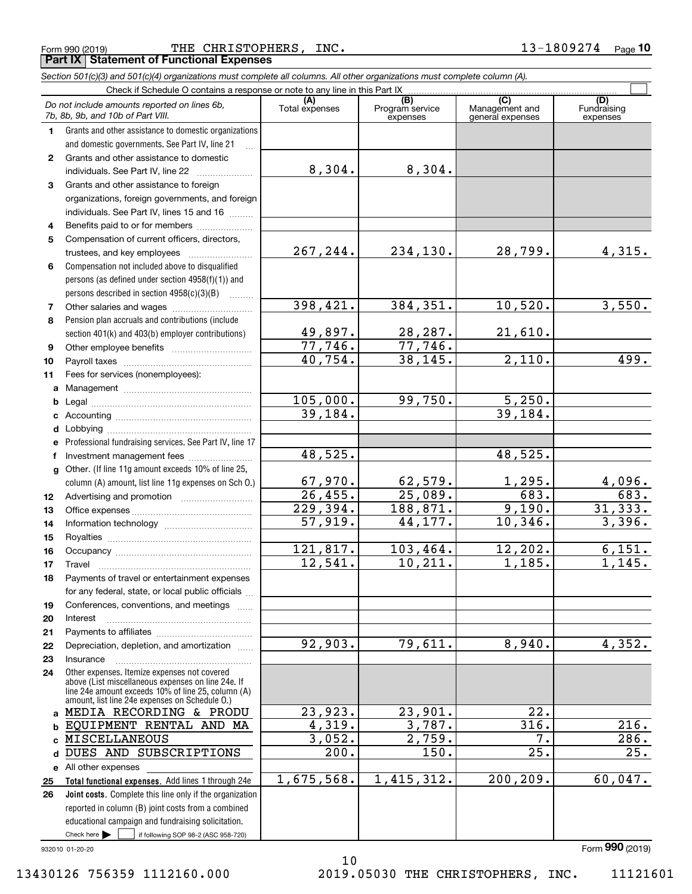Form 990 (2019) THE CHRISTOPHERS , INC .  $13\text{--}1809274$  Page **Part IX Statement of Functional Expenses**

|              | Section 501(c)(3) and 501(c)(4) organizations must complete all columns. All other organizations must complete column (A).                                                                                 |                |                             |                                    |                                |
|--------------|------------------------------------------------------------------------------------------------------------------------------------------------------------------------------------------------------------|----------------|-----------------------------|------------------------------------|--------------------------------|
|              | Check if Schedule O contains a response or note to any line in this Part IX                                                                                                                                | (A)            | (B)                         | $\overline{C}$                     |                                |
|              | Do not include amounts reported on lines 6b,<br>7b, 8b, 9b, and 10b of Part VIII.                                                                                                                          | Total expenses | Program service<br>expenses | Management and<br>general expenses | (D)<br>Fundraising<br>expenses |
| 1.           | Grants and other assistance to domestic organizations                                                                                                                                                      |                |                             |                                    |                                |
|              | and domestic governments. See Part IV, line 21                                                                                                                                                             |                |                             |                                    |                                |
| $\mathbf{2}$ | Grants and other assistance to domestic                                                                                                                                                                    |                |                             |                                    |                                |
|              | individuals. See Part IV, line 22                                                                                                                                                                          | 8,304.         | 8,304.                      |                                    |                                |
| 3            | Grants and other assistance to foreign                                                                                                                                                                     |                |                             |                                    |                                |
|              | organizations, foreign governments, and foreign                                                                                                                                                            |                |                             |                                    |                                |
|              | individuals. See Part IV, lines 15 and 16                                                                                                                                                                  |                |                             |                                    |                                |
| 4            | Benefits paid to or for members                                                                                                                                                                            |                |                             |                                    |                                |
| 5            | Compensation of current officers, directors,                                                                                                                                                               |                |                             |                                    |                                |
|              | trustees, and key employees                                                                                                                                                                                | 267,244.       | 234,130.                    | 28,799.                            | 4,315.                         |
| 6            | Compensation not included above to disqualified                                                                                                                                                            |                |                             |                                    |                                |
|              | persons (as defined under section 4958(f)(1)) and                                                                                                                                                          |                |                             |                                    |                                |
|              | persons described in section 4958(c)(3)(B)                                                                                                                                                                 |                |                             |                                    |                                |
| 7            |                                                                                                                                                                                                            | 398,421.       | 384, 351.                   | 10,520.                            | 3,550.                         |
| 8            | Pension plan accruals and contributions (include                                                                                                                                                           |                |                             |                                    |                                |
|              | section 401(k) and 403(b) employer contributions)                                                                                                                                                          | 49,897.        | 28,287.                     | 21,610.                            |                                |
| 9            |                                                                                                                                                                                                            | 77,746.        | 77,746.                     |                                    |                                |
| 10           |                                                                                                                                                                                                            | 40,754.        | 38, 145.                    | $\overline{2,110}$ .               | 499.                           |
| 11           | Fees for services (nonemployees):                                                                                                                                                                          |                |                             |                                    |                                |
|              |                                                                                                                                                                                                            |                |                             |                                    |                                |
| b            |                                                                                                                                                                                                            | 105,000.       | 99,750.                     | 5,250.                             |                                |
| c            |                                                                                                                                                                                                            | 39,184.        |                             | 39,184.                            |                                |
|              |                                                                                                                                                                                                            |                |                             |                                    |                                |
| е            | Professional fundraising services. See Part IV, line 17                                                                                                                                                    |                |                             |                                    |                                |
| f            | Investment management fees                                                                                                                                                                                 | 48,525.        |                             | 48,525.                            |                                |
|              | g Other. (If line 11g amount exceeds 10% of line 25,                                                                                                                                                       |                |                             |                                    |                                |
|              | column (A) amount, list line 11g expenses on Sch 0.)                                                                                                                                                       | 67,970.        | 62,579.                     | 1,295.                             | $\frac{4,096.}{683.}$          |
| 12           |                                                                                                                                                                                                            | 26,455.        | 25,089.                     | 683.                               |                                |
| 13           |                                                                                                                                                                                                            | 229,394.       | 188,871.                    | 9,190.                             | 31, 333.                       |
| 14           |                                                                                                                                                                                                            | 57,919.        | 44,177.                     | 10, 346.                           | 3,396.                         |
| 15           |                                                                                                                                                                                                            |                |                             |                                    |                                |
| 16           |                                                                                                                                                                                                            | 121,817.       | 103,464.                    | 12, 202.                           | 6,151.                         |
| 17           |                                                                                                                                                                                                            | 12,541.        | 10, 211.                    | 1,185.                             | 1,145.                         |
| 18           | Payments of travel or entertainment expenses                                                                                                                                                               |                |                             |                                    |                                |
|              | for any federal, state, or local public officials                                                                                                                                                          |                |                             |                                    |                                |
| 19           | Conferences, conventions, and meetings                                                                                                                                                                     |                |                             |                                    |                                |
| 20           | Interest                                                                                                                                                                                                   |                |                             |                                    |                                |
| 21           |                                                                                                                                                                                                            |                |                             |                                    |                                |
| 22           | Depreciation, depletion, and amortization                                                                                                                                                                  | 92,903.        | 79,611.                     | 8,940.                             | 4,352.                         |
| 23           | Insurance                                                                                                                                                                                                  |                |                             |                                    |                                |
| 24           | Other expenses. Itemize expenses not covered<br>above (List miscellaneous expenses on line 24e. If<br>line 24e amount exceeds 10% of line 25, column (A)<br>amount, list line 24e expenses on Schedule O.) |                |                             |                                    |                                |
|              | MEDIA RECORDING & PRODU                                                                                                                                                                                    | 23,923.        | 23,901.                     | 22.                                |                                |
| b            | EQUIPMENT RENTAL AND MA                                                                                                                                                                                    | 4,319.         | 3,787.                      | 316.                               | 216.                           |
| c            | MISCELLANEOUS                                                                                                                                                                                              | 3,052.         | $\overline{2,759}$ .        | 7.                                 | 286.                           |
| d            | DUES AND SUBSCRIPTIONS                                                                                                                                                                                     | 200.           | 150.                        | 25.                                | 25.                            |
|              | e All other expenses                                                                                                                                                                                       |                |                             |                                    |                                |
| 25           | Total functional expenses. Add lines 1 through 24e                                                                                                                                                         | 1,675,568.     | 1,415,312.                  | 200, 209.                          | 60,047.                        |
| 26           | <b>Joint costs.</b> Complete this line only if the organization                                                                                                                                            |                |                             |                                    |                                |
|              | reported in column (B) joint costs from a combined                                                                                                                                                         |                |                             |                                    |                                |
|              | educational campaign and fundraising solicitation.                                                                                                                                                         |                |                             |                                    |                                |

10

932010 01-20-20

Check here

 $\mathcal{L}^{\text{max}}$ 

if following SOP 98-2 (ASC 958-720)

13430126 756359 1112160.000 2019.05030 THE CHRISTOPHERS, INC. 11121601

Form (2019) **990**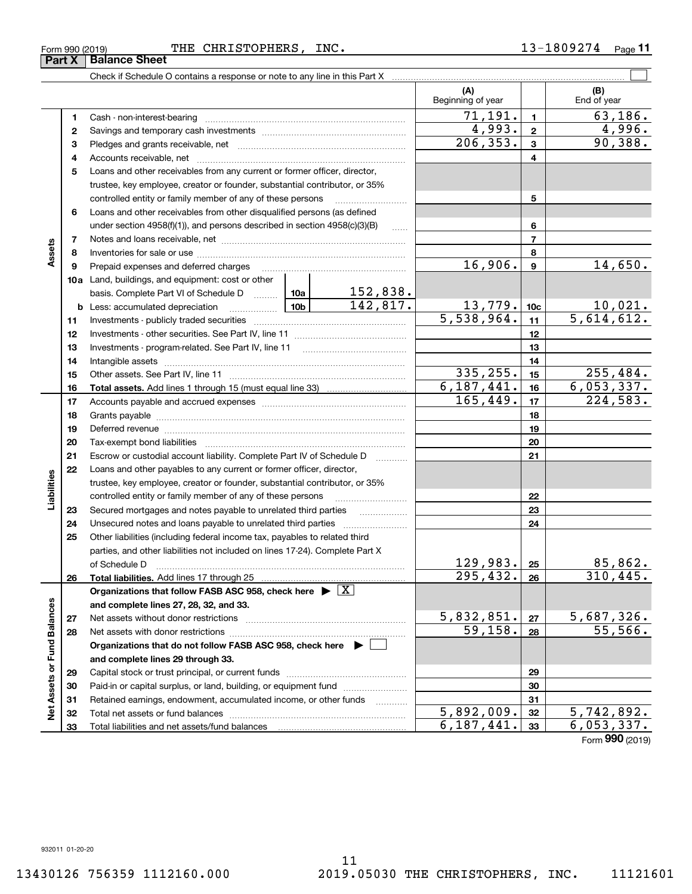Form (2019) **990**

Form 990 (2019) THE CHRISTOPHERS , INC .  $13\text{--}1809274$  Page **Part X Balance Sheet**

Check if Schedule O contains a response or note to any line in this Part X

|                             |          |                                                                                                                                                                                                                               |  |                                     | (A)<br>Beginning of year |                         |                 | (B)<br>End of year           |
|-----------------------------|----------|-------------------------------------------------------------------------------------------------------------------------------------------------------------------------------------------------------------------------------|--|-------------------------------------|--------------------------|-------------------------|-----------------|------------------------------|
|                             | 1        |                                                                                                                                                                                                                               |  |                                     |                          | 71,191.                 | $\mathbf{1}$    | 63,186.                      |
|                             | 2        |                                                                                                                                                                                                                               |  |                                     |                          |                         | $\overline{2}$  | 4,996.                       |
|                             | З        |                                                                                                                                                                                                                               |  |                                     |                          | $\frac{4,993}{206,353}$ | 3               | 90,388.                      |
|                             | 4        |                                                                                                                                                                                                                               |  |                                     |                          |                         | 4               |                              |
|                             | 5        | Loans and other receivables from any current or former officer, director,                                                                                                                                                     |  |                                     |                          |                         |                 |                              |
|                             |          | trustee, key employee, creator or founder, substantial contributor, or 35%                                                                                                                                                    |  |                                     |                          |                         |                 |                              |
|                             |          | controlled entity or family member of any of these persons                                                                                                                                                                    |  |                                     |                          |                         | 5               |                              |
|                             | 6        | Loans and other receivables from other disqualified persons (as defined                                                                                                                                                       |  |                                     |                          |                         |                 |                              |
|                             |          | under section $4958(f)(1)$ , and persons described in section $4958(c)(3)(B)$                                                                                                                                                 |  |                                     |                          |                         | 6               |                              |
|                             | 7        |                                                                                                                                                                                                                               |  |                                     |                          |                         | $\overline{7}$  |                              |
| Assets                      | 8        |                                                                                                                                                                                                                               |  |                                     |                          |                         | 8               |                              |
|                             | 9        |                                                                                                                                                                                                                               |  |                                     | 16,906.                  | 9                       | 14,650.         |                              |
|                             |          | <b>10a</b> Land, buildings, and equipment: cost or other                                                                                                                                                                      |  |                                     |                          |                         |                 |                              |
|                             |          | basis. Complete Part VI of Schedule D  10a                                                                                                                                                                                    |  | ule D  10a 152,838.<br>10b 142,817. |                          |                         |                 |                              |
|                             |          | <b>b</b> Less: accumulated depreciation                                                                                                                                                                                       |  | $\frac{13,779.}{5,538,964.}$        |                          | 10 <sub>c</sub>         | <u> 10,021.</u> |                              |
|                             | 11       |                                                                                                                                                                                                                               |  |                                     |                          |                         | 11              | 5,614,612.                   |
|                             | 12       |                                                                                                                                                                                                                               |  |                                     |                          |                         | 12              |                              |
|                             | 13       |                                                                                                                                                                                                                               |  |                                     |                          |                         | 13              |                              |
|                             | 14       |                                                                                                                                                                                                                               |  |                                     |                          | 335, 255.               | 14<br>15        | 255,484.                     |
|                             | 15<br>16 |                                                                                                                                                                                                                               |  | 6, 187, 441.                        |                          | 16                      | 6,053,337.      |                              |
|                             | 17       |                                                                                                                                                                                                                               |  |                                     |                          | 165,449.                | 17              | 224,583.                     |
|                             | 18       |                                                                                                                                                                                                                               |  |                                     |                          | 18                      |                 |                              |
|                             | 19       | Deferred revenue manual contracts and contracts and contracts are contracted and contracts are contracted and contract are contracted and contract are contracted and contract are contracted and contract are contracted and |  |                                     |                          |                         | 19              |                              |
|                             | 20       |                                                                                                                                                                                                                               |  |                                     |                          |                         | 20              |                              |
|                             | 21       | Escrow or custodial account liability. Complete Part IV of Schedule D                                                                                                                                                         |  | .                                   |                          |                         | 21              |                              |
|                             | 22       | Loans and other payables to any current or former officer, director,                                                                                                                                                          |  |                                     |                          |                         |                 |                              |
| Liabilities                 |          | trustee, key employee, creator or founder, substantial contributor, or 35%                                                                                                                                                    |  |                                     |                          |                         |                 |                              |
|                             |          | controlled entity or family member of any of these persons                                                                                                                                                                    |  |                                     |                          |                         | 22              |                              |
|                             | 23       | Secured mortgages and notes payable to unrelated third parties                                                                                                                                                                |  | .                                   |                          |                         | 23              |                              |
|                             | 24       |                                                                                                                                                                                                                               |  |                                     |                          |                         | 24              |                              |
|                             | 25       | Other liabilities (including federal income tax, payables to related third                                                                                                                                                    |  |                                     |                          |                         |                 |                              |
|                             |          | parties, and other liabilities not included on lines 17-24). Complete Part X                                                                                                                                                  |  |                                     |                          |                         |                 |                              |
|                             |          | of Schedule D                                                                                                                                                                                                                 |  |                                     |                          | 129,983.                | 25              | 85,862.                      |
|                             | 26       |                                                                                                                                                                                                                               |  |                                     |                          | 295, 432.               | 26              | 310,445.                     |
|                             |          | Organizations that follow FASB ASC 958, check here $\blacktriangleright \boxed{X}$                                                                                                                                            |  |                                     |                          |                         |                 |                              |
|                             |          | and complete lines 27, 28, 32, and 33.                                                                                                                                                                                        |  |                                     |                          |                         |                 |                              |
|                             | 27       | Net assets without donor restrictions<br>Net assets with donor restrictions                                                                                                                                                   |  |                                     | 5,832,851.               | 59,158.                 | 27              | <u>5,687,326.</u><br>55,566. |
|                             | 28       | Organizations that do not follow FASB ASC 958, check here $\blacktriangleright$                                                                                                                                               |  |                                     |                          |                         | 28              |                              |
|                             |          | and complete lines 29 through 33.                                                                                                                                                                                             |  |                                     |                          |                         |                 |                              |
| Net Assets or Fund Balances | 29       |                                                                                                                                                                                                                               |  |                                     |                          |                         | 29              |                              |
|                             | 30       | Paid-in or capital surplus, or land, building, or equipment fund                                                                                                                                                              |  |                                     |                          |                         | 30              |                              |
|                             | 31       | Retained earnings, endowment, accumulated income, or other funds                                                                                                                                                              |  |                                     |                          |                         | 31              |                              |
|                             | 32       |                                                                                                                                                                                                                               |  |                                     | $\overline{5,892,009}$ . |                         | 32              | 5,742,892.                   |
|                             | 33       |                                                                                                                                                                                                                               |  |                                     | 6, 187, 441.             |                         | 33              | 6,053,337.                   |

**33**Total liabilities and net assets/fund balances

**11**

 $\mathcal{L}^{\text{max}}$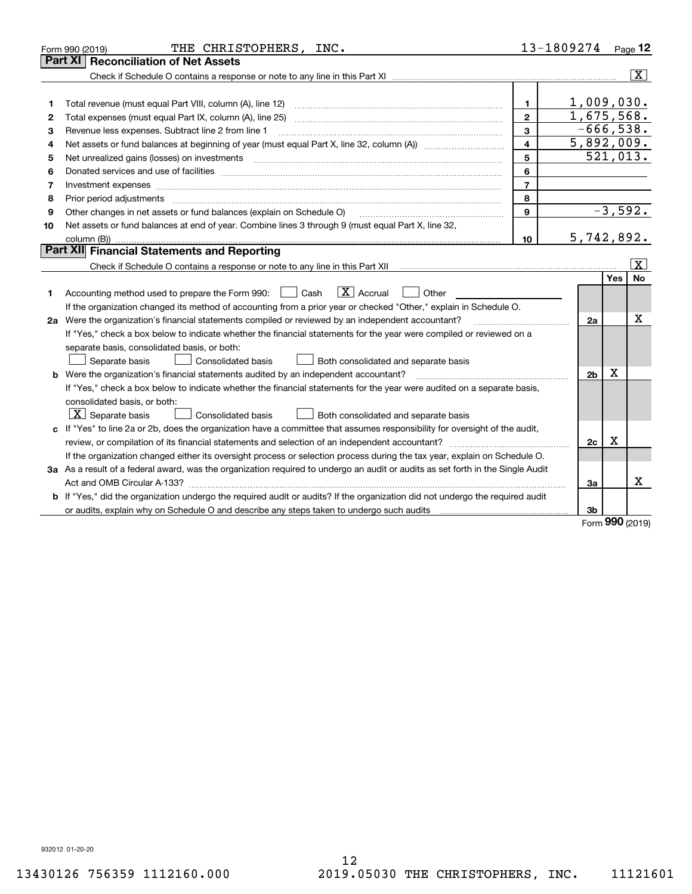|        | THE CHRISTOPHERS, INC.<br>Form 990 (2019)                                                                                                | 13-1809274     |                            |           | $Page$ 12             |  |  |  |  |
|--------|------------------------------------------------------------------------------------------------------------------------------------------|----------------|----------------------------|-----------|-----------------------|--|--|--|--|
|        | <b>Part XI   Reconciliation of Net Assets</b>                                                                                            |                |                            |           |                       |  |  |  |  |
|        |                                                                                                                                          |                |                            |           | $ \mathbf{X} $        |  |  |  |  |
|        |                                                                                                                                          |                |                            |           |                       |  |  |  |  |
| 1      | Total revenue (must equal Part VIII, column (A), line 12)                                                                                | 1.             | 1,009,030.                 |           |                       |  |  |  |  |
| 2      |                                                                                                                                          | $\overline{2}$ | 1,675,568.                 |           |                       |  |  |  |  |
| 3      | Revenue less expenses. Subtract line 2 from line 1                                                                                       | 3              | $-666, 538.$<br>5,892,009. |           |                       |  |  |  |  |
| 4      | $\overline{\mathbf{4}}$<br>Net assets or fund balances at beginning of year (must equal Part X, line 32, column (A)) manured manured was |                |                            |           |                       |  |  |  |  |
| 5      | 5<br>Net unrealized gains (losses) on investments                                                                                        |                |                            |           |                       |  |  |  |  |
| 6<br>6 |                                                                                                                                          |                |                            |           |                       |  |  |  |  |
| 7      | Investment expenses www.communication.com/www.communication.com/www.communication.com/www.com                                            | $\overline{7}$ |                            |           |                       |  |  |  |  |
| 8      | Prior period adjustments                                                                                                                 | 8              |                            |           |                       |  |  |  |  |
| 9      | Other changes in net assets or fund balances (explain on Schedule O)                                                                     | 9              |                            | $-3,592.$ |                       |  |  |  |  |
| 10     | Net assets or fund balances at end of year. Combine lines 3 through 9 (must equal Part X, line 32,                                       |                |                            |           |                       |  |  |  |  |
|        |                                                                                                                                          | 10             | 5,742,892.                 |           |                       |  |  |  |  |
|        | Part XII Financial Statements and Reporting                                                                                              |                |                            |           |                       |  |  |  |  |
|        |                                                                                                                                          |                |                            |           | $\overline{\text{X}}$ |  |  |  |  |
|        |                                                                                                                                          |                |                            | Yes       | No                    |  |  |  |  |
| 1.     | $\boxed{\mathbf{X}}$ Accrual<br>Accounting method used to prepare the Form 990: [16] Cash<br>Other                                       |                |                            |           |                       |  |  |  |  |
|        | If the organization changed its method of accounting from a prior year or checked "Other," explain in Schedule O.                        |                |                            |           |                       |  |  |  |  |
|        | 2a Were the organization's financial statements compiled or reviewed by an independent accountant?                                       |                | 2a                         |           | Χ                     |  |  |  |  |
|        | If "Yes," check a box below to indicate whether the financial statements for the year were compiled or reviewed on a                     |                |                            |           |                       |  |  |  |  |
|        | separate basis, consolidated basis, or both:                                                                                             |                |                            |           |                       |  |  |  |  |
|        | Separate basis<br>Consolidated basis<br>Both consolidated and separate basis                                                             |                |                            |           |                       |  |  |  |  |
|        | <b>b</b> Were the organization's financial statements audited by an independent accountant?                                              |                | 2 <sub>b</sub>             | X         |                       |  |  |  |  |
|        | If "Yes," check a box below to indicate whether the financial statements for the year were audited on a separate basis,                  |                |                            |           |                       |  |  |  |  |
|        | consolidated basis, or both:                                                                                                             |                |                            |           |                       |  |  |  |  |
|        | $\vert$ X $\vert$ Separate basis<br>Consolidated basis<br>Both consolidated and separate basis                                           |                |                            |           |                       |  |  |  |  |
|        | c If "Yes" to line 2a or 2b, does the organization have a committee that assumes responsibility for oversight of the audit,              |                |                            |           |                       |  |  |  |  |
|        |                                                                                                                                          |                | 2c                         | х         |                       |  |  |  |  |
|        | If the organization changed either its oversight process or selection process during the tax year, explain on Schedule O.                |                |                            |           |                       |  |  |  |  |
|        | 3a As a result of a federal award, was the organization required to undergo an audit or audits as set forth in the Single Audit          |                |                            |           |                       |  |  |  |  |
|        |                                                                                                                                          |                | За                         |           | x                     |  |  |  |  |
|        | b If "Yes," did the organization undergo the required audit or audits? If the organization did not undergo the required audit            |                |                            |           |                       |  |  |  |  |
|        |                                                                                                                                          |                | 3b                         |           |                       |  |  |  |  |

Form (2019) **990**

932012 01-20-20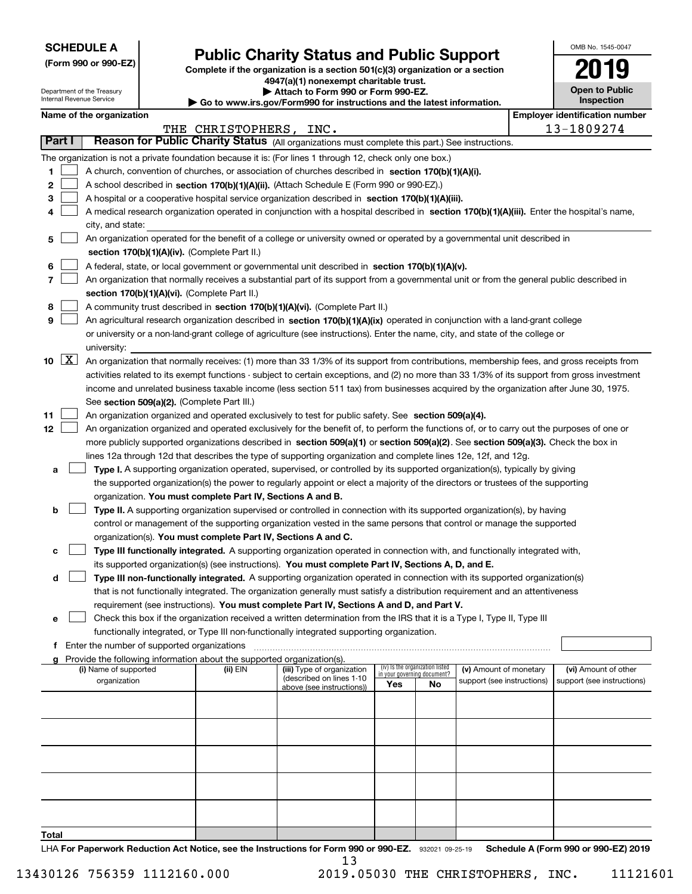| <b>SCHEDULE A</b> |
|-------------------|
|-------------------|

Department of the Treasury Internal Revenue Service

**(Form 990 or 990-EZ)**

# **Public Charity Status and Public Support**

**Complete if the organization is a section 501(c)(3) organization or a section 4947(a)(1) nonexempt charitable trust.**

**| Attach to Form 990 or Form 990-EZ.** 

**| Go to www.irs.gov/Form990 for instructions and the latest information.**

| OMB No. 1545-0047     |
|-----------------------|
| 2019                  |
| <b>Open to Public</b> |

|  |  |  |  |  |  | Inspection |  |  |
|--|--|--|--|--|--|------------|--|--|
|  |  |  |  |  |  |            |  |  |

|  |  | Name of the organization |
|--|--|--------------------------|
|--|--|--------------------------|

| Name of the organization |                     |                                                                                                                                               |                   |                                                       |                             | <b>Employer identification number</b> |                            |  |                            |
|--------------------------|---------------------|-----------------------------------------------------------------------------------------------------------------------------------------------|-------------------|-------------------------------------------------------|-----------------------------|---------------------------------------|----------------------------|--|----------------------------|
|                          |                     |                                                                                                                                               | THE CHRISTOPHERS, | INC.                                                  |                             |                                       |                            |  | 13-1809274                 |
|                          | Part I              | Reason for Public Charity Status (All organizations must complete this part.) See instructions.                                               |                   |                                                       |                             |                                       |                            |  |                            |
|                          |                     | The organization is not a private foundation because it is: (For lines 1 through 12, check only one box.)                                     |                   |                                                       |                             |                                       |                            |  |                            |
| 1.                       |                     | A church, convention of churches, or association of churches described in section 170(b)(1)(A)(i).                                            |                   |                                                       |                             |                                       |                            |  |                            |
| 2                        |                     | A school described in section 170(b)(1)(A)(ii). (Attach Schedule E (Form 990 or 990-EZ).)                                                     |                   |                                                       |                             |                                       |                            |  |                            |
| 3                        |                     | A hospital or a cooperative hospital service organization described in section 170(b)(1)(A)(iii).                                             |                   |                                                       |                             |                                       |                            |  |                            |
| 4                        |                     | A medical research organization operated in conjunction with a hospital described in section 170(b)(1)(A)(iii). Enter the hospital's name,    |                   |                                                       |                             |                                       |                            |  |                            |
|                          |                     | city, and state:                                                                                                                              |                   |                                                       |                             |                                       |                            |  |                            |
| 5                        |                     | An organization operated for the benefit of a college or university owned or operated by a governmental unit described in                     |                   |                                                       |                             |                                       |                            |  |                            |
|                          |                     | section 170(b)(1)(A)(iv). (Complete Part II.)                                                                                                 |                   |                                                       |                             |                                       |                            |  |                            |
| 6                        |                     | A federal, state, or local government or governmental unit described in section 170(b)(1)(A)(v).                                              |                   |                                                       |                             |                                       |                            |  |                            |
| 7                        |                     | An organization that normally receives a substantial part of its support from a governmental unit or from the general public described in     |                   |                                                       |                             |                                       |                            |  |                            |
|                          |                     | section 170(b)(1)(A)(vi). (Complete Part II.)                                                                                                 |                   |                                                       |                             |                                       |                            |  |                            |
| 8                        |                     | A community trust described in section 170(b)(1)(A)(vi). (Complete Part II.)                                                                  |                   |                                                       |                             |                                       |                            |  |                            |
| 9                        |                     | An agricultural research organization described in section 170(b)(1)(A)(ix) operated in conjunction with a land-grant college                 |                   |                                                       |                             |                                       |                            |  |                            |
|                          |                     | or university or a non-land-grant college of agriculture (see instructions). Enter the name, city, and state of the college or                |                   |                                                       |                             |                                       |                            |  |                            |
|                          |                     | university:                                                                                                                                   |                   |                                                       |                             |                                       |                            |  |                            |
| 10                       | $\lfloor x \rfloor$ | An organization that normally receives: (1) more than 33 1/3% of its support from contributions, membership fees, and gross receipts from     |                   |                                                       |                             |                                       |                            |  |                            |
|                          |                     | activities related to its exempt functions - subject to certain exceptions, and (2) no more than 33 1/3% of its support from gross investment |                   |                                                       |                             |                                       |                            |  |                            |
|                          |                     | income and unrelated business taxable income (less section 511 tax) from businesses acquired by the organization after June 30, 1975.         |                   |                                                       |                             |                                       |                            |  |                            |
|                          |                     | See section 509(a)(2). (Complete Part III.)                                                                                                   |                   |                                                       |                             |                                       |                            |  |                            |
| 11                       |                     | An organization organized and operated exclusively to test for public safety. See section 509(a)(4).                                          |                   |                                                       |                             |                                       |                            |  |                            |
| 12                       |                     | An organization organized and operated exclusively for the benefit of, to perform the functions of, or to carry out the purposes of one or    |                   |                                                       |                             |                                       |                            |  |                            |
|                          |                     | more publicly supported organizations described in section 509(a)(1) or section 509(a)(2). See section 509(a)(3). Check the box in            |                   |                                                       |                             |                                       |                            |  |                            |
|                          |                     | lines 12a through 12d that describes the type of supporting organization and complete lines 12e, 12f, and 12g.                                |                   |                                                       |                             |                                       |                            |  |                            |
| а                        |                     | Type I. A supporting organization operated, supervised, or controlled by its supported organization(s), typically by giving                   |                   |                                                       |                             |                                       |                            |  |                            |
|                          |                     | the supported organization(s) the power to regularly appoint or elect a majority of the directors or trustees of the supporting               |                   |                                                       |                             |                                       |                            |  |                            |
|                          |                     | organization. You must complete Part IV, Sections A and B.                                                                                    |                   |                                                       |                             |                                       |                            |  |                            |
| b                        |                     | Type II. A supporting organization supervised or controlled in connection with its supported organization(s), by having                       |                   |                                                       |                             |                                       |                            |  |                            |
|                          |                     | control or management of the supporting organization vested in the same persons that control or manage the supported                          |                   |                                                       |                             |                                       |                            |  |                            |
|                          |                     | organization(s). You must complete Part IV, Sections A and C.                                                                                 |                   |                                                       |                             |                                       |                            |  |                            |
| с                        |                     | Type III functionally integrated. A supporting organization operated in connection with, and functionally integrated with,                    |                   |                                                       |                             |                                       |                            |  |                            |
|                          |                     | its supported organization(s) (see instructions). You must complete Part IV, Sections A, D, and E.                                            |                   |                                                       |                             |                                       |                            |  |                            |
| d                        |                     | Type III non-functionally integrated. A supporting organization operated in connection with its supported organization(s)                     |                   |                                                       |                             |                                       |                            |  |                            |
|                          |                     | that is not functionally integrated. The organization generally must satisfy a distribution requirement and an attentiveness                  |                   |                                                       |                             |                                       |                            |  |                            |
|                          |                     | requirement (see instructions). You must complete Part IV, Sections A and D, and Part V.                                                      |                   |                                                       |                             |                                       |                            |  |                            |
|                          |                     | Check this box if the organization received a written determination from the IRS that it is a Type I, Type II, Type III                       |                   |                                                       |                             |                                       |                            |  |                            |
|                          |                     | functionally integrated, or Type III non-functionally integrated supporting organization.                                                     |                   |                                                       |                             |                                       |                            |  |                            |
|                          |                     | f Enter the number of supported organizations                                                                                                 |                   |                                                       |                             |                                       |                            |  |                            |
|                          |                     | g Provide the following information about the supported organization(s).                                                                      |                   |                                                       |                             |                                       |                            |  |                            |
|                          |                     | (i) Name of supported                                                                                                                         | (ii) EIN          | (iii) Type of organization                            | in your governing document? | (iv) Is the organization listed       | (v) Amount of monetary     |  | (vi) Amount of other       |
|                          |                     | organization                                                                                                                                  |                   | (described on lines 1-10<br>above (see instructions)) | Yes                         | No                                    | support (see instructions) |  | support (see instructions) |
|                          |                     |                                                                                                                                               |                   |                                                       |                             |                                       |                            |  |                            |
|                          |                     |                                                                                                                                               |                   |                                                       |                             |                                       |                            |  |                            |
|                          |                     |                                                                                                                                               |                   |                                                       |                             |                                       |                            |  |                            |
|                          |                     |                                                                                                                                               |                   |                                                       |                             |                                       |                            |  |                            |
|                          |                     |                                                                                                                                               |                   |                                                       |                             |                                       |                            |  |                            |
|                          |                     |                                                                                                                                               |                   |                                                       |                             |                                       |                            |  |                            |
|                          |                     |                                                                                                                                               |                   |                                                       |                             |                                       |                            |  |                            |
|                          |                     |                                                                                                                                               |                   |                                                       |                             |                                       |                            |  |                            |
|                          |                     |                                                                                                                                               |                   |                                                       |                             |                                       |                            |  |                            |
|                          |                     |                                                                                                                                               |                   |                                                       |                             |                                       |                            |  |                            |
| Total                    |                     |                                                                                                                                               |                   |                                                       |                             |                                       |                            |  |                            |

LHA For Paperwork Reduction Act Notice, see the Instructions for Form 990 or 990-EZ. 932021 09-25-19 Schedule A (Form 990 or 990-EZ) 2019 13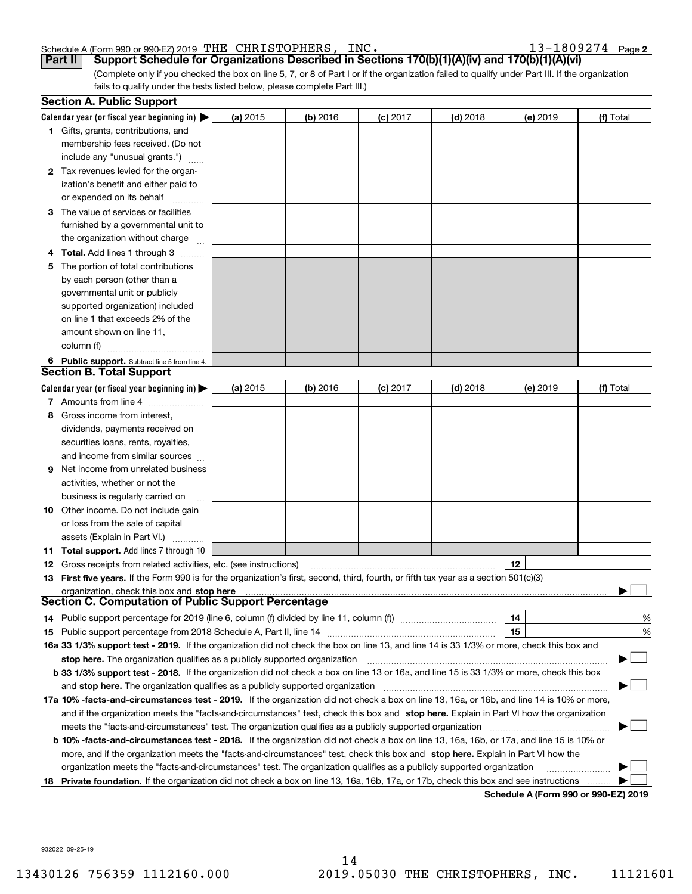### Schedule A (Form 990 or 990-EZ) 2019 Page THE CHRISTOPHERS, INC. 13-1809274

**2**

(Complete only if you checked the box on line 5, 7, or 8 of Part I or if the organization failed to qualify under Part III. If the organization fails to qualify under the tests listed below, please complete Part III.) **Part II Support Schedule for Organizations Described in Sections 170(b)(1)(A)(iv) and 170(b)(1)(A)(vi)**

|    | <b>Section A. Public Support</b>                                                                                                                                                                                                                                |                                                                                                                                                |            |            |            |            |           |  |
|----|-----------------------------------------------------------------------------------------------------------------------------------------------------------------------------------------------------------------------------------------------------------------|------------------------------------------------------------------------------------------------------------------------------------------------|------------|------------|------------|------------|-----------|--|
|    | Calendar year (or fiscal year beginning in) $\blacktriangleright$                                                                                                                                                                                               | (a) 2015                                                                                                                                       | $(b)$ 2016 | $(c)$ 2017 | $(d)$ 2018 | (e) 2019   | (f) Total |  |
|    | 1 Gifts, grants, contributions, and                                                                                                                                                                                                                             |                                                                                                                                                |            |            |            |            |           |  |
|    | membership fees received. (Do not                                                                                                                                                                                                                               |                                                                                                                                                |            |            |            |            |           |  |
|    | include any "unusual grants.")                                                                                                                                                                                                                                  |                                                                                                                                                |            |            |            |            |           |  |
|    | 2 Tax revenues levied for the organ-                                                                                                                                                                                                                            |                                                                                                                                                |            |            |            |            |           |  |
|    | ization's benefit and either paid to                                                                                                                                                                                                                            |                                                                                                                                                |            |            |            |            |           |  |
|    | or expended on its behalf                                                                                                                                                                                                                                       |                                                                                                                                                |            |            |            |            |           |  |
|    | 3 The value of services or facilities                                                                                                                                                                                                                           |                                                                                                                                                |            |            |            |            |           |  |
|    | furnished by a governmental unit to                                                                                                                                                                                                                             |                                                                                                                                                |            |            |            |            |           |  |
|    | the organization without charge                                                                                                                                                                                                                                 |                                                                                                                                                |            |            |            |            |           |  |
|    | 4 Total. Add lines 1 through 3                                                                                                                                                                                                                                  |                                                                                                                                                |            |            |            |            |           |  |
| 5. | The portion of total contributions                                                                                                                                                                                                                              |                                                                                                                                                |            |            |            |            |           |  |
|    | by each person (other than a                                                                                                                                                                                                                                    |                                                                                                                                                |            |            |            |            |           |  |
|    | governmental unit or publicly                                                                                                                                                                                                                                   |                                                                                                                                                |            |            |            |            |           |  |
|    | supported organization) included                                                                                                                                                                                                                                |                                                                                                                                                |            |            |            |            |           |  |
|    | on line 1 that exceeds 2% of the                                                                                                                                                                                                                                |                                                                                                                                                |            |            |            |            |           |  |
|    | amount shown on line 11,                                                                                                                                                                                                                                        |                                                                                                                                                |            |            |            |            |           |  |
|    | column (f)                                                                                                                                                                                                                                                      |                                                                                                                                                |            |            |            |            |           |  |
|    | 6 Public support. Subtract line 5 from line 4.                                                                                                                                                                                                                  |                                                                                                                                                |            |            |            |            |           |  |
|    | <b>Section B. Total Support</b>                                                                                                                                                                                                                                 |                                                                                                                                                |            |            |            |            |           |  |
|    | Calendar year (or fiscal year beginning in)                                                                                                                                                                                                                     | (a) 2015                                                                                                                                       | $(b)$ 2016 | $(c)$ 2017 | $(d)$ 2018 | $(e)$ 2019 | (f) Total |  |
|    | 7 Amounts from line 4                                                                                                                                                                                                                                           |                                                                                                                                                |            |            |            |            |           |  |
| 8  | Gross income from interest,                                                                                                                                                                                                                                     |                                                                                                                                                |            |            |            |            |           |  |
|    | dividends, payments received on                                                                                                                                                                                                                                 |                                                                                                                                                |            |            |            |            |           |  |
|    | securities loans, rents, royalties,                                                                                                                                                                                                                             |                                                                                                                                                |            |            |            |            |           |  |
|    | and income from similar sources                                                                                                                                                                                                                                 |                                                                                                                                                |            |            |            |            |           |  |
|    | <b>9</b> Net income from unrelated business                                                                                                                                                                                                                     |                                                                                                                                                |            |            |            |            |           |  |
|    | activities, whether or not the                                                                                                                                                                                                                                  |                                                                                                                                                |            |            |            |            |           |  |
|    | business is regularly carried on                                                                                                                                                                                                                                |                                                                                                                                                |            |            |            |            |           |  |
|    | <b>10</b> Other income. Do not include gain                                                                                                                                                                                                                     |                                                                                                                                                |            |            |            |            |           |  |
|    | or loss from the sale of capital                                                                                                                                                                                                                                |                                                                                                                                                |            |            |            |            |           |  |
|    | assets (Explain in Part VI.)                                                                                                                                                                                                                                    |                                                                                                                                                |            |            |            |            |           |  |
|    | <b>11 Total support.</b> Add lines 7 through 10                                                                                                                                                                                                                 |                                                                                                                                                |            |            |            |            |           |  |
|    | <b>12</b> Gross receipts from related activities, etc. (see instructions)                                                                                                                                                                                       |                                                                                                                                                |            |            |            | 12         |           |  |
|    | 13 First five years. If the Form 990 is for the organization's first, second, third, fourth, or fifth tax year as a section 501(c)(3)                                                                                                                           |                                                                                                                                                |            |            |            |            |           |  |
|    | organization, check this box and stop here                                                                                                                                                                                                                      |                                                                                                                                                |            |            |            |            |           |  |
|    | <b>Section C. Computation of Public Support Percentage</b>                                                                                                                                                                                                      |                                                                                                                                                |            |            |            |            |           |  |
|    | 14 Public support percentage for 2019 (line 6, column (f) divided by line 11, column (f) <i>marrourcommum</i>                                                                                                                                                   |                                                                                                                                                |            |            |            | 14         | %         |  |
|    |                                                                                                                                                                                                                                                                 |                                                                                                                                                |            |            |            | 15         | $\%$      |  |
|    | 16a 33 1/3% support test - 2019. If the organization did not check the box on line 13, and line 14 is 33 1/3% or more, check this box and                                                                                                                       |                                                                                                                                                |            |            |            |            |           |  |
|    | stop here. The organization qualifies as a publicly supported organization                                                                                                                                                                                      |                                                                                                                                                |            |            |            |            |           |  |
|    | b 33 1/3% support test - 2018. If the organization did not check a box on line 13 or 16a, and line 15 is 33 1/3% or more, check this box                                                                                                                        |                                                                                                                                                |            |            |            |            |           |  |
|    | and stop here. The organization qualifies as a publicly supported organization                                                                                                                                                                                  |                                                                                                                                                |            |            |            |            |           |  |
|    | 17a 10% -facts-and-circumstances test - 2019. If the organization did not check a box on line 13, 16a, or 16b, and line 14 is 10% or more,                                                                                                                      |                                                                                                                                                |            |            |            |            |           |  |
|    | and if the organization meets the "facts-and-circumstances" test, check this box and stop here. Explain in Part VI how the organization                                                                                                                         |                                                                                                                                                |            |            |            |            |           |  |
|    | meets the "facts-and-circumstances" test. The organization qualifies as a publicly supported organization                                                                                                                                                       |                                                                                                                                                |            |            |            |            |           |  |
|    |                                                                                                                                                                                                                                                                 | <b>b 10% -facts-and-circumstances test - 2018.</b> If the organization did not check a box on line 13, 16a, 16b, or 17a, and line 15 is 10% or |            |            |            |            |           |  |
|    |                                                                                                                                                                                                                                                                 |                                                                                                                                                |            |            |            |            |           |  |
|    | more, and if the organization meets the "facts-and-circumstances" test, check this box and stop here. Explain in Part VI how the                                                                                                                                |                                                                                                                                                |            |            |            |            |           |  |
|    | organization meets the "facts-and-circumstances" test. The organization qualifies as a publicly supported organization<br>18 Private foundation. If the organization did not check a box on line 13, 16a, 16b, 17a, or 17b, check this box and see instructions |                                                                                                                                                |            |            |            |            |           |  |

**Schedule A (Form 990 or 990-EZ) 2019**

932022 09-25-19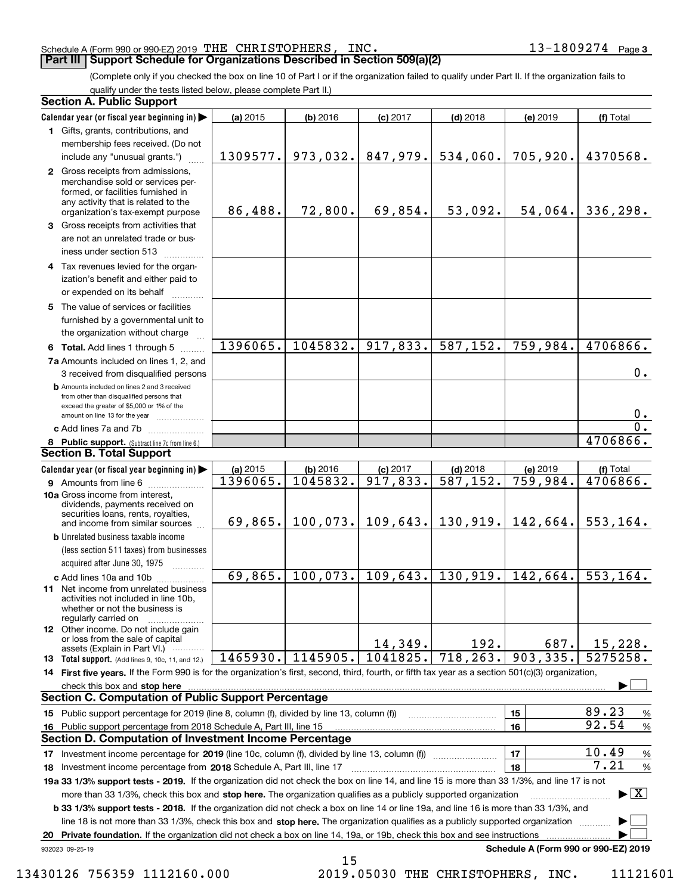## Schedule A (Form 990 or 990-EZ) 2019 Page THE CHRISTOPHERS, INC. 13-1809274

## **Part III | Support Schedule for Organizations Described in Section 509(a)(2)**

(Complete only if you checked the box on line 10 of Part I or if the organization failed to qualify under Part II. If the organization fails to qualify under the tests listed below, please complete Part II.)

|    | <b>Section A. Public Support</b>                                                                                                                                                         |          |          |            |            |                                      |                                          |
|----|------------------------------------------------------------------------------------------------------------------------------------------------------------------------------------------|----------|----------|------------|------------|--------------------------------------|------------------------------------------|
|    | Calendar year (or fiscal year beginning in)                                                                                                                                              | (a) 2015 | (b) 2016 | $(c)$ 2017 | $(d)$ 2018 | (e) 2019                             | (f) Total                                |
|    | 1 Gifts, grants, contributions, and                                                                                                                                                      |          |          |            |            |                                      |                                          |
|    | membership fees received. (Do not                                                                                                                                                        |          |          |            |            |                                      |                                          |
|    | include any "unusual grants.")                                                                                                                                                           | 1309577. | 973,032. | 847,979.   | 534,060.   | 705,920.                             | 4370568.                                 |
|    | 2 Gross receipts from admissions,<br>merchandise sold or services per-<br>formed, or facilities furnished in<br>any activity that is related to the<br>organization's tax-exempt purpose | 86,488.  | 72,800.  | 69,854.    | 53,092.    | 54,064.                              | 336, 298.                                |
|    | 3 Gross receipts from activities that<br>are not an unrelated trade or bus-<br>iness under section 513                                                                                   |          |          |            |            |                                      |                                          |
|    |                                                                                                                                                                                          |          |          |            |            |                                      |                                          |
|    | 4 Tax revenues levied for the organ-<br>ization's benefit and either paid to<br>or expended on its behalf                                                                                |          |          |            |            |                                      |                                          |
|    | 5 The value of services or facilities<br>furnished by a governmental unit to<br>the organization without charge                                                                          |          |          |            |            |                                      |                                          |
|    | 6 Total. Add lines 1 through 5                                                                                                                                                           | 1396065. | 1045832. | 917,833.   | 587, 152.  | 759,984.                             | 4706866.                                 |
|    | 7a Amounts included on lines 1, 2, and                                                                                                                                                   |          |          |            |            |                                      |                                          |
|    | 3 received from disqualified persons                                                                                                                                                     |          |          |            |            |                                      | 0.                                       |
|    | <b>b</b> Amounts included on lines 2 and 3 received<br>from other than disqualified persons that<br>exceed the greater of \$5,000 or 1% of the                                           |          |          |            |            |                                      | 0.                                       |
|    | amount on line 13 for the year                                                                                                                                                           |          |          |            |            |                                      | $\overline{0}$ .                         |
|    | c Add lines 7a and 7b                                                                                                                                                                    |          |          |            |            |                                      | 4706866.                                 |
|    | 8 Public support. (Subtract line 7c from line 6.)<br><b>Section B. Total Support</b>                                                                                                     |          |          |            |            |                                      |                                          |
|    | Calendar year (or fiscal year beginning in)                                                                                                                                              | (a) 2015 | (b) 2016 | $(c)$ 2017 | $(d)$ 2018 | (e) 2019                             | (f) Total                                |
|    | <b>9</b> Amounts from line 6                                                                                                                                                             | 1396065. | 1045832. | 917,833.   | 587, 152.  | 759,984.                             | 4706866.                                 |
|    | 10a Gross income from interest,<br>dividends, payments received on<br>securities loans, rents, royalties,<br>and income from similar sources                                             | 69,865.  | 100,073. | 109,643.   | 130,919.   | 142,664.                             | 553,164.                                 |
|    | <b>b</b> Unrelated business taxable income                                                                                                                                               |          |          |            |            |                                      |                                          |
|    | (less section 511 taxes) from businesses<br>acquired after June 30, 1975                                                                                                                 |          |          |            |            |                                      |                                          |
|    | c Add lines 10a and 10b                                                                                                                                                                  | 69,865.  | 100,073. | 109,643.   | 130,919.   | 142,664.                             | 553, 164.                                |
|    | 11 Net income from unrelated business<br>activities not included in line 10b,<br>whether or not the business is<br>regularly carried on                                                  |          |          |            |            |                                      |                                          |
|    | <b>12</b> Other income. Do not include gain<br>or loss from the sale of capital<br>assets (Explain in Part VI.)                                                                          |          |          | 14,349.    | 192.       | 687.                                 | 15,228.                                  |
|    | 13 Total support. (Add lines 9, 10c, 11, and 12.)                                                                                                                                        | 1465930. | 1145905. | 1041825.   | 718, 263.  | 903, 335.                            | $\overline{5}$ 275258.                   |
|    | 14 First five years. If the Form 990 is for the organization's first, second, third, fourth, or fifth tax year as a section 501(c)(3) organization,                                      |          |          |            |            |                                      |                                          |
|    | check this box and stop here                                                                                                                                                             |          |          |            |            |                                      |                                          |
|    | <b>Section C. Computation of Public Support Percentage</b>                                                                                                                               |          |          |            |            |                                      |                                          |
|    | 15 Public support percentage for 2019 (line 8, column (f), divided by line 13, column (f))                                                                                               |          |          |            |            | 15                                   | 89.23<br>%                               |
|    | 16 Public support percentage from 2018 Schedule A, Part III, line 15                                                                                                                     |          |          |            |            | 16                                   | 92.54<br>$\%$                            |
|    | <b>Section D. Computation of Investment Income Percentage</b>                                                                                                                            |          |          |            |            |                                      |                                          |
|    | 17 Investment income percentage for 2019 (line 10c, column (f), divided by line 13, column (f))                                                                                          |          |          |            |            | 17                                   | 10.49<br>%                               |
|    | <b>18</b> Investment income percentage from <b>2018</b> Schedule A, Part III, line 17                                                                                                    |          |          |            |            | 18                                   | 7.21<br>$\%$                             |
|    | 19a 33 1/3% support tests - 2019. If the organization did not check the box on line 14, and line 15 is more than 33 1/3%, and line 17 is not                                             |          |          |            |            |                                      |                                          |
|    | more than 33 1/3%, check this box and stop here. The organization qualifies as a publicly supported organization                                                                         |          |          |            |            |                                      | $\blacktriangleright$ $\boxed{\text{X}}$ |
|    | b 33 1/3% support tests - 2018. If the organization did not check a box on line 14 or line 19a, and line 16 is more than 33 1/3%, and                                                    |          |          |            |            |                                      |                                          |
|    | line 18 is not more than 33 1/3%, check this box and stop here. The organization qualifies as a publicly supported organization                                                          |          |          |            |            |                                      |                                          |
| 20 | <b>Private foundation.</b> If the organization did not check a box on line 14, 19a, or 19b, check this box and see instructions                                                          |          |          |            |            |                                      |                                          |
|    | 932023 09-25-19                                                                                                                                                                          |          |          |            |            | Schedule A (Form 990 or 990-EZ) 2019 |                                          |

## 13430126 756359 1112160.000 2019.05030 THE CHRISTOPHERS, INC. 11121601

15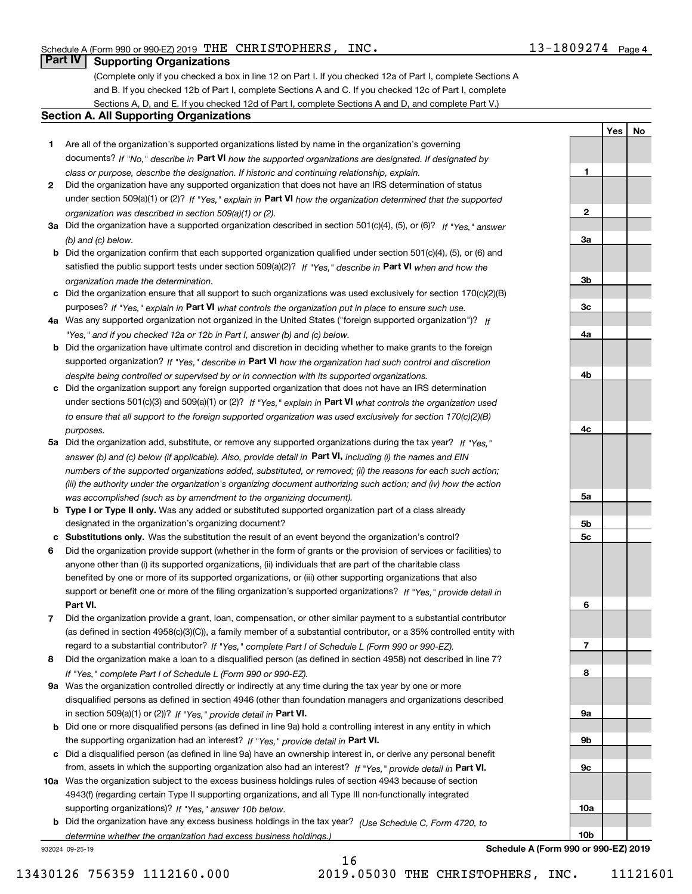**1**

**2**

**3a**

**3b**

**3c**

**4a**

**4b**

**4c**

**5a**

**5b5c**

**6**

**7**

**8**

**9a**

**9b**

**9c**

**10a**

**10b**

**YesNo**

## **Part IV Supporting Organizations**

(Complete only if you checked a box in line 12 on Part I. If you checked 12a of Part I, complete Sections A and B. If you checked 12b of Part I, complete Sections A and C. If you checked 12c of Part I, complete Sections A, D, and E. If you checked 12d of Part I, complete Sections A and D, and complete Part V.)

### **Section A. All Supporting Organizations**

- **1** Are all of the organization's supported organizations listed by name in the organization's governing documents? If "No," describe in **Part VI** how the supported organizations are designated. If designated by *class or purpose, describe the designation. If historic and continuing relationship, explain.*
- **2** Did the organization have any supported organization that does not have an IRS determination of status under section 509(a)(1) or (2)? If "Yes," explain in Part VI how the organization determined that the supported *organization was described in section 509(a)(1) or (2).*
- **3a** Did the organization have a supported organization described in section 501(c)(4), (5), or (6)? If "Yes," answer *(b) and (c) below.*
- **b** Did the organization confirm that each supported organization qualified under section 501(c)(4), (5), or (6) and satisfied the public support tests under section 509(a)(2)? If "Yes," describe in **Part VI** when and how the *organization made the determination.*
- **c**Did the organization ensure that all support to such organizations was used exclusively for section 170(c)(2)(B) purposes? If "Yes," explain in **Part VI** what controls the organization put in place to ensure such use.
- **4a***If* Was any supported organization not organized in the United States ("foreign supported organization")? *"Yes," and if you checked 12a or 12b in Part I, answer (b) and (c) below.*
- **b** Did the organization have ultimate control and discretion in deciding whether to make grants to the foreign supported organization? If "Yes," describe in **Part VI** how the organization had such control and discretion *despite being controlled or supervised by or in connection with its supported organizations.*
- **c** Did the organization support any foreign supported organization that does not have an IRS determination under sections 501(c)(3) and 509(a)(1) or (2)? If "Yes," explain in **Part VI** what controls the organization used *to ensure that all support to the foreign supported organization was used exclusively for section 170(c)(2)(B) purposes.*
- **5a** Did the organization add, substitute, or remove any supported organizations during the tax year? If "Yes," answer (b) and (c) below (if applicable). Also, provide detail in **Part VI,** including (i) the names and EIN *numbers of the supported organizations added, substituted, or removed; (ii) the reasons for each such action; (iii) the authority under the organization's organizing document authorizing such action; and (iv) how the action was accomplished (such as by amendment to the organizing document).*
- **b** Type I or Type II only. Was any added or substituted supported organization part of a class already designated in the organization's organizing document?
- **cSubstitutions only.**  Was the substitution the result of an event beyond the organization's control?
- **6** Did the organization provide support (whether in the form of grants or the provision of services or facilities) to **Part VI.** *If "Yes," provide detail in* support or benefit one or more of the filing organization's supported organizations? anyone other than (i) its supported organizations, (ii) individuals that are part of the charitable class benefited by one or more of its supported organizations, or (iii) other supporting organizations that also
- **7**Did the organization provide a grant, loan, compensation, or other similar payment to a substantial contributor *If "Yes," complete Part I of Schedule L (Form 990 or 990-EZ).* regard to a substantial contributor? (as defined in section 4958(c)(3)(C)), a family member of a substantial contributor, or a 35% controlled entity with
- **8** Did the organization make a loan to a disqualified person (as defined in section 4958) not described in line 7? *If "Yes," complete Part I of Schedule L (Form 990 or 990-EZ).*
- **9a** Was the organization controlled directly or indirectly at any time during the tax year by one or more in section 509(a)(1) or (2))? If "Yes," *provide detail in* <code>Part VI.</code> disqualified persons as defined in section 4946 (other than foundation managers and organizations described
- **b** Did one or more disqualified persons (as defined in line 9a) hold a controlling interest in any entity in which the supporting organization had an interest? If "Yes," provide detail in P**art VI**.
- **c**Did a disqualified person (as defined in line 9a) have an ownership interest in, or derive any personal benefit from, assets in which the supporting organization also had an interest? If "Yes," provide detail in P**art VI.**
- **10a** Was the organization subject to the excess business holdings rules of section 4943 because of section supporting organizations)? If "Yes," answer 10b below. 4943(f) (regarding certain Type II supporting organizations, and all Type III non-functionally integrated
- **b** Did the organization have any excess business holdings in the tax year? (Use Schedule C, Form 4720, to *determine whether the organization had excess business holdings.)*

16

932024 09-25-19

**Schedule A (Form 990 or 990-EZ) 2019**

13430126 756359 1112160.000 2019.05030 THE CHRISTOPHERS, INC. 11121601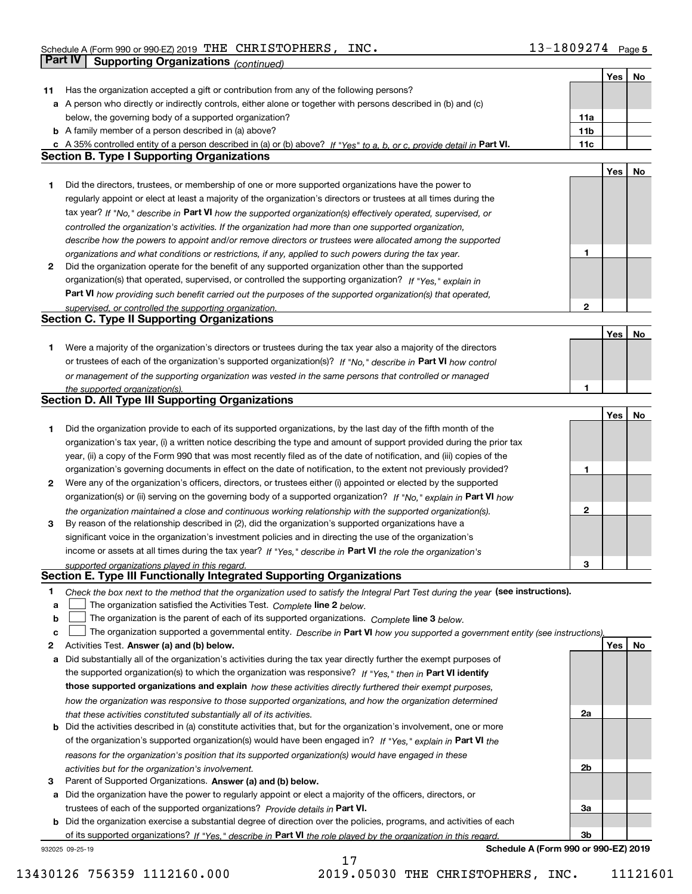|    | Part IV<br><b>Supporting Organizations (continued)</b>                                                                                                                                                 |                 |     |    |
|----|--------------------------------------------------------------------------------------------------------------------------------------------------------------------------------------------------------|-----------------|-----|----|
|    |                                                                                                                                                                                                        |                 | Yes | No |
| 11 | Has the organization accepted a gift or contribution from any of the following persons?                                                                                                                |                 |     |    |
|    | a A person who directly or indirectly controls, either alone or together with persons described in (b) and (c)                                                                                         |                 |     |    |
|    | below, the governing body of a supported organization?                                                                                                                                                 | 11a             |     |    |
|    | <b>b</b> A family member of a person described in (a) above?                                                                                                                                           | 11 <sub>b</sub> |     |    |
|    | c A 35% controlled entity of a person described in (a) or (b) above? If "Yes" to a, b, or c, provide detail in Part VI.                                                                                | 11c             |     |    |
|    | <b>Section B. Type I Supporting Organizations</b>                                                                                                                                                      |                 |     |    |
|    |                                                                                                                                                                                                        |                 | Yes | No |
| 1  | Did the directors, trustees, or membership of one or more supported organizations have the power to                                                                                                    |                 |     |    |
|    |                                                                                                                                                                                                        |                 |     |    |
|    | regularly appoint or elect at least a majority of the organization's directors or trustees at all times during the                                                                                     |                 |     |    |
|    | tax year? If "No," describe in Part VI how the supported organization(s) effectively operated, supervised, or                                                                                          |                 |     |    |
|    | controlled the organization's activities. If the organization had more than one supported organization,                                                                                                |                 |     |    |
|    | describe how the powers to appoint and/or remove directors or trustees were allocated among the supported                                                                                              |                 |     |    |
|    | organizations and what conditions or restrictions, if any, applied to such powers during the tax year.                                                                                                 | 1               |     |    |
| 2  | Did the organization operate for the benefit of any supported organization other than the supported                                                                                                    |                 |     |    |
|    | organization(s) that operated, supervised, or controlled the supporting organization? If "Yes," explain in                                                                                             |                 |     |    |
|    | Part VI how providing such benefit carried out the purposes of the supported organization(s) that operated,                                                                                            |                 |     |    |
|    | supervised, or controlled the supporting organization.                                                                                                                                                 | 2               |     |    |
|    | <b>Section C. Type II Supporting Organizations</b>                                                                                                                                                     |                 |     |    |
|    |                                                                                                                                                                                                        |                 | Yes | No |
| 1. | Were a majority of the organization's directors or trustees during the tax year also a majority of the directors                                                                                       |                 |     |    |
|    | or trustees of each of the organization's supported organization(s)? If "No," describe in Part VI how control                                                                                          |                 |     |    |
|    | or management of the supporting organization was vested in the same persons that controlled or managed                                                                                                 |                 |     |    |
|    | the supported organization(s).                                                                                                                                                                         | 1               |     |    |
|    | <b>Section D. All Type III Supporting Organizations</b>                                                                                                                                                |                 |     |    |
|    |                                                                                                                                                                                                        |                 | Yes | No |
| 1  | Did the organization provide to each of its supported organizations, by the last day of the fifth month of the                                                                                         |                 |     |    |
|    | organization's tax year, (i) a written notice describing the type and amount of support provided during the prior tax                                                                                  |                 |     |    |
|    | year, (ii) a copy of the Form 990 that was most recently filed as of the date of notification, and (iii) copies of the                                                                                 |                 |     |    |
|    | organization's governing documents in effect on the date of notification, to the extent not previously provided?                                                                                       | 1               |     |    |
| 2  | Were any of the organization's officers, directors, or trustees either (i) appointed or elected by the supported                                                                                       |                 |     |    |
|    | organization(s) or (ii) serving on the governing body of a supported organization? If "No, " explain in Part VI how                                                                                    |                 |     |    |
|    | the organization maintained a close and continuous working relationship with the supported organization(s).                                                                                            | 2               |     |    |
| 3  | By reason of the relationship described in (2), did the organization's supported organizations have a                                                                                                  |                 |     |    |
|    | significant voice in the organization's investment policies and in directing the use of the organization's                                                                                             |                 |     |    |
|    | income or assets at all times during the tax year? If "Yes," describe in Part VI the role the organization's                                                                                           |                 |     |    |
|    | supported organizations played in this regard.                                                                                                                                                         | 3               |     |    |
|    | Section E. Type III Functionally Integrated Supporting Organizations                                                                                                                                   |                 |     |    |
| 1  | Check the box next to the method that the organization used to satisfy the Integral Part Test during the year (see instructions).                                                                      |                 |     |    |
| a  | The organization satisfied the Activities Test. Complete line 2 below.                                                                                                                                 |                 |     |    |
| b  | The organization is the parent of each of its supported organizations. Complete line 3 below.                                                                                                          |                 |     |    |
| c  | The organization supported a governmental entity. Describe in Part VI how you supported a government entity (see instructions),                                                                        |                 |     |    |
| 2  | Activities Test. Answer (a) and (b) below.                                                                                                                                                             |                 | Yes | No |
| а  | Did substantially all of the organization's activities during the tax year directly further the exempt purposes of                                                                                     |                 |     |    |
|    | the supported organization(s) to which the organization was responsive? If "Yes," then in Part VI identify                                                                                             |                 |     |    |
|    | those supported organizations and explain how these activities directly furthered their exempt purposes,                                                                                               |                 |     |    |
|    | how the organization was responsive to those supported organizations, and how the organization determined                                                                                              |                 |     |    |
|    |                                                                                                                                                                                                        | 2a              |     |    |
|    | that these activities constituted substantially all of its activities.<br><b>b</b> Did the activities described in (a) constitute activities that, but for the organization's involvement, one or more |                 |     |    |
|    |                                                                                                                                                                                                        |                 |     |    |
|    | of the organization's supported organization(s) would have been engaged in? If "Yes," explain in Part VI the                                                                                           |                 |     |    |
|    | reasons for the organization's position that its supported organization(s) would have engaged in these                                                                                                 | 2b              |     |    |
|    | activities but for the organization's involvement.                                                                                                                                                     |                 |     |    |
| з  | Parent of Supported Organizations. Answer (a) and (b) below.                                                                                                                                           |                 |     |    |
|    | a Did the organization have the power to regularly appoint or elect a majority of the officers, directors, or                                                                                          |                 |     |    |
|    | trustees of each of the supported organizations? Provide details in Part VI.                                                                                                                           | 3a              |     |    |
|    | <b>b</b> Did the organization exercise a substantial degree of direction over the policies, programs, and activities of each                                                                           |                 |     |    |
|    | of its supported organizations? If "Yes," describe in Part VI the role played by the organization in this regard                                                                                       | 3b              |     |    |
|    | Schedule A (Form 990 or 990-EZ) 2019<br>932025 09-25-19                                                                                                                                                |                 |     |    |

13430126 756359 1112160.000 2019.05030 THE CHRISTOPHERS, INC. 11121601

17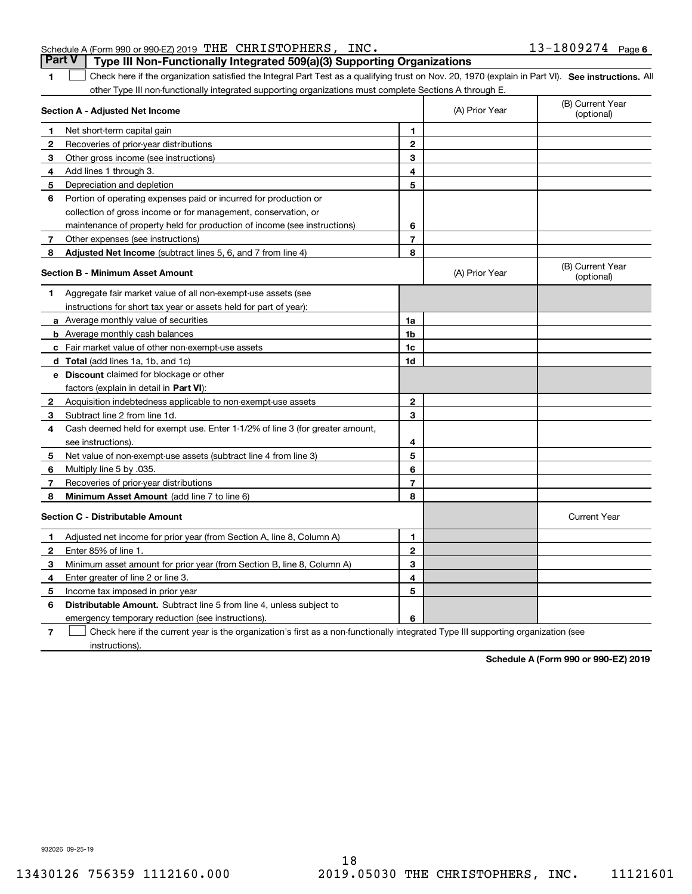## Schedule A (Form 990 or 990-EZ) 2019 Page THE CHRISTOPHERS, INC. 13-1809274 **Part V Type III Non-Functionally Integrated 509(a)(3) Supporting Organizations**

**1**

1 Check here if the organization satisfied the Integral Part Test as a qualifying trust on Nov. 20, 1970 (explain in Part VI). See instructions. All other Type III non-functionally integrated supporting organizations must complete Sections A through E.

|             | Section A - Adjusted Net Income                                                                                                   |                | (A) Prior Year | (B) Current Year<br>(optional) |
|-------------|-----------------------------------------------------------------------------------------------------------------------------------|----------------|----------------|--------------------------------|
| 1.          | Net short term capital gain                                                                                                       | 1              |                |                                |
| 2           | Recoveries of prior-year distributions                                                                                            | $\overline{2}$ |                |                                |
| 3           | Other gross income (see instructions)                                                                                             | 3              |                |                                |
| 4           | Add lines 1 through 3.                                                                                                            | 4              |                |                                |
| 5           | Depreciation and depletion                                                                                                        | 5              |                |                                |
| 6           | Portion of operating expenses paid or incurred for production or                                                                  |                |                |                                |
|             | collection of gross income or for management, conservation, or                                                                    |                |                |                                |
|             | maintenance of property held for production of income (see instructions)                                                          | 6              |                |                                |
| 7           | Other expenses (see instructions)                                                                                                 | $\overline{7}$ |                |                                |
| 8           | Adjusted Net Income (subtract lines 5, 6, and 7 from line 4)                                                                      | 8              |                |                                |
|             | <b>Section B - Minimum Asset Amount</b>                                                                                           |                | (A) Prior Year | (B) Current Year<br>(optional) |
| 1           | Aggregate fair market value of all non-exempt-use assets (see                                                                     |                |                |                                |
|             | instructions for short tax year or assets held for part of year):                                                                 |                |                |                                |
|             | a Average monthly value of securities                                                                                             | 1a             |                |                                |
|             | <b>b</b> Average monthly cash balances                                                                                            | 1 <sub>b</sub> |                |                                |
|             | c Fair market value of other non-exempt-use assets                                                                                | 1c             |                |                                |
|             | d Total (add lines 1a, 1b, and 1c)                                                                                                | 1d             |                |                                |
|             | e Discount claimed for blockage or other                                                                                          |                |                |                                |
|             | factors (explain in detail in <b>Part VI</b> ):                                                                                   |                |                |                                |
| 2           | Acquisition indebtedness applicable to non-exempt-use assets                                                                      | 2              |                |                                |
| 3           | Subtract line 2 from line 1d.                                                                                                     | 3              |                |                                |
| 4           | Cash deemed held for exempt use. Enter 1-1/2% of line 3 (for greater amount,                                                      |                |                |                                |
|             | see instructions)                                                                                                                 | 4              |                |                                |
| 5           | Net value of non-exempt-use assets (subtract line 4 from line 3)                                                                  | 5              |                |                                |
| 6           | Multiply line 5 by .035.                                                                                                          | 6              |                |                                |
| 7           | Recoveries of prior-year distributions                                                                                            | $\overline{7}$ |                |                                |
| 8           | Minimum Asset Amount (add line 7 to line 6)                                                                                       | 8              |                |                                |
|             | <b>Section C - Distributable Amount</b>                                                                                           |                |                | <b>Current Year</b>            |
| $\mathbf 1$ | Adjusted net income for prior year (from Section A, line 8, Column A)                                                             | 1              |                |                                |
| 2           | Enter 85% of line 1.                                                                                                              | $\overline{2}$ |                |                                |
| з           | Minimum asset amount for prior year (from Section B, line 8, Column A)                                                            | 3              |                |                                |
| 4           | Enter greater of line 2 or line 3.                                                                                                | 4              |                |                                |
| 5           | Income tax imposed in prior year                                                                                                  | 5              |                |                                |
| 6           | <b>Distributable Amount.</b> Subtract line 5 from line 4, unless subject to                                                       |                |                |                                |
|             | emergency temporary reduction (see instructions).                                                                                 | 6              |                |                                |
| 7           | Check here if the current year is the organization's first as a non-functionally integrated Type III supporting organization (see |                |                |                                |

instructions).

**Schedule A (Form 990 or 990-EZ) 2019**

932026 09-25-19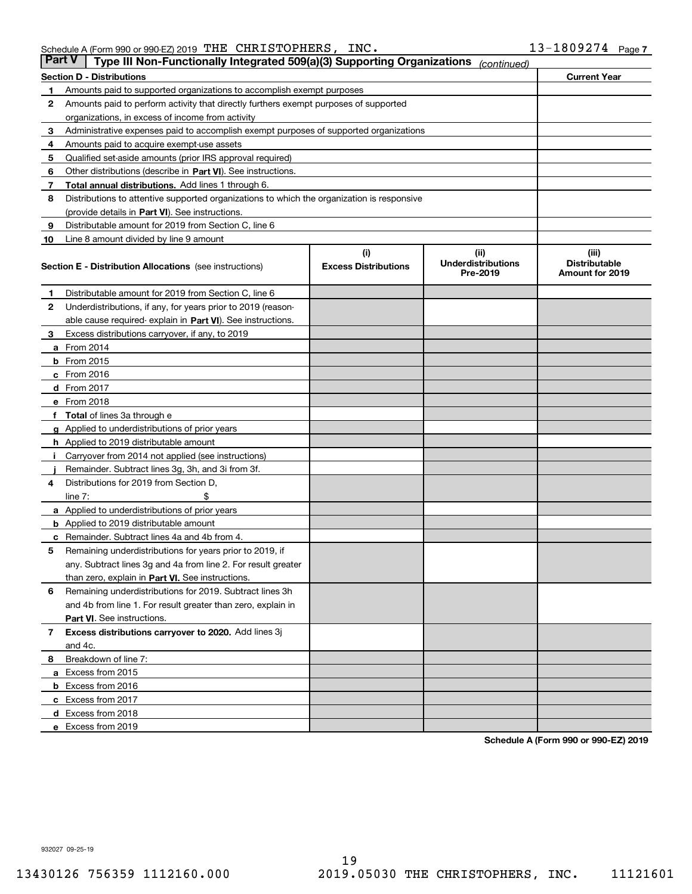Schedule A (Form 990 or 990-EZ) 2019 Page THE CHRISTOPHERS, INC. 13-1809274

| Part V | Type III Non-Functionally Integrated 509(a)(3) Supporting Organizations                    |                             | (continued)                           |                                                |  |  |  |  |
|--------|--------------------------------------------------------------------------------------------|-----------------------------|---------------------------------------|------------------------------------------------|--|--|--|--|
|        | <b>Section D - Distributions</b><br><b>Current Year</b>                                    |                             |                                       |                                                |  |  |  |  |
| 1      | Amounts paid to supported organizations to accomplish exempt purposes                      |                             |                                       |                                                |  |  |  |  |
| 2      | Amounts paid to perform activity that directly furthers exempt purposes of supported       |                             |                                       |                                                |  |  |  |  |
|        | organizations, in excess of income from activity                                           |                             |                                       |                                                |  |  |  |  |
| з      | Administrative expenses paid to accomplish exempt purposes of supported organizations      |                             |                                       |                                                |  |  |  |  |
| 4      | Amounts paid to acquire exempt-use assets                                                  |                             |                                       |                                                |  |  |  |  |
| 5      | Qualified set-aside amounts (prior IRS approval required)                                  |                             |                                       |                                                |  |  |  |  |
| 6      | Other distributions (describe in Part VI). See instructions.                               |                             |                                       |                                                |  |  |  |  |
| 7      | Total annual distributions. Add lines 1 through 6.                                         |                             |                                       |                                                |  |  |  |  |
| 8      | Distributions to attentive supported organizations to which the organization is responsive |                             |                                       |                                                |  |  |  |  |
|        | (provide details in Part VI). See instructions.                                            |                             |                                       |                                                |  |  |  |  |
| 9      | Distributable amount for 2019 from Section C, line 6                                       |                             |                                       |                                                |  |  |  |  |
| 10     | Line 8 amount divided by line 9 amount                                                     |                             |                                       |                                                |  |  |  |  |
|        |                                                                                            | (i)                         | (ii)                                  | (iii)                                          |  |  |  |  |
|        | <b>Section E - Distribution Allocations</b> (see instructions)                             | <b>Excess Distributions</b> | <b>Underdistributions</b><br>Pre-2019 | <b>Distributable</b><br><b>Amount for 2019</b> |  |  |  |  |
| 1      | Distributable amount for 2019 from Section C, line 6                                       |                             |                                       |                                                |  |  |  |  |
| 2      | Underdistributions, if any, for years prior to 2019 (reason-                               |                             |                                       |                                                |  |  |  |  |
|        | able cause required- explain in Part VI). See instructions.                                |                             |                                       |                                                |  |  |  |  |
| 3      | Excess distributions carryover, if any, to 2019                                            |                             |                                       |                                                |  |  |  |  |
|        | <b>a</b> From 2014                                                                         |                             |                                       |                                                |  |  |  |  |
|        | <b>b</b> From 2015                                                                         |                             |                                       |                                                |  |  |  |  |
|        | $c$ From 2016                                                                              |                             |                                       |                                                |  |  |  |  |
|        | d From 2017                                                                                |                             |                                       |                                                |  |  |  |  |
|        | e From 2018                                                                                |                             |                                       |                                                |  |  |  |  |
| f      | Total of lines 3a through e                                                                |                             |                                       |                                                |  |  |  |  |
|        | <b>g</b> Applied to underdistributions of prior years                                      |                             |                                       |                                                |  |  |  |  |
|        | <b>h</b> Applied to 2019 distributable amount                                              |                             |                                       |                                                |  |  |  |  |
|        | Carryover from 2014 not applied (see instructions)                                         |                             |                                       |                                                |  |  |  |  |
|        | Remainder. Subtract lines 3g, 3h, and 3i from 3f.                                          |                             |                                       |                                                |  |  |  |  |
| 4      | Distributions for 2019 from Section D,                                                     |                             |                                       |                                                |  |  |  |  |
|        | line $7:$                                                                                  |                             |                                       |                                                |  |  |  |  |
|        | <b>a</b> Applied to underdistributions of prior years                                      |                             |                                       |                                                |  |  |  |  |
|        | <b>b</b> Applied to 2019 distributable amount                                              |                             |                                       |                                                |  |  |  |  |
| c      | Remainder. Subtract lines 4a and 4b from 4.                                                |                             |                                       |                                                |  |  |  |  |
| 5      | Remaining underdistributions for years prior to 2019, if                                   |                             |                                       |                                                |  |  |  |  |
|        | any. Subtract lines 3g and 4a from line 2. For result greater                              |                             |                                       |                                                |  |  |  |  |
|        | than zero, explain in Part VI. See instructions.                                           |                             |                                       |                                                |  |  |  |  |
| 6      | Remaining underdistributions for 2019. Subtract lines 3h                                   |                             |                                       |                                                |  |  |  |  |
|        | and 4b from line 1. For result greater than zero, explain in                               |                             |                                       |                                                |  |  |  |  |
|        |                                                                                            |                             |                                       |                                                |  |  |  |  |
|        | <b>Part VI.</b> See instructions.                                                          |                             |                                       |                                                |  |  |  |  |
| 7      | Excess distributions carryover to 2020. Add lines 3j                                       |                             |                                       |                                                |  |  |  |  |
|        | and 4c.                                                                                    |                             |                                       |                                                |  |  |  |  |
| 8      | Breakdown of line 7:                                                                       |                             |                                       |                                                |  |  |  |  |
|        | a Excess from 2015                                                                         |                             |                                       |                                                |  |  |  |  |
|        | <b>b</b> Excess from 2016                                                                  |                             |                                       |                                                |  |  |  |  |
|        | c Excess from 2017                                                                         |                             |                                       |                                                |  |  |  |  |
|        | d Excess from 2018                                                                         |                             |                                       |                                                |  |  |  |  |
|        | e Excess from 2019                                                                         |                             |                                       |                                                |  |  |  |  |

**Schedule A (Form 990 or 990-EZ) 2019**

932027 09-25-19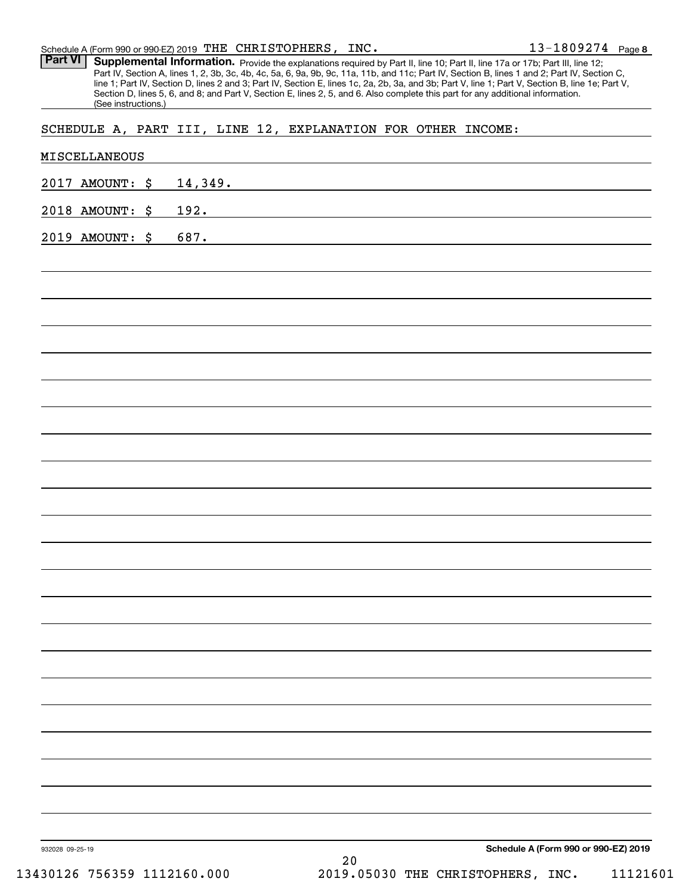Schedule A (Form 990 or 990-EZ) 2019 Page THE CHRISTOPHERS, INC.

**8** 13-1809274

Part VI | Supplemental Information. Provide the explanations required by Part II, line 10; Part II, line 17a or 17b; Part III, line 12; Part IV, Section A, lines 1, 2, 3b, 3c, 4b, 4c, 5a, 6, 9a, 9b, 9c, 11a, 11b, and 11c; Part IV, Section B, lines 1 and 2; Part IV, Section C, line 1; Part IV, Section D, lines 2 and 3; Part IV, Section E, lines 1c, 2a, 2b, 3a, and 3b; Part V, line 1; Part V, Section B, line 1e; Part V, Section D, lines 5, 6, and 8; and Part V, Section E, lines 2, 5, and 6. Also complete this part for any additional information. (See instructions.)

SCHEDULE A, PART III, LINE 12, EXPLANATION FOR OTHER INCOME:

| 2018 AMOUNT: \$ | 192. |
|-----------------|------|
| 2019 AMOUNT: \$ | 687. |
|                 |      |
|                 |      |
|                 |      |
|                 |      |
|                 |      |
|                 |      |
|                 |      |
|                 |      |
|                 |      |
|                 |      |
|                 |      |
|                 |      |
|                 |      |
|                 |      |
|                 |      |
|                 |      |
|                 |      |
|                 |      |
|                 |      |
|                 |      |
|                 |      |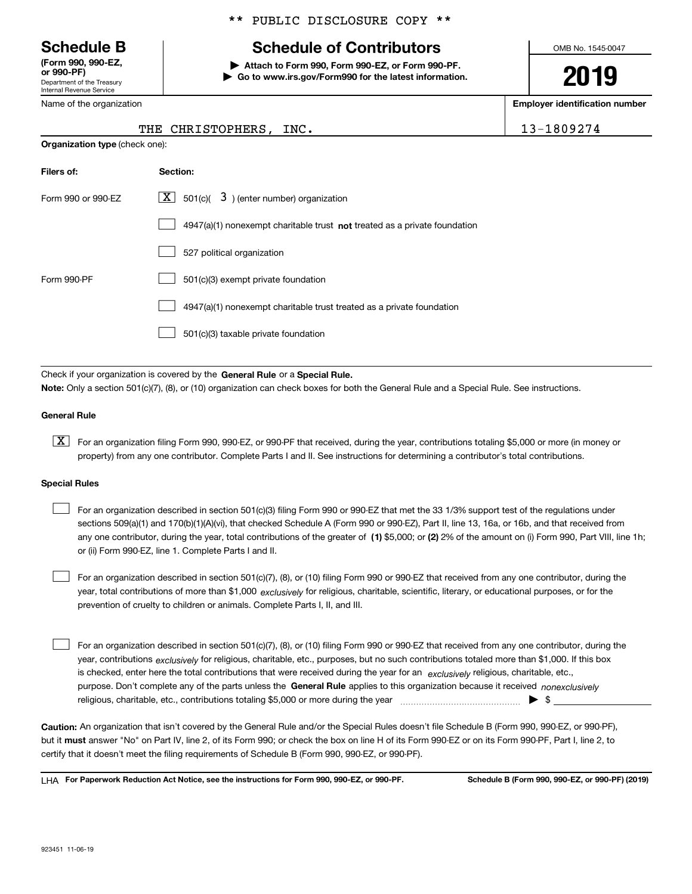Department of the Treasury Internal Revenue Service **(Form 990, 990-EZ, or 990-PF)**

Name of the organization

**Organization type** (check one):

### \*\* PUBLIC DISCLOSURE COPY \*\*

# **Schedule B Schedule of Contributors**

**| Attach to Form 990, Form 990-EZ, or Form 990-PF. | Go to www.irs.gov/Form990 for the latest information.** OMB No. 1545-0047

# **2019**

**Employer identification number**

THE CHRISTOPHERS, INC.  $\vert$  13-1809274

| Filers of:         | Section:                                                                           |
|--------------------|------------------------------------------------------------------------------------|
| Form 990 or 990-EZ | $ \mathbf{X} $ 501(c)( 3) (enter number) organization                              |
|                    | $4947(a)(1)$ nonexempt charitable trust <b>not</b> treated as a private foundation |
|                    | 527 political organization                                                         |
| Form 990-PF        | 501(c)(3) exempt private foundation                                                |
|                    | 4947(a)(1) nonexempt charitable trust treated as a private foundation              |
|                    | 501(c)(3) taxable private foundation                                               |

Check if your organization is covered by the **General Rule** or a **Special Rule. Note:**  Only a section 501(c)(7), (8), or (10) organization can check boxes for both the General Rule and a Special Rule. See instructions.

### **General Rule**

 $\boxed{\textbf{X}}$  For an organization filing Form 990, 990-EZ, or 990-PF that received, during the year, contributions totaling \$5,000 or more (in money or property) from any one contributor. Complete Parts I and II. See instructions for determining a contributor's total contributions.

### **Special Rules**

any one contributor, during the year, total contributions of the greater of  $\,$  (1) \$5,000; or **(2)** 2% of the amount on (i) Form 990, Part VIII, line 1h; For an organization described in section 501(c)(3) filing Form 990 or 990-EZ that met the 33 1/3% support test of the regulations under sections 509(a)(1) and 170(b)(1)(A)(vi), that checked Schedule A (Form 990 or 990-EZ), Part II, line 13, 16a, or 16b, and that received from or (ii) Form 990-EZ, line 1. Complete Parts I and II.  $\mathcal{L}^{\text{max}}$ 

year, total contributions of more than \$1,000 *exclusively* for religious, charitable, scientific, literary, or educational purposes, or for the For an organization described in section 501(c)(7), (8), or (10) filing Form 990 or 990-EZ that received from any one contributor, during the prevention of cruelty to children or animals. Complete Parts I, II, and III.  $\mathcal{L}^{\text{max}}$ 

purpose. Don't complete any of the parts unless the **General Rule** applies to this organization because it received *nonexclusively* year, contributions <sub>exclusively</sub> for religious, charitable, etc., purposes, but no such contributions totaled more than \$1,000. If this box is checked, enter here the total contributions that were received during the year for an  $\;$ exclusively religious, charitable, etc., For an organization described in section 501(c)(7), (8), or (10) filing Form 990 or 990-EZ that received from any one contributor, during the religious, charitable, etc., contributions totaling \$5,000 or more during the year  $\Box$ — $\Box$   $\Box$  $\mathcal{L}^{\text{max}}$ 

**Caution:**  An organization that isn't covered by the General Rule and/or the Special Rules doesn't file Schedule B (Form 990, 990-EZ, or 990-PF),  **must** but it answer "No" on Part IV, line 2, of its Form 990; or check the box on line H of its Form 990-EZ or on its Form 990-PF, Part I, line 2, to certify that it doesn't meet the filing requirements of Schedule B (Form 990, 990-EZ, or 990-PF).

**For Paperwork Reduction Act Notice, see the instructions for Form 990, 990-EZ, or 990-PF. Schedule B (Form 990, 990-EZ, or 990-PF) (2019)** LHA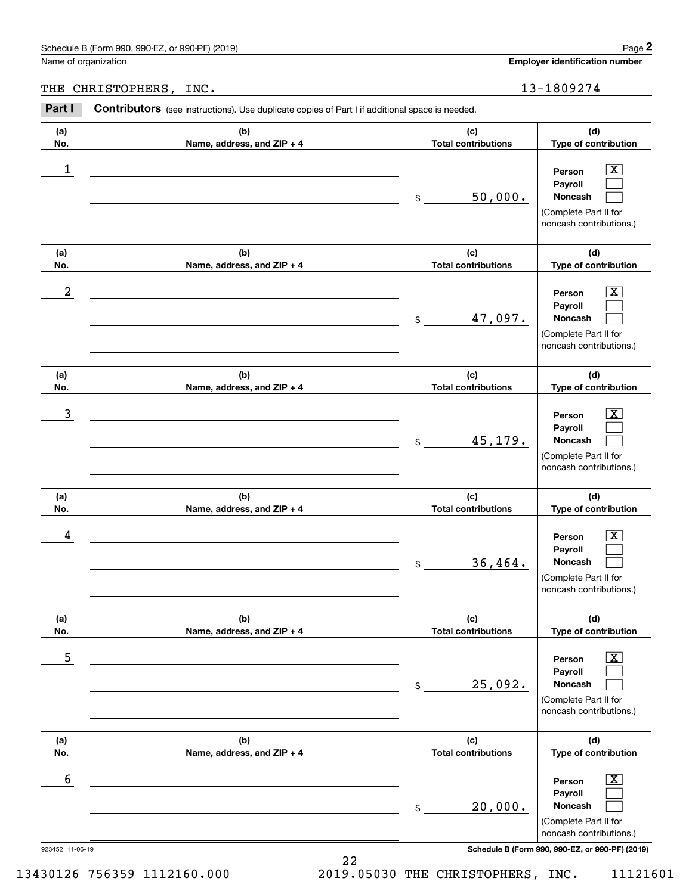|                | Schedule B (Form 990, 990-EZ, or 990-PF) (2019)                                                       |                                   | Page 2                                                                                                    |
|----------------|-------------------------------------------------------------------------------------------------------|-----------------------------------|-----------------------------------------------------------------------------------------------------------|
|                | Name of organization                                                                                  |                                   | <b>Employer identification number</b>                                                                     |
|                | THE CHRISTOPHERS, INC.                                                                                |                                   | 13-1809274                                                                                                |
| Part I         | <b>Contributors</b> (see instructions). Use duplicate copies of Part I if additional space is needed. |                                   |                                                                                                           |
| (a)<br>No.     | (b)<br>Name, address, and ZIP + 4                                                                     | (c)<br><b>Total contributions</b> | (d)<br>Type of contribution                                                                               |
| 1              |                                                                                                       | 50,000.<br>\$                     | x<br>Person<br>Payroll<br>Noncash<br>(Complete Part II for<br>noncash contributions.)                     |
| (a)<br>No.     | (b)<br>Name, address, and ZIP + 4                                                                     | (c)<br><b>Total contributions</b> | (d)<br>Type of contribution                                                                               |
| $\overline{a}$ |                                                                                                       | 47,097.<br>$\frac{1}{2}$          | $\overline{\text{X}}$<br>Person<br>Payroll<br>Noncash<br>(Complete Part II for<br>noncash contributions.) |
| (a)<br>No.     | (b)<br>Name, address, and ZIP + 4                                                                     | (c)<br><b>Total contributions</b> | (d)<br>Type of contribution                                                                               |
| $\mathbf{3}$   |                                                                                                       | 45,179.<br>\$                     | $\overline{\text{X}}$<br>Person<br>Payroll<br>Noncash<br>(Complete Part II for<br>noncash contributions.) |
| (a)            | (b)                                                                                                   | (c)                               | (d)                                                                                                       |

| (a) | (b)                        | (c)                        | (d)                                                                                                              |
|-----|----------------------------|----------------------------|------------------------------------------------------------------------------------------------------------------|
| No. | Name, address, and ZIP + 4 | <b>Total contributions</b> | Type of contribution                                                                                             |
| 4   |                            | 36,464.<br>\$              | $\overline{\text{X}}$<br>Person<br>Payroll<br><b>Noncash</b><br>(Complete Part II for<br>noncash contributions.) |
| (a) | (b)                        | (c)                        | (d)                                                                                                              |
| No. | Name, address, and ZIP + 4 | <b>Total contributions</b> | Type of contribution                                                                                             |
| 5   |                            | 25,092.<br>\$              | x<br>Person<br>Payroll<br><b>Noncash</b><br>(Complete Part II for<br>noncash contributions.)                     |
| (a) | (b)                        | (c)                        | (d)                                                                                                              |
| No. | Name, address, and ZIP + 4 | <b>Total contributions</b> | Type of contribution                                                                                             |
| 6   |                            | 20,000.<br>\$              | $\overline{\texttt{X}}$<br>Person<br>Payroll<br>Noncash<br>(Complete Part II for<br>noncash contributions.)      |

923452 11-06-19 **Schedule B (Form 990, 990-EZ, or 990-PF) (2019)**

22 13430126 756359 1112160.000 2019.05030 THE CHRISTOPHERS, INC. 11121601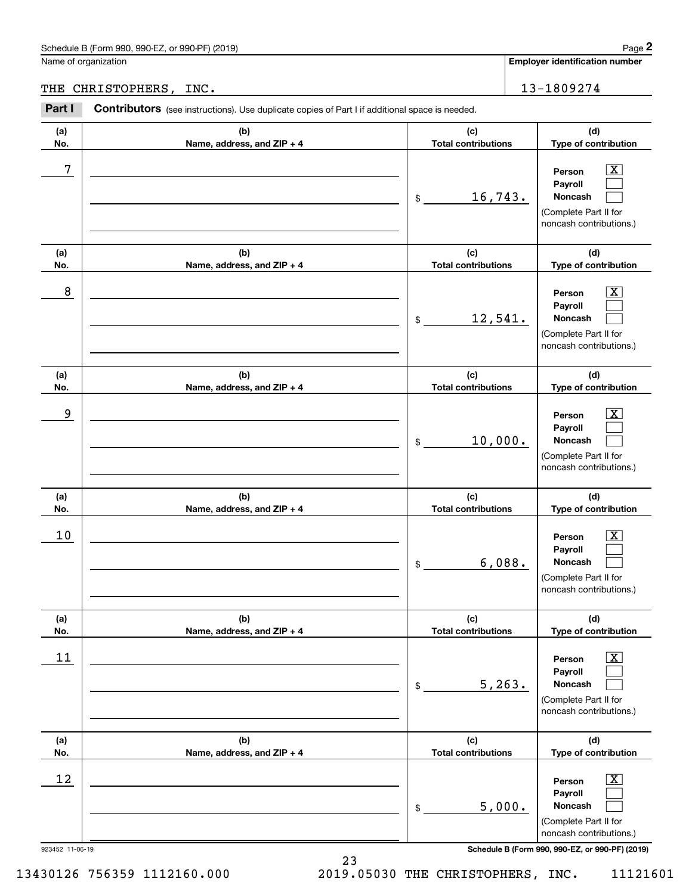|                 | Schedule B (Form 990, 990-EZ, or 990-PF) (2019)                                                |                                   | Page 2                                                                                                      |
|-----------------|------------------------------------------------------------------------------------------------|-----------------------------------|-------------------------------------------------------------------------------------------------------------|
|                 | Name of organization                                                                           |                                   | <b>Employer identification number</b>                                                                       |
|                 | THE CHRISTOPHERS, INC.                                                                         |                                   | 13-1809274                                                                                                  |
| Part I          | Contributors (see instructions). Use duplicate copies of Part I if additional space is needed. |                                   |                                                                                                             |
| (a)<br>No.      | (b)<br>Name, address, and ZIP + 4                                                              | (c)<br><b>Total contributions</b> | (d)<br>Type of contribution                                                                                 |
| 7               |                                                                                                | 16,743.<br>\$                     | $\overline{\text{X}}$<br>Person<br>Payroll<br>Noncash<br>(Complete Part II for<br>noncash contributions.)   |
| (a)<br>No.      | (b)<br>Name, address, and ZIP + 4                                                              | (c)<br><b>Total contributions</b> | (d)<br>Type of contribution                                                                                 |
| 8               |                                                                                                | 12,541.<br>\$                     | X<br>Person<br>Payroll<br>Noncash<br>(Complete Part II for<br>noncash contributions.)                       |
| (a)<br>No.      | (b)<br>Name, address, and ZIP + 4                                                              | (c)<br><b>Total contributions</b> | (d)<br>Type of contribution                                                                                 |
| 9               |                                                                                                | 10,000.<br>\$                     | X<br>Person<br>Payroll<br>Noncash<br>(Complete Part II for<br>noncash contributions.)                       |
| (a)<br>No.      | (b)<br>Name, address, and ZIP + 4                                                              | (c)<br><b>Total contributions</b> | (d)<br>Type of contribution                                                                                 |
| 10              |                                                                                                | 6,088.<br>\$                      | $\mathbf{X}$<br>Person<br>Payroll<br>Noncash<br>(Complete Part II for<br>noncash contributions.)            |
| (a)<br>No.      | (b)<br>Name, address, and ZIP + 4                                                              | (c)<br><b>Total contributions</b> | (d)<br>Type of contribution                                                                                 |
| 11              |                                                                                                | 5, 263.<br>\$                     | $\overline{\mathbf{X}}$<br>Person<br>Payroll<br>Noncash<br>(Complete Part II for<br>noncash contributions.) |
| (a)<br>No.      | (b)<br>Name, address, and ZIP + 4                                                              | (c)<br><b>Total contributions</b> | (d)<br>Type of contribution                                                                                 |
| 12              |                                                                                                | 5,000.<br>\$                      | $\boxed{\text{X}}$<br>Person<br>Payroll<br>Noncash<br>(Complete Part II for<br>noncash contributions.)      |
| 923452 11-06-19 |                                                                                                |                                   | Schedule B (Form 990, 990-EZ, or 990-PF) (2019)                                                             |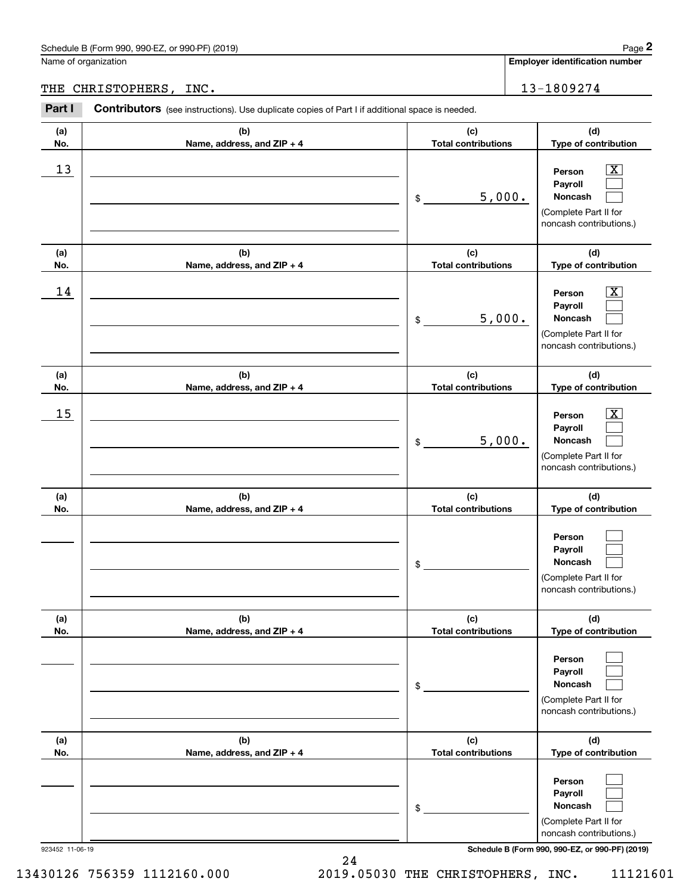|            | Schedule B (Form 990, 990-EZ, or 990-PF) (2019)                                                |                                   | Page 2                                                                                                    |  |  |
|------------|------------------------------------------------------------------------------------------------|-----------------------------------|-----------------------------------------------------------------------------------------------------------|--|--|
|            | Name of organization                                                                           |                                   | <b>Employer identification number</b>                                                                     |  |  |
| THE        | CHRISTOPHERS, INC.                                                                             |                                   | 13-1809274                                                                                                |  |  |
| Part I     | Contributors (see instructions). Use duplicate copies of Part I if additional space is needed. |                                   |                                                                                                           |  |  |
| (a)<br>No. | (b)<br>Name, address, and ZIP + 4                                                              | (c)<br><b>Total contributions</b> | (d)<br>Type of contribution                                                                               |  |  |
| 13         |                                                                                                | 5,000.<br>\$                      | $\overline{\text{X}}$<br>Person<br>Payroll<br>Noncash<br>(Complete Part II for<br>noncash contributions.) |  |  |
| (a)<br>No. | (b)<br>Name, address, and ZIP + 4                                                              | (c)<br><b>Total contributions</b> | (d)<br>Type of contribution                                                                               |  |  |
| 14         |                                                                                                | 5,000.<br>\$                      | $\overline{\text{X}}$<br>Person<br>Payroll<br>Noncash<br>(Complete Part II for<br>noncash contributions.) |  |  |
| (a)<br>No. | (b)<br>Name, address, and ZIP + 4                                                              | (c)<br><b>Total contributions</b> | (d)<br>Type of contribution                                                                               |  |  |
| 15         |                                                                                                | 5,000.<br>\$                      | $\overline{\text{X}}$<br>Person<br>Payroll<br>Noncash<br>(Complete Part II for<br>noncash contributions.) |  |  |
| (a)<br>No. | (b)<br>Name, address, and ZIP + 4                                                              | (c)<br><b>Total contributions</b> | (d)<br>Type of contribution                                                                               |  |  |
|            |                                                                                                | \$                                | Person<br>Payroll<br>Noncash<br>(Complete Part II for<br>noncash contributions.)                          |  |  |
| (a)<br>No. | (b)<br>Name, address, and ZIP + 4                                                              | (c)<br><b>Total contributions</b> | (d)<br>Type of contribution                                                                               |  |  |
|            |                                                                                                | \$                                | Person<br>Payroll<br>Noncash<br>(Complete Part II for<br>noncash contributions.)                          |  |  |
| (a)<br>No. | (b)<br>Name, address, and ZIP + 4                                                              | (c)<br><b>Total contributions</b> | (d)<br>Type of contribution                                                                               |  |  |
|            |                                                                                                | \$                                | Person<br>Payroll<br>Noncash<br>(Complete Part II for<br>noncash contributions.)                          |  |  |

923452 11-06-19 **Schedule B (Form 990, 990-EZ, or 990-PF) (2019)**

24 13430126 756359 1112160.000 2019.05030 THE CHRISTOPHERS, INC. 11121601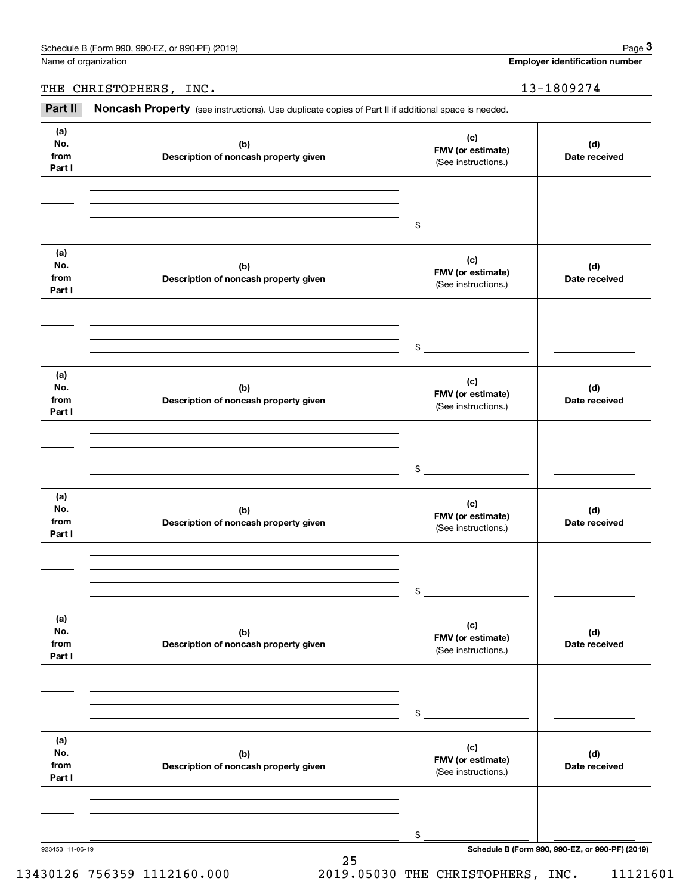**Employer identification number**

## THE CHRISTOPHERS, INC. 13-1809274

Chedule B (Form 990, 990-EZ, or 990-PF) (2019)<br>
lame of organization<br> **2Part II CHRISTOPHERS**, INC.<br> **Part II Noncash Property** (see instructions). Use duplicate copies of Part II if additional space is needed.

| (a)<br>No.<br>from<br>Part I | (b)<br>Description of noncash property given | (c)<br>FMV (or estimate)<br>(See instructions.) | (d)<br>Date received                            |
|------------------------------|----------------------------------------------|-------------------------------------------------|-------------------------------------------------|
|                              |                                              | $\frac{1}{2}$                                   |                                                 |
|                              |                                              |                                                 |                                                 |
| (a)<br>No.<br>from<br>Part I | (b)<br>Description of noncash property given | (c)<br>FMV (or estimate)<br>(See instructions.) | (d)<br>Date received                            |
|                              |                                              | $\frac{1}{2}$                                   |                                                 |
| (a)<br>No.<br>from<br>Part I | (b)<br>Description of noncash property given | (c)<br>FMV (or estimate)<br>(See instructions.) | (d)<br>Date received                            |
|                              |                                              | $\mathfrak{S}$                                  |                                                 |
| (a)<br>No.<br>from<br>Part I | (b)<br>Description of noncash property given | (c)<br>FMV (or estimate)<br>(See instructions.) | (d)<br>Date received                            |
|                              |                                              | \$                                              |                                                 |
| (a)<br>No.<br>from<br>Part I | (b)<br>Description of noncash property given | (c)<br>FMV (or estimate)<br>(See instructions.) | (d)<br>Date received                            |
|                              |                                              | \$                                              |                                                 |
| (a)<br>No.<br>from<br>Part I | (b)<br>Description of noncash property given | (c)<br>FMV (or estimate)<br>(See instructions.) | (d)<br>Date received                            |
|                              |                                              | \$                                              |                                                 |
| 923453 11-06-19              |                                              |                                                 | Schedule B (Form 990, 990-EZ, or 990-PF) (2019) |

## 13430126 756359 1112160.000 2019.05030 THE CHRISTOPHERS, INC. 11121601

25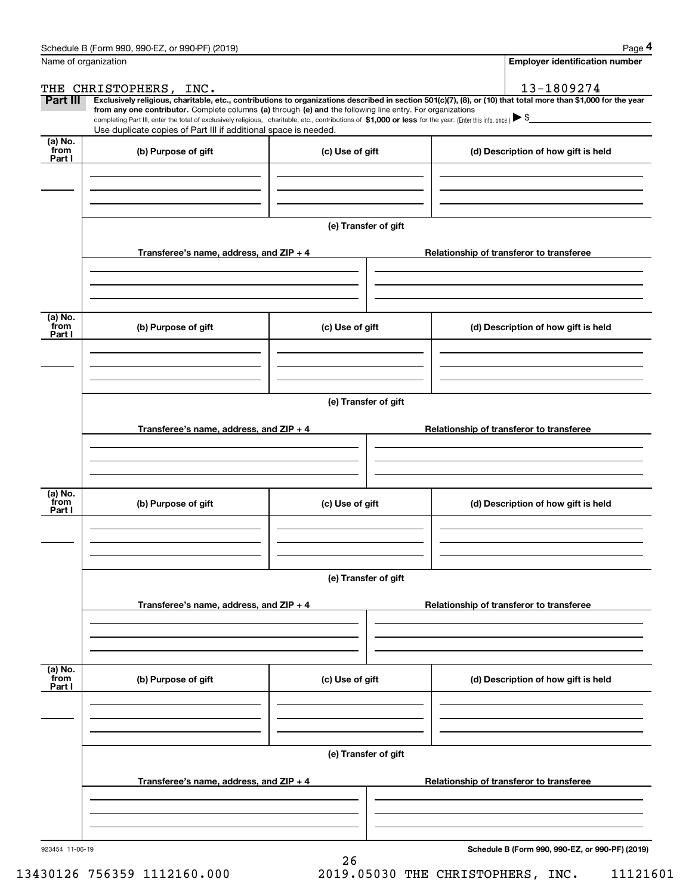|                           | Schedule B (Form 990, 990-EZ, or 990-PF) (2019)                                                                                                                                                                                                                              |                      |  | Page 4                                          |  |  |  |  |  |
|---------------------------|------------------------------------------------------------------------------------------------------------------------------------------------------------------------------------------------------------------------------------------------------------------------------|----------------------|--|-------------------------------------------------|--|--|--|--|--|
|                           | Name of organization                                                                                                                                                                                                                                                         |                      |  | <b>Employer identification number</b>           |  |  |  |  |  |
|                           | THE CHRISTOPHERS, INC.                                                                                                                                                                                                                                                       |                      |  | 13-1809274                                      |  |  |  |  |  |
| Part III                  | Exclusively religious, charitable, etc., contributions to organizations described in section 501(c)(7), (8), or (10) that total more than \$1,000 for the year<br>from any one contributor. Complete columns (a) through (e) and the following line entry. For organizations |                      |  |                                                 |  |  |  |  |  |
|                           | completing Part III, enter the total of exclusively religious, charitable, etc., contributions of \$1,000 or less for the year. (Enter this info. once.) \\$<br>Use duplicate copies of Part III if additional space is needed.                                              |                      |  |                                                 |  |  |  |  |  |
| $(a)$ No.                 |                                                                                                                                                                                                                                                                              |                      |  |                                                 |  |  |  |  |  |
| from<br>Part I            | (b) Purpose of gift                                                                                                                                                                                                                                                          | (c) Use of gift      |  | (d) Description of how gift is held             |  |  |  |  |  |
|                           |                                                                                                                                                                                                                                                                              |                      |  |                                                 |  |  |  |  |  |
|                           |                                                                                                                                                                                                                                                                              |                      |  |                                                 |  |  |  |  |  |
|                           |                                                                                                                                                                                                                                                                              |                      |  |                                                 |  |  |  |  |  |
|                           |                                                                                                                                                                                                                                                                              | (e) Transfer of gift |  |                                                 |  |  |  |  |  |
|                           |                                                                                                                                                                                                                                                                              |                      |  |                                                 |  |  |  |  |  |
|                           | Transferee's name, address, and ZIP + 4                                                                                                                                                                                                                                      |                      |  | Relationship of transferor to transferee        |  |  |  |  |  |
|                           |                                                                                                                                                                                                                                                                              |                      |  |                                                 |  |  |  |  |  |
|                           |                                                                                                                                                                                                                                                                              |                      |  |                                                 |  |  |  |  |  |
| (a) No.                   |                                                                                                                                                                                                                                                                              |                      |  |                                                 |  |  |  |  |  |
| from<br>Part I            | (b) Purpose of gift                                                                                                                                                                                                                                                          | (c) Use of gift      |  | (d) Description of how gift is held             |  |  |  |  |  |
|                           |                                                                                                                                                                                                                                                                              |                      |  |                                                 |  |  |  |  |  |
|                           |                                                                                                                                                                                                                                                                              |                      |  |                                                 |  |  |  |  |  |
|                           |                                                                                                                                                                                                                                                                              |                      |  |                                                 |  |  |  |  |  |
|                           | (e) Transfer of gift                                                                                                                                                                                                                                                         |                      |  |                                                 |  |  |  |  |  |
|                           |                                                                                                                                                                                                                                                                              |                      |  |                                                 |  |  |  |  |  |
|                           | Transferee's name, address, and ZIP + 4                                                                                                                                                                                                                                      |                      |  | Relationship of transferor to transferee        |  |  |  |  |  |
|                           |                                                                                                                                                                                                                                                                              |                      |  |                                                 |  |  |  |  |  |
|                           |                                                                                                                                                                                                                                                                              |                      |  |                                                 |  |  |  |  |  |
|                           |                                                                                                                                                                                                                                                                              |                      |  |                                                 |  |  |  |  |  |
| (a) No.<br>from           | (b) Purpose of gift                                                                                                                                                                                                                                                          | (c) Use of gift      |  | (d) Description of how gift is held             |  |  |  |  |  |
| Part I                    |                                                                                                                                                                                                                                                                              |                      |  |                                                 |  |  |  |  |  |
|                           |                                                                                                                                                                                                                                                                              |                      |  |                                                 |  |  |  |  |  |
|                           |                                                                                                                                                                                                                                                                              |                      |  |                                                 |  |  |  |  |  |
|                           | (e) Transfer of gift                                                                                                                                                                                                                                                         |                      |  |                                                 |  |  |  |  |  |
|                           |                                                                                                                                                                                                                                                                              |                      |  |                                                 |  |  |  |  |  |
|                           | Transferee's name, address, and ZIP + 4                                                                                                                                                                                                                                      |                      |  | Relationship of transferor to transferee        |  |  |  |  |  |
|                           |                                                                                                                                                                                                                                                                              |                      |  |                                                 |  |  |  |  |  |
|                           |                                                                                                                                                                                                                                                                              |                      |  |                                                 |  |  |  |  |  |
|                           |                                                                                                                                                                                                                                                                              |                      |  |                                                 |  |  |  |  |  |
| (a) No.<br>from<br>Part I | (b) Purpose of gift                                                                                                                                                                                                                                                          | (c) Use of gift      |  | (d) Description of how gift is held             |  |  |  |  |  |
|                           |                                                                                                                                                                                                                                                                              |                      |  |                                                 |  |  |  |  |  |
|                           |                                                                                                                                                                                                                                                                              |                      |  |                                                 |  |  |  |  |  |
|                           |                                                                                                                                                                                                                                                                              |                      |  |                                                 |  |  |  |  |  |
|                           |                                                                                                                                                                                                                                                                              | (e) Transfer of gift |  |                                                 |  |  |  |  |  |
|                           |                                                                                                                                                                                                                                                                              |                      |  |                                                 |  |  |  |  |  |
|                           | Transferee's name, address, and ZIP + 4                                                                                                                                                                                                                                      |                      |  | Relationship of transferor to transferee        |  |  |  |  |  |
|                           |                                                                                                                                                                                                                                                                              |                      |  |                                                 |  |  |  |  |  |
|                           |                                                                                                                                                                                                                                                                              |                      |  |                                                 |  |  |  |  |  |
|                           |                                                                                                                                                                                                                                                                              |                      |  |                                                 |  |  |  |  |  |
| 923454 11-06-19           |                                                                                                                                                                                                                                                                              |                      |  | Schedule B (Form 990, 990-EZ, or 990-PF) (2019) |  |  |  |  |  |

26

13430126 756359 1112160.000 2019.05030 THE CHRISTOPHERS, INC. 11121601

**Schedule B (Form 990, 990-EZ, or 990-PF) (2019)**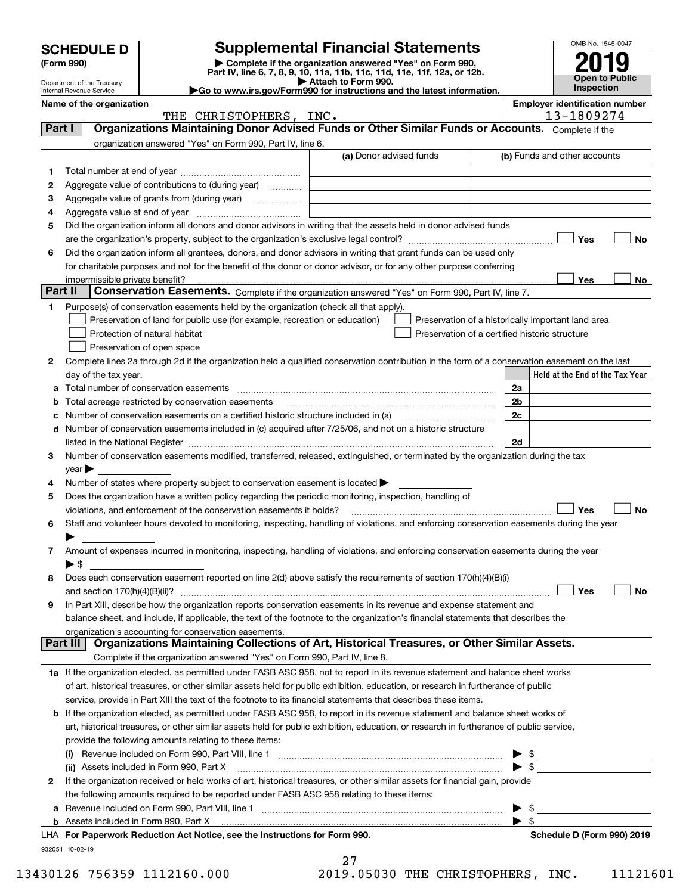|         | <b>SCHEDULE D</b>                                                                                                                     |                                                                                                                                                | <b>Supplemental Financial Statements</b>                               |                                                     |                              |                                 | OMB No. 1545-0047 |     |  |
|---------|---------------------------------------------------------------------------------------------------------------------------------------|------------------------------------------------------------------------------------------------------------------------------------------------|------------------------------------------------------------------------|-----------------------------------------------------|------------------------------|---------------------------------|-------------------|-----|--|
|         | Complete if the organization answered "Yes" on Form 990,<br>(Form 990)                                                                |                                                                                                                                                |                                                                        |                                                     |                              |                                 |                   |     |  |
|         | Part IV, line 6, 7, 8, 9, 10, 11a, 11b, 11c, 11d, 11e, 11f, 12a, or 12b.<br>Attach to Form 990.<br>Department of the Treasury         |                                                                                                                                                |                                                                        |                                                     |                              |                                 |                   |     |  |
|         | Internal Revenue Service                                                                                                              |                                                                                                                                                | Go to www.irs.gov/Form990 for instructions and the latest information. |                                                     |                              | <b>Inspection</b>               |                   |     |  |
|         | Name of the organization                                                                                                              |                                                                                                                                                |                                                                        | <b>Employer identification number</b><br>13-1809274 |                              |                                 |                   |     |  |
|         | THE CHRISTOPHERS, INC.<br>Organizations Maintaining Donor Advised Funds or Other Similar Funds or Accounts. Complete if the<br>Part I |                                                                                                                                                |                                                                        |                                                     |                              |                                 |                   |     |  |
|         |                                                                                                                                       | organization answered "Yes" on Form 990, Part IV, line 6.                                                                                      |                                                                        |                                                     |                              |                                 |                   |     |  |
|         |                                                                                                                                       |                                                                                                                                                | (a) Donor advised funds                                                |                                                     | (b) Funds and other accounts |                                 |                   |     |  |
| 1       |                                                                                                                                       |                                                                                                                                                |                                                                        |                                                     |                              |                                 |                   |     |  |
| 2       |                                                                                                                                       | Aggregate value of contributions to (during year)                                                                                              |                                                                        |                                                     |                              |                                 |                   |     |  |
| З       |                                                                                                                                       |                                                                                                                                                |                                                                        |                                                     |                              |                                 |                   |     |  |
| 4       |                                                                                                                                       |                                                                                                                                                |                                                                        |                                                     |                              |                                 |                   |     |  |
| 5       |                                                                                                                                       | Did the organization inform all donors and donor advisors in writing that the assets held in donor advised funds                               |                                                                        |                                                     |                              |                                 |                   |     |  |
|         |                                                                                                                                       |                                                                                                                                                |                                                                        |                                                     |                              | Yes                             |                   | No  |  |
| 6       |                                                                                                                                       | Did the organization inform all grantees, donors, and donor advisors in writing that grant funds can be used only                              |                                                                        |                                                     |                              |                                 |                   |     |  |
|         |                                                                                                                                       | for charitable purposes and not for the benefit of the donor or donor advisor, or for any other purpose conferring                             |                                                                        |                                                     |                              |                                 |                   |     |  |
|         | impermissible private benefit?                                                                                                        |                                                                                                                                                |                                                                        |                                                     |                              | Yes                             |                   | No. |  |
| Part II |                                                                                                                                       | Conservation Easements. Complete if the organization answered "Yes" on Form 990, Part IV, line 7.                                              |                                                                        |                                                     |                              |                                 |                   |     |  |
| 1       |                                                                                                                                       | Purpose(s) of conservation easements held by the organization (check all that apply).                                                          |                                                                        |                                                     |                              |                                 |                   |     |  |
|         |                                                                                                                                       | Preservation of land for public use (for example, recreation or education)                                                                     | Preservation of a historically important land area                     |                                                     |                              |                                 |                   |     |  |
|         |                                                                                                                                       | Protection of natural habitat                                                                                                                  | Preservation of a certified historic structure                         |                                                     |                              |                                 |                   |     |  |
|         |                                                                                                                                       | Preservation of open space                                                                                                                     |                                                                        |                                                     |                              |                                 |                   |     |  |
| 2       |                                                                                                                                       | Complete lines 2a through 2d if the organization held a qualified conservation contribution in the form of a conservation easement on the last |                                                                        |                                                     |                              |                                 |                   |     |  |
|         | day of the tax year.                                                                                                                  |                                                                                                                                                |                                                                        |                                                     |                              | Held at the End of the Tax Year |                   |     |  |
| a       |                                                                                                                                       |                                                                                                                                                |                                                                        |                                                     | 2a                           |                                 |                   |     |  |
| b       |                                                                                                                                       | Total acreage restricted by conservation easements                                                                                             |                                                                        |                                                     | 2 <sub>b</sub>               |                                 |                   |     |  |
| с       |                                                                                                                                       |                                                                                                                                                |                                                                        |                                                     | 2c                           |                                 |                   |     |  |
| d       |                                                                                                                                       | Number of conservation easements included in (c) acquired after 7/25/06, and not on a historic structure                                       |                                                                        |                                                     |                              |                                 |                   |     |  |
|         |                                                                                                                                       |                                                                                                                                                |                                                                        |                                                     | 2d                           |                                 |                   |     |  |
| 3       | $\vee$ ear $\blacktriangleright$                                                                                                      | Number of conservation easements modified, transferred, released, extinguished, or terminated by the organization during the tax               |                                                                        |                                                     |                              |                                 |                   |     |  |
| 4       |                                                                                                                                       | Number of states where property subject to conservation easement is located $\blacktriangleright$                                              |                                                                        |                                                     |                              |                                 |                   |     |  |
| 5       |                                                                                                                                       | Does the organization have a written policy regarding the periodic monitoring, inspection, handling of                                         |                                                                        |                                                     |                              |                                 |                   |     |  |
|         |                                                                                                                                       | violations, and enforcement of the conservation easements it holds?                                                                            |                                                                        |                                                     |                              | Yes                             |                   | No  |  |
| 6       |                                                                                                                                       | Staff and volunteer hours devoted to monitoring, inspecting, handling of violations, and enforcing conservation easements during the year      |                                                                        |                                                     |                              |                                 |                   |     |  |
|         |                                                                                                                                       |                                                                                                                                                |                                                                        |                                                     |                              |                                 |                   |     |  |
| 7       |                                                                                                                                       | Amount of expenses incurred in monitoring, inspecting, handling of violations, and enforcing conservation easements during the year            |                                                                        |                                                     |                              |                                 |                   |     |  |
|         | $\blacktriangleright$ \$                                                                                                              |                                                                                                                                                |                                                                        |                                                     |                              |                                 |                   |     |  |
| 8       |                                                                                                                                       | Does each conservation easement reported on line 2(d) above satisfy the requirements of section 170(h)(4)(B)(i)                                |                                                                        |                                                     |                              |                                 |                   |     |  |
|         |                                                                                                                                       |                                                                                                                                                |                                                                        |                                                     |                              | Yes                             |                   | No  |  |
| 9       |                                                                                                                                       | In Part XIII, describe how the organization reports conservation easements in its revenue and expense statement and                            |                                                                        |                                                     |                              |                                 |                   |     |  |
|         |                                                                                                                                       | balance sheet, and include, if applicable, the text of the footnote to the organization's financial statements that describes the              |                                                                        |                                                     |                              |                                 |                   |     |  |
|         |                                                                                                                                       | organization's accounting for conservation easements.                                                                                          |                                                                        |                                                     |                              |                                 |                   |     |  |
|         | Part III                                                                                                                              | Organizations Maintaining Collections of Art, Historical Treasures, or Other Similar Assets.                                                   |                                                                        |                                                     |                              |                                 |                   |     |  |
|         |                                                                                                                                       | Complete if the organization answered "Yes" on Form 990, Part IV, line 8.                                                                      |                                                                        |                                                     |                              |                                 |                   |     |  |
|         |                                                                                                                                       | 1a If the organization elected, as permitted under FASB ASC 958, not to report in its revenue statement and balance sheet works                |                                                                        |                                                     |                              |                                 |                   |     |  |
|         |                                                                                                                                       | of art, historical treasures, or other similar assets held for public exhibition, education, or research in furtherance of public              |                                                                        |                                                     |                              |                                 |                   |     |  |
|         |                                                                                                                                       | service, provide in Part XIII the text of the footnote to its financial statements that describes these items.                                 |                                                                        |                                                     |                              |                                 |                   |     |  |
|         |                                                                                                                                       | <b>b</b> If the organization elected, as permitted under FASB ASC 958, to report in its revenue statement and balance sheet works of           |                                                                        |                                                     |                              |                                 |                   |     |  |
|         |                                                                                                                                       | art, historical treasures, or other similar assets held for public exhibition, education, or research in furtherance of public service,        |                                                                        |                                                     |                              |                                 |                   |     |  |
|         |                                                                                                                                       | provide the following amounts relating to these items:                                                                                         |                                                                        |                                                     |                              |                                 |                   |     |  |
|         |                                                                                                                                       |                                                                                                                                                |                                                                        |                                                     |                              | $\frac{1}{2}$                   |                   |     |  |
|         |                                                                                                                                       | (ii) Assets included in Form 990, Part X                                                                                                       |                                                                        |                                                     |                              |                                 |                   |     |  |
| 2       |                                                                                                                                       | If the organization received or held works of art, historical treasures, or other similar assets for financial gain, provide                   |                                                                        |                                                     |                              |                                 |                   |     |  |
|         |                                                                                                                                       | the following amounts required to be reported under FASB ASC 958 relating to these items:                                                      |                                                                        |                                                     |                              |                                 |                   |     |  |
| a       |                                                                                                                                       |                                                                                                                                                |                                                                        |                                                     |                              |                                 |                   |     |  |
|         |                                                                                                                                       | LHA For Paperwork Reduction Act Notice, see the Instructions for Form 990.                                                                     |                                                                        |                                                     |                              | Schedule D (Form 990) 2019      |                   |     |  |
|         | 932051 10-02-19                                                                                                                       |                                                                                                                                                |                                                                        |                                                     |                              |                                 |                   |     |  |
|         |                                                                                                                                       |                                                                                                                                                | 27                                                                     |                                                     |                              |                                 |                   |     |  |

| . . |  |                      |
|-----|--|----------------------|
|     |  | $9.05030$ THE CHRIST |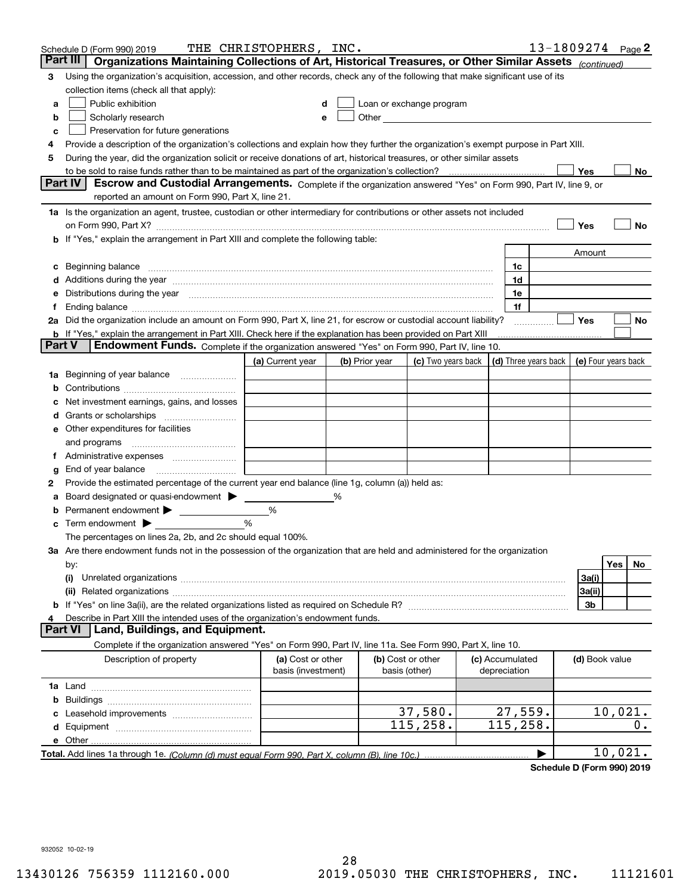|        | Schedule D (Form 990) 2019                                                                                                                                                                                                     | THE CHRISTOPHERS, INC.                  |   |                |                                                                                                                                                                                                                               |                                 | 13-1809274 Page 2 |                |         |     |
|--------|--------------------------------------------------------------------------------------------------------------------------------------------------------------------------------------------------------------------------------|-----------------------------------------|---|----------------|-------------------------------------------------------------------------------------------------------------------------------------------------------------------------------------------------------------------------------|---------------------------------|-------------------|----------------|---------|-----|
|        | Part III<br>Organizations Maintaining Collections of Art, Historical Treasures, or Other Similar Assets (continued)                                                                                                            |                                         |   |                |                                                                                                                                                                                                                               |                                 |                   |                |         |     |
| 3      | Using the organization's acquisition, accession, and other records, check any of the following that make significant use of its                                                                                                |                                         |   |                |                                                                                                                                                                                                                               |                                 |                   |                |         |     |
|        | collection items (check all that apply):                                                                                                                                                                                       |                                         |   |                |                                                                                                                                                                                                                               |                                 |                   |                |         |     |
| a      | Public exhibition                                                                                                                                                                                                              |                                         |   |                | Loan or exchange program                                                                                                                                                                                                      |                                 |                   |                |         |     |
| b      | Scholarly research                                                                                                                                                                                                             |                                         |   |                | Other and the contract of the contract of the contract of the contract of the contract of the contract of the contract of the contract of the contract of the contract of the contract of the contract of the contract of the |                                 |                   |                |         |     |
| с      | Preservation for future generations                                                                                                                                                                                            |                                         |   |                |                                                                                                                                                                                                                               |                                 |                   |                |         |     |
| 4      | Provide a description of the organization's collections and explain how they further the organization's exempt purpose in Part XIII.                                                                                           |                                         |   |                |                                                                                                                                                                                                                               |                                 |                   |                |         |     |
| 5      | During the year, did the organization solicit or receive donations of art, historical treasures, or other similar assets                                                                                                       |                                         |   |                |                                                                                                                                                                                                                               |                                 |                   |                |         |     |
|        | to be sold to raise funds rather than to be maintained as part of the organization's collection?                                                                                                                               |                                         |   |                |                                                                                                                                                                                                                               | . <u>.</u>                      |                   | <b>Yes</b>     |         | No  |
|        | Escrow and Custodial Arrangements. Complete if the organization answered "Yes" on Form 990, Part IV, line 9, or<br><b>Part IV</b><br>reported an amount on Form 990, Part X, line 21.                                          |                                         |   |                |                                                                                                                                                                                                                               |                                 |                   |                |         |     |
|        | 1a Is the organization an agent, trustee, custodian or other intermediary for contributions or other assets not included                                                                                                       |                                         |   |                |                                                                                                                                                                                                                               |                                 |                   |                |         |     |
|        |                                                                                                                                                                                                                                |                                         |   |                |                                                                                                                                                                                                                               |                                 |                   | Yes            |         | No  |
|        | on Form 990, Part X? [11] matter contracts and contracts and contracts are contracted as a form 990, Part X?<br><b>b</b> If "Yes," explain the arrangement in Part XIII and complete the following table:                      |                                         |   |                |                                                                                                                                                                                                                               |                                 |                   |                |         |     |
|        |                                                                                                                                                                                                                                |                                         |   |                |                                                                                                                                                                                                                               |                                 |                   | Amount         |         |     |
| c      | Beginning balance <u>www.maren.communication.communication.communication.communication.com</u>                                                                                                                                 |                                         |   |                |                                                                                                                                                                                                                               | 1c                              |                   |                |         |     |
|        |                                                                                                                                                                                                                                |                                         |   |                |                                                                                                                                                                                                                               | 1d                              |                   |                |         |     |
|        | e Distributions during the year manufactured and continuum and contact the year manufactured and contact the year manufactured and contact the year manufactured and contact the year manufactured and contact the year manufa |                                         |   |                |                                                                                                                                                                                                                               | 1e                              |                   |                |         |     |
|        |                                                                                                                                                                                                                                |                                         |   |                |                                                                                                                                                                                                                               | 1f                              |                   |                |         |     |
|        | 2a Did the organization include an amount on Form 990, Part X, line 21, for escrow or custodial account liability?                                                                                                             |                                         |   |                |                                                                                                                                                                                                                               |                                 | .                 | Yes            |         | No  |
|        | <b>b</b> If "Yes," explain the arrangement in Part XIII. Check here if the explanation has been provided on Part XIII                                                                                                          |                                         |   |                |                                                                                                                                                                                                                               |                                 |                   |                |         |     |
| Part V | Endowment Funds. Complete if the organization answered "Yes" on Form 990, Part IV, line 10.                                                                                                                                    |                                         |   |                |                                                                                                                                                                                                                               |                                 |                   |                |         |     |
|        |                                                                                                                                                                                                                                | (a) Current year                        |   | (b) Prior year | (c) Two years back $\vert$ (d) Three years back $\vert$ (e) Four years back                                                                                                                                                   |                                 |                   |                |         |     |
|        | 1a Beginning of year balance                                                                                                                                                                                                   |                                         |   |                |                                                                                                                                                                                                                               |                                 |                   |                |         |     |
| b      |                                                                                                                                                                                                                                |                                         |   |                |                                                                                                                                                                                                                               |                                 |                   |                |         |     |
|        | Net investment earnings, gains, and losses                                                                                                                                                                                     |                                         |   |                |                                                                                                                                                                                                                               |                                 |                   |                |         |     |
|        |                                                                                                                                                                                                                                |                                         |   |                |                                                                                                                                                                                                                               |                                 |                   |                |         |     |
|        | e Other expenditures for facilities                                                                                                                                                                                            |                                         |   |                |                                                                                                                                                                                                                               |                                 |                   |                |         |     |
|        | and programs                                                                                                                                                                                                                   |                                         |   |                |                                                                                                                                                                                                                               |                                 |                   |                |         |     |
|        | f Administrative expenses                                                                                                                                                                                                      |                                         |   |                |                                                                                                                                                                                                                               |                                 |                   |                |         |     |
| g      | End of year balance <i>manually contained</i>                                                                                                                                                                                  |                                         |   |                |                                                                                                                                                                                                                               |                                 |                   |                |         |     |
| 2      | Provide the estimated percentage of the current year end balance (line 1g, column (a)) held as:                                                                                                                                |                                         |   |                |                                                                                                                                                                                                                               |                                 |                   |                |         |     |
| а      | Board designated or quasi-endowment                                                                                                                                                                                            |                                         | % |                |                                                                                                                                                                                                                               |                                 |                   |                |         |     |
| b      | Permanent endowment >                                                                                                                                                                                                          | %                                       |   |                |                                                                                                                                                                                                                               |                                 |                   |                |         |     |
|        | <b>c</b> Term endowment $\blacktriangleright$                                                                                                                                                                                  | %                                       |   |                |                                                                                                                                                                                                                               |                                 |                   |                |         |     |
|        | The percentages on lines 2a, 2b, and 2c should equal 100%.                                                                                                                                                                     |                                         |   |                |                                                                                                                                                                                                                               |                                 |                   |                |         |     |
|        | 3a Are there endowment funds not in the possession of the organization that are held and administered for the organization                                                                                                     |                                         |   |                |                                                                                                                                                                                                                               |                                 |                   |                | Yes     | No. |
|        | by:<br>(i)                                                                                                                                                                                                                     |                                         |   |                |                                                                                                                                                                                                                               |                                 |                   | 3a(i)          |         |     |
|        |                                                                                                                                                                                                                                |                                         |   |                |                                                                                                                                                                                                                               |                                 |                   | 3a(ii)         |         |     |
|        |                                                                                                                                                                                                                                |                                         |   |                |                                                                                                                                                                                                                               |                                 |                   | 3b             |         |     |
|        | Describe in Part XIII the intended uses of the organization's endowment funds.                                                                                                                                                 |                                         |   |                |                                                                                                                                                                                                                               |                                 |                   |                |         |     |
|        | Land, Buildings, and Equipment.<br>Part VI                                                                                                                                                                                     |                                         |   |                |                                                                                                                                                                                                                               |                                 |                   |                |         |     |
|        | Complete if the organization answered "Yes" on Form 990, Part IV, line 11a. See Form 990, Part X, line 10.                                                                                                                     |                                         |   |                |                                                                                                                                                                                                                               |                                 |                   |                |         |     |
|        | Description of property                                                                                                                                                                                                        | (a) Cost or other<br>basis (investment) |   |                | (b) Cost or other<br>basis (other)                                                                                                                                                                                            | (c) Accumulated<br>depreciation |                   | (d) Book value |         |     |
|        |                                                                                                                                                                                                                                |                                         |   |                |                                                                                                                                                                                                                               |                                 |                   |                |         |     |
| b      |                                                                                                                                                                                                                                |                                         |   |                |                                                                                                                                                                                                                               |                                 |                   |                |         |     |
|        |                                                                                                                                                                                                                                |                                         |   |                | 37,580.                                                                                                                                                                                                                       | 27,559.                         |                   |                | 10,021. |     |
|        |                                                                                                                                                                                                                                |                                         |   |                | 115,258.                                                                                                                                                                                                                      | 115,258.                        |                   |                |         | 0.  |
|        |                                                                                                                                                                                                                                |                                         |   |                |                                                                                                                                                                                                                               |                                 |                   |                |         |     |
|        |                                                                                                                                                                                                                                |                                         |   |                |                                                                                                                                                                                                                               |                                 |                   |                | 10,021. |     |

**Schedule D (Form 990) 2019**

932052 10-02-19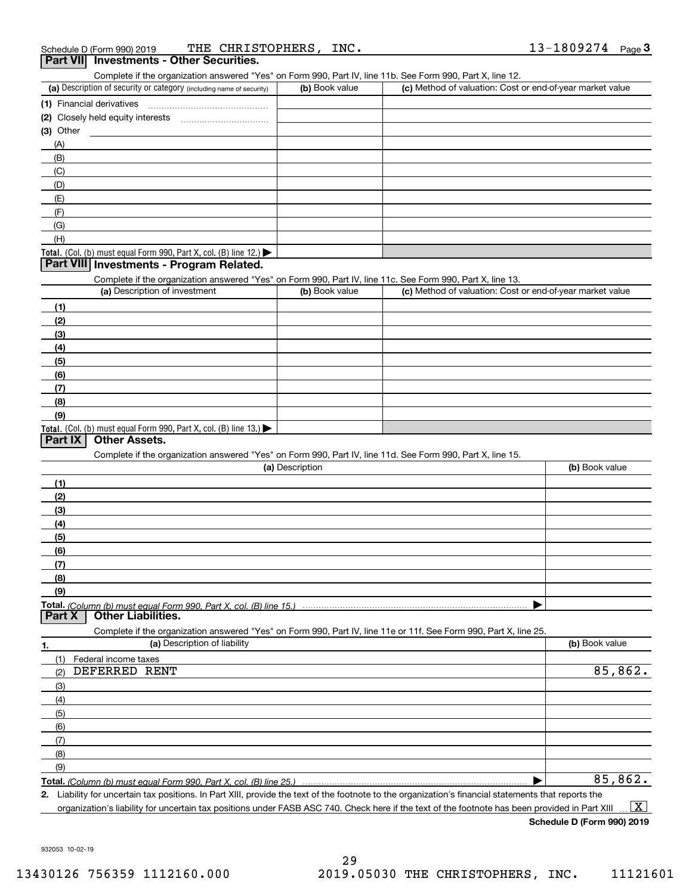Complete if the organization answered "Yes" on Form 990, Part IV, line 11b. See Form 990, Part X, line 12.

| (a) Description of security or category (including name of security)                   | (b) Book value | (c) Method of valuation: Cost or end-of-year market value |
|----------------------------------------------------------------------------------------|----------------|-----------------------------------------------------------|
| (1) Financial derivatives                                                              |                |                                                           |
| (2) Closely held equity interests                                                      |                |                                                           |
| $(3)$ Other                                                                            |                |                                                           |
| (A)                                                                                    |                |                                                           |
| (B)                                                                                    |                |                                                           |
| (C)                                                                                    |                |                                                           |
| (D)                                                                                    |                |                                                           |
| (E)                                                                                    |                |                                                           |
| (F)                                                                                    |                |                                                           |
| (G)                                                                                    |                |                                                           |
| (H)                                                                                    |                |                                                           |
| Total. (Col. (b) must equal Form 990, Part X, col. (B) line 12.) $\blacktriangleright$ |                |                                                           |

### **Part VIII Investments - Program Related.**

Complete if the organization answered "Yes" on Form 990, Part IV, line 11c. See Form 990, Part X, line 13.

| (a) Description of investment                                       | (b) Book value | (c) Method of valuation: Cost or end-of-year market value |
|---------------------------------------------------------------------|----------------|-----------------------------------------------------------|
| (1)                                                                 |                |                                                           |
| (2)                                                                 |                |                                                           |
| $\frac{1}{2}$                                                       |                |                                                           |
| (4)                                                                 |                |                                                           |
| $\left(5\right)$                                                    |                |                                                           |
| (6)                                                                 |                |                                                           |
| (7)                                                                 |                |                                                           |
| (8)                                                                 |                |                                                           |
| (9)                                                                 |                |                                                           |
| Total. (Col. (b) must equal Form 990, Part X, col. (B) line $13.$ ) |                |                                                           |

### **Part IX Other Assets.**

Complete if the organization answered "Yes" on Form 990, Part IV, line 11d. See Form 990, Part X, line 15.

| (a) Description                                                                                                                       | (b) Book value |
|---------------------------------------------------------------------------------------------------------------------------------------|----------------|
| (1)                                                                                                                                   |                |
| (2)                                                                                                                                   |                |
| (3)                                                                                                                                   |                |
| (4)                                                                                                                                   |                |
| (5)                                                                                                                                   |                |
| (6)                                                                                                                                   |                |
|                                                                                                                                       |                |
| (8)                                                                                                                                   |                |
| (9)                                                                                                                                   |                |
|                                                                                                                                       |                |
| Total. (Column (b) must equal Form 990, Part X, col. (B) line 15.) ………………………………………………………………………………………<br>  Part X   Other Liabilities. |                |

**1.(a)** Description of liability **Book value** Book value Book value Book value Book value **Total.**  *(Column (b) must equal Form 990, Part X, col. (B) line 25.)* Complete if the organization answered "Yes" on Form 990, Part IV, line 11e or 11f. See Form 990, Part X, line 25. (1)(2)(3)(4)(5) (6)(7)(8)(9)Federal income taxes  $\blacktriangleright$ DEFERRED RENT 85,862. 85,862.

**2.**Liability for uncertain tax positions. In Part XIII, provide the text of the footnote to the organization's financial statements that reports the organization's liability for uncertain tax positions under FASB ASC 740. Check here if the text of the footnote has been provided in Part XIII  $\boxed{\text{X}}$ 

**Schedule D (Form 990) 2019**

932053 10-02-19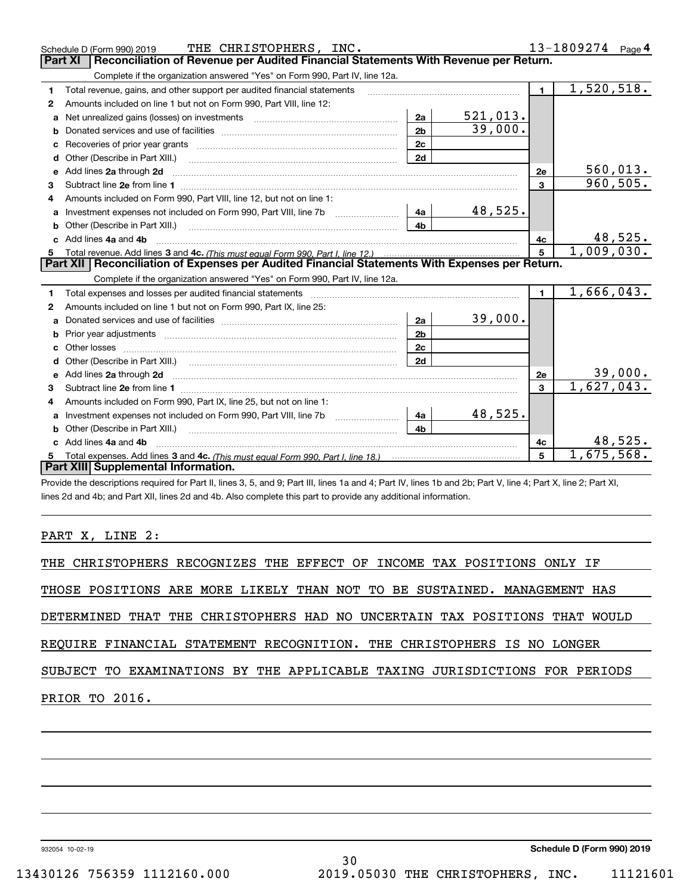|    | THE CHRISTOPHERS, INC.<br>Schedule D (Form 990) 2019                                                  |                |                 |                         | 13-1809274 Page 4        |
|----|-------------------------------------------------------------------------------------------------------|----------------|-----------------|-------------------------|--------------------------|
|    | Reconciliation of Revenue per Audited Financial Statements With Revenue per Return.<br><b>Part XI</b> |                |                 |                         |                          |
|    | Complete if the organization answered "Yes" on Form 990, Part IV, line 12a.                           |                |                 |                         |                          |
| 1  | Total revenue, gains, and other support per audited financial statements                              |                |                 | $\blacksquare$          | $\overline{1,520,518}$ . |
| 2  | Amounts included on line 1 but not on Form 990, Part VIII, line 12:                                   |                |                 |                         |                          |
| a  |                                                                                                       | 2a             | <u>521,013.</u> |                         |                          |
| b  |                                                                                                       | 2 <sub>b</sub> | 39,000.         |                         |                          |
| c  |                                                                                                       | 2c             |                 |                         |                          |
| d  | Other (Describe in Part XIII.)                                                                        | 2d             |                 |                         |                          |
| е  | Add lines 2a through 2d                                                                               |                |                 | 2e                      | 560,013.                 |
| 3  |                                                                                                       |                |                 | 3                       | 960, 505.                |
|    | Amounts included on Form 990, Part VIII, line 12, but not on line 1:                                  |                |                 |                         |                          |
| a  |                                                                                                       | 4a             | 48,525.         |                         |                          |
| b  | Other (Describe in Part XIII.) <b>COLOGIST:</b> (2010)                                                | 4 <sub>b</sub> |                 |                         |                          |
| c. | Add lines 4a and 4b                                                                                   |                |                 | 4c                      | 48,525.                  |
|    |                                                                                                       |                |                 |                         |                          |
| 5  |                                                                                                       |                |                 | $\overline{\mathbf{5}}$ | 1,009,030.               |
|    | Part XII   Reconciliation of Expenses per Audited Financial Statements With Expenses per Return.      |                |                 |                         |                          |
|    | Complete if the organization answered "Yes" on Form 990, Part IV, line 12a.                           |                |                 |                         |                          |
| 1  |                                                                                                       |                |                 | $\mathbf{1}$            | 1,666,043.               |
| 2  | Amounts included on line 1 but not on Form 990, Part IX, line 25:                                     |                |                 |                         |                          |
| a  |                                                                                                       | 2a             | 39,000.         |                         |                          |
|    |                                                                                                       | 2 <sub>b</sub> |                 |                         |                          |
| c  |                                                                                                       | 2c             |                 |                         |                          |
| d  |                                                                                                       | 2d             |                 |                         |                          |
|    |                                                                                                       |                |                 | 2e                      | 39,000.                  |
| 3  |                                                                                                       |                |                 | 3                       | $\overline{1,627},043.$  |
| 4  | Amounts included on Form 990, Part IX, line 25, but not on line 1:                                    |                |                 |                         |                          |
| a  | Investment expenses not included on Form 990, Part VIII, line 7b [11, 111, 111, 111]                  | 4a             | 48,525.         |                         |                          |
| b  |                                                                                                       | 4b             |                 |                         |                          |
| c. | Add lines 4a and 4b                                                                                   |                |                 | 4с                      | 48,525.                  |
|    | Part XIII Supplemental Information.                                                                   |                |                 | 5                       | $\overline{1,675,568}$ . |

Provide the descriptions required for Part II, lines 3, 5, and 9; Part III, lines 1a and 4; Part IV, lines 1b and 2b; Part V, line 4; Part X, line 2; Part XI, lines 2d and 4b; and Part XII, lines 2d and 4b. Also complete this part to provide any additional information.

### PART X, LINE 2:

| THE CHRISTOPHERS RECOGNIZES THE EFFECT OF INCOME TAX POSITIONS ONLY IF     |
|----------------------------------------------------------------------------|
| THOSE POSITIONS ARE MORE LIKELY THAN NOT TO BE SUSTAINED. MANAGEMENT HAS   |
| DETERMINED THAT THE CHRISTOPHERS HAD NO UNCERTAIN TAX POSITIONS THAT WOULD |
| REOUIRE FINANCIAL STATEMENT RECOGNITION. THE CHRISTOPHERS IS NO LONGER     |
| SUBJECT TO EXAMINATIONS BY THE APPLICABLE TAXING JURISDICTIONS FOR PERIODS |
| <b>PRIOR TO 2016.</b>                                                      |
|                                                                            |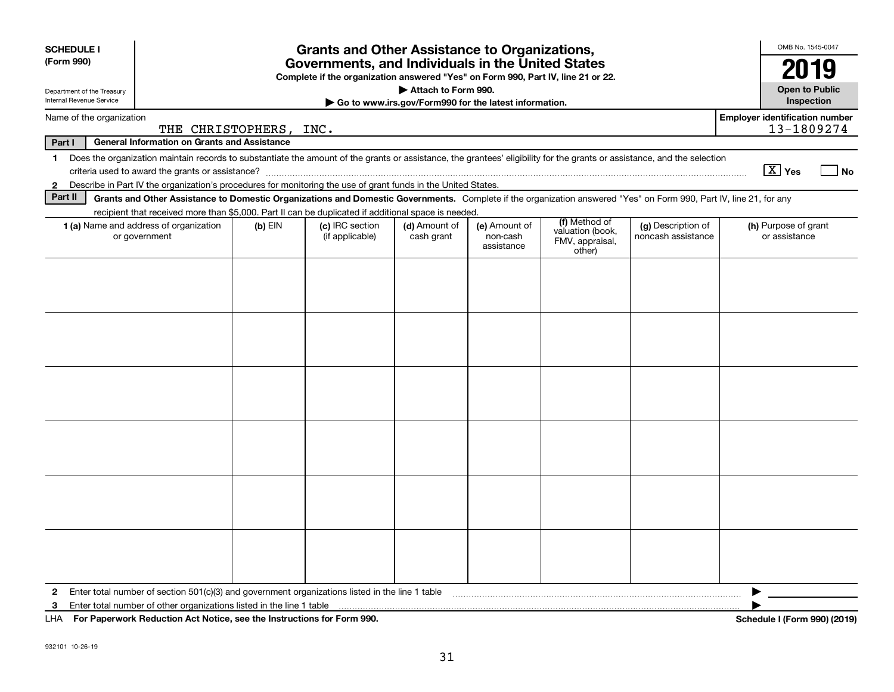| <b>SCHEDULE I</b>                                                                 |                                                                                                                                                                            |           | <b>Grants and Other Assistance to Organizations,</b> |                             |                                         |                                                                |                                          | OMB No. 1545-0047                                   |  |
|-----------------------------------------------------------------------------------|----------------------------------------------------------------------------------------------------------------------------------------------------------------------------|-----------|------------------------------------------------------|-----------------------------|-----------------------------------------|----------------------------------------------------------------|------------------------------------------|-----------------------------------------------------|--|
| (Form 990)                                                                        | Governments, and Individuals in the United States<br>Complete if the organization answered "Yes" on Form 990, Part IV, line 21 or 22.                                      |           |                                                      |                             |                                         |                                                                |                                          |                                                     |  |
| Department of the Treasury                                                        |                                                                                                                                                                            |           |                                                      | Attach to Form 990.         |                                         |                                                                |                                          | 2019<br><b>Open to Public</b>                       |  |
| Internal Revenue Service<br>Go to www.irs.gov/Form990 for the latest information. |                                                                                                                                                                            |           |                                                      |                             |                                         |                                                                |                                          |                                                     |  |
| Name of the organization                                                          | THE CHRISTOPHERS,                                                                                                                                                          |           | INC.                                                 |                             |                                         |                                                                |                                          | <b>Employer identification number</b><br>13-1809274 |  |
| Part I                                                                            | <b>General Information on Grants and Assistance</b>                                                                                                                        |           |                                                      |                             |                                         |                                                                |                                          |                                                     |  |
|                                                                                   | 1 Does the organization maintain records to substantiate the amount of the grants or assistance, the grantees' eligibility for the grants or assistance, and the selection |           |                                                      |                             |                                         |                                                                |                                          | $\boxed{\text{X}}$ Yes<br>$ $ No                    |  |
| $\mathbf{2}$                                                                      | Describe in Part IV the organization's procedures for monitoring the use of grant funds in the United States.                                                              |           |                                                      |                             |                                         |                                                                |                                          |                                                     |  |
| Part II                                                                           | Grants and Other Assistance to Domestic Organizations and Domestic Governments. Complete if the organization answered "Yes" on Form 990, Part IV, line 21, for any         |           |                                                      |                             |                                         |                                                                |                                          |                                                     |  |
|                                                                                   | recipient that received more than \$5,000. Part II can be duplicated if additional space is needed.                                                                        |           |                                                      |                             |                                         |                                                                |                                          |                                                     |  |
|                                                                                   | <b>1 (a)</b> Name and address of organization<br>or government                                                                                                             | $(b)$ EIN | (c) IRC section<br>(if applicable)                   | (d) Amount of<br>cash grant | (e) Amount of<br>non-cash<br>assistance | (f) Method of<br>valuation (book,<br>FMV, appraisal,<br>other) | (g) Description of<br>noncash assistance | (h) Purpose of grant<br>or assistance               |  |
|                                                                                   |                                                                                                                                                                            |           |                                                      |                             |                                         |                                                                |                                          |                                                     |  |
|                                                                                   |                                                                                                                                                                            |           |                                                      |                             |                                         |                                                                |                                          |                                                     |  |
|                                                                                   |                                                                                                                                                                            |           |                                                      |                             |                                         |                                                                |                                          |                                                     |  |
|                                                                                   |                                                                                                                                                                            |           |                                                      |                             |                                         |                                                                |                                          |                                                     |  |
|                                                                                   |                                                                                                                                                                            |           |                                                      |                             |                                         |                                                                |                                          |                                                     |  |
|                                                                                   |                                                                                                                                                                            |           |                                                      |                             |                                         |                                                                |                                          |                                                     |  |
| $\mathbf{2}$                                                                      | Enter total number of section 501(c)(3) and government organizations listed in the line 1 table                                                                            |           |                                                      |                             |                                         |                                                                |                                          |                                                     |  |
| 3                                                                                 | Enter total number of other organizations listed in the line 1 table                                                                                                       |           |                                                      |                             |                                         |                                                                |                                          |                                                     |  |
| LHA For Paperwork Reduction Act Notice, see the Instructions for Form 990.        |                                                                                                                                                                            |           |                                                      |                             |                                         |                                                                |                                          | Schedule I (Form 990) (2019)                        |  |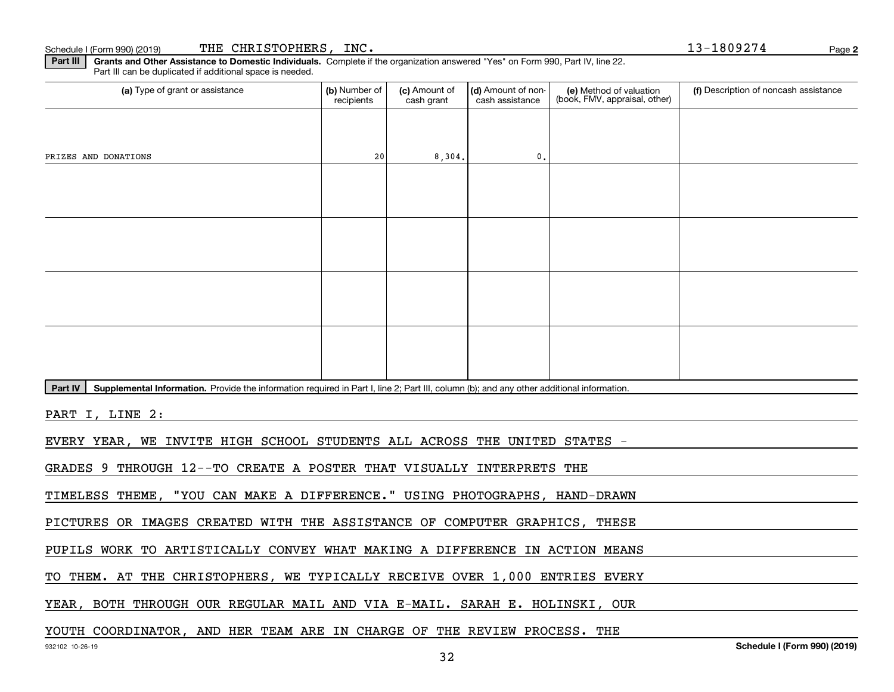Schedule I (Form 990) (2019) Page THE CHRISTOPHERS, INC. 13-1809274

**2**

**Part III** | Grants and Other Assistance to Domestic Individuals. Complete if the organization answered "Yes" on Form 990, Part IV, line 22. Part III can be duplicated if additional space is needed.

| (a) Type of grant or assistance                                                                                                                      | (b) Number of<br>recipients | (c) Amount of<br>cash grant | (d) Amount of non-<br>cash assistance | (e) Method of valuation<br>(book, FMV, appraisal, other) | (f) Description of noncash assistance |  |  |  |
|------------------------------------------------------------------------------------------------------------------------------------------------------|-----------------------------|-----------------------------|---------------------------------------|----------------------------------------------------------|---------------------------------------|--|--|--|
|                                                                                                                                                      |                             |                             |                                       |                                                          |                                       |  |  |  |
| PRIZES AND DONATIONS                                                                                                                                 | 20                          | 8,304.                      | $\mathfrak o$ .                       |                                                          |                                       |  |  |  |
|                                                                                                                                                      |                             |                             |                                       |                                                          |                                       |  |  |  |
|                                                                                                                                                      |                             |                             |                                       |                                                          |                                       |  |  |  |
|                                                                                                                                                      |                             |                             |                                       |                                                          |                                       |  |  |  |
|                                                                                                                                                      |                             |                             |                                       |                                                          |                                       |  |  |  |
|                                                                                                                                                      |                             |                             |                                       |                                                          |                                       |  |  |  |
|                                                                                                                                                      |                             |                             |                                       |                                                          |                                       |  |  |  |
|                                                                                                                                                      |                             |                             |                                       |                                                          |                                       |  |  |  |
|                                                                                                                                                      |                             |                             |                                       |                                                          |                                       |  |  |  |
| Part IV<br>Supplemental Information. Provide the information required in Part I, line 2; Part III, column (b); and any other additional information. |                             |                             |                                       |                                                          |                                       |  |  |  |
| PART I, LINE 2:                                                                                                                                      |                             |                             |                                       |                                                          |                                       |  |  |  |
| EVERY YEAR, WE INVITE HIGH SCHOOL STUDENTS ALL ACROSS THE UNITED STATES -                                                                            |                             |                             |                                       |                                                          |                                       |  |  |  |
| GRADES 9 THROUGH 12--TO CREATE A POSTER THAT VISUALLY INTERPRETS THE                                                                                 |                             |                             |                                       |                                                          |                                       |  |  |  |
| TIMELESS THEME, "YOU CAN MAKE A DIFFERENCE." USING PHOTOGRAPHS, HAND-DRAWN                                                                           |                             |                             |                                       |                                                          |                                       |  |  |  |
| PICTURES OR IMAGES CREATED WITH THE ASSISTANCE OF COMPUTER GRAPHICS, THESE                                                                           |                             |                             |                                       |                                                          |                                       |  |  |  |
| PUPILS WORK TO ARTISTICALLY CONVEY WHAT MAKING A DIFFERENCE IN ACTION MEANS                                                                          |                             |                             |                                       |                                                          |                                       |  |  |  |
| TO THEM. AT THE CHRISTOPHERS, WE TYPICALLY RECEIVE OVER 1,000 ENTRIES EVERY                                                                          |                             |                             |                                       |                                                          |                                       |  |  |  |
|                                                                                                                                                      |                             |                             |                                       |                                                          |                                       |  |  |  |

YEAR, BOTH THROUGH OUR REGULAR MAIL AND VIA E-MAIL. SARAH E. HOLINSKI, OUR

### YOUTH COORDINATOR, AND HER TEAM ARE IN CHARGE OF THE REVIEW PROCESS. THE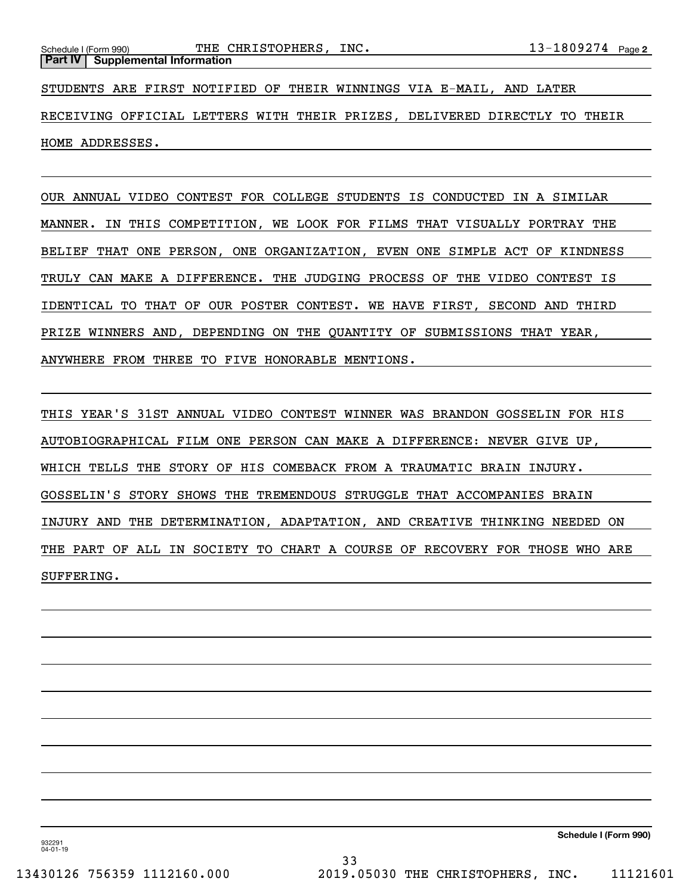| Schedule I (Form 990) |                                                                     | THE CHRISTOPHERS, | INC. |  | $13 - 1809274$ Page 2 |  |
|-----------------------|---------------------------------------------------------------------|-------------------|------|--|-----------------------|--|
|                       | <b>Part IV   Supplemental Information</b>                           |                   |      |  |                       |  |
|                       |                                                                     |                   |      |  |                       |  |
|                       | STUDENTS ARE FIRST NOTIFIED OF THEIR WINNINGS VIA E-MAIL, AND LATER |                   |      |  |                       |  |

RECEIVING OFFICIAL LETTERS WITH THEIR PRIZES, DELIVERED DIRECTLY TO THEIR HOME ADDRESSES.

OUR ANNUAL VIDEO CONTEST FOR COLLEGE STUDENTS IS CONDUCTED IN A SIMILAR MANNER. IN THIS COMPETITION, WE LOOK FOR FILMS THAT VISUALLY PORTRAY THE BELIEF THAT ONE PERSON, ONE ORGANIZATION, EVEN ONE SIMPLE ACT OF KINDNESS TRULY CAN MAKE A DIFFERENCE. THE JUDGING PROCESS OF THE VIDEO CONTEST IS IDENTICAL TO THAT OF OUR POSTER CONTEST. WE HAVE FIRST, SECOND AND THIRD PRIZE WINNERS AND, DEPENDING ON THE QUANTITY OF SUBMISSIONS THAT YEAR, ANYWHERE FROM THREE TO FIVE HONORABLE MENTIONS.

THIS YEAR'S 31ST ANNUAL VIDEO CONTEST WINNER WAS BRANDON GOSSELIN FOR HIS AUTOBIOGRAPHICAL FILM ONE PERSON CAN MAKE A DIFFERENCE: NEVER GIVE UP, WHICH TELLS THE STORY OF HIS COMEBACK FROM A TRAUMATIC BRAIN INJURY. GOSSELIN'S STORY SHOWS THE TREMENDOUS STRUGGLE THAT ACCOMPANIES BRAIN INJURY AND THE DETERMINATION, ADAPTATION, AND CREATIVE THINKING NEEDED ON THE PART OF ALL IN SOCIETY TO CHART A COURSE OF RECOVERY FOR THOSE WHO ARE SUFFERING.

**Schedule I (Form 990)**

932291 04-01-19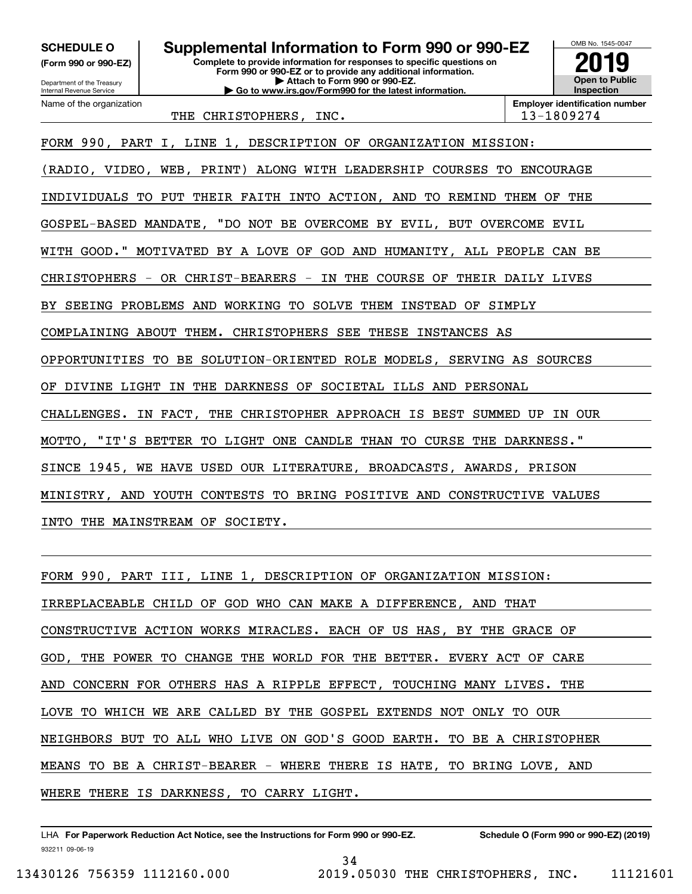**(Form 990 or 990-EZ)**

Name of the organization

Department of the Treasury Internal Revenue Service

**Complete to provide information for responses to specific questions on Form 990 or 990-EZ or to provide any additional information. | Attach to Form 990 or 990-EZ. | Go to www.irs.gov/Form990 for the latest information. SCHEDULE O Supplemental Information to Form 990 or 990-EZ**



THE CHRISTOPHERS, INC.  $\vert$  13-1809274

FORM 990, PART I, LINE 1, DESCRIPTION OF ORGANIZATION MISSION: (RADIO, VIDEO, WEB, PRINT) ALONG WITH LEADERSHIP COURSES TO ENCOURAGE INDIVIDUALS TO PUT THEIR FAITH INTO ACTION, AND TO REMIND THEM OF THE GOSPEL-BASED MANDATE, "DO NOT BE OVERCOME BY EVIL, BUT OVERCOME EVIL WITH GOOD." MOTIVATED BY A LOVE OF GOD AND HUMANITY, ALL PEOPLE CAN BE CHRISTOPHERS - OR CHRIST-BEARERS - IN THE COURSE OF THEIR DAILY LIVES BY SEEING PROBLEMS AND WORKING TO SOLVE THEM INSTEAD OF SIMPLY COMPLAINING ABOUT THEM. CHRISTOPHERS SEE THESE INSTANCES AS OPPORTUNITIES TO BE SOLUTION-ORIENTED ROLE MODELS, SERVING AS SOURCES OF DIVINE LIGHT IN THE DARKNESS OF SOCIETAL ILLS AND PERSONAL CHALLENGES. IN FACT, THE CHRISTOPHER APPROACH IS BEST SUMMED UP IN OUR MOTTO, "IT'S BETTER TO LIGHT ONE CANDLE THAN TO CURSE THE DARKNESS." SINCE 1945, WE HAVE USED OUR LITERATURE, BROADCASTS, AWARDS, PRISON MINISTRY, AND YOUTH CONTESTS TO BRING POSITIVE AND CONSTRUCTIVE VALUES INTO THE MAINSTREAM OF SOCIETY.

FORM 990, PART III, LINE 1, DESCRIPTION OF ORGANIZATION MISSION: IRREPLACEABLE CHILD OF GOD WHO CAN MAKE A DIFFERENCE, AND THAT CONSTRUCTIVE ACTION WORKS MIRACLES. EACH OF US HAS, BY THE GRACE OF GOD, THE POWER TO CHANGE THE WORLD FOR THE BETTER. EVERY ACT OF CARE AND CONCERN FOR OTHERS HAS A RIPPLE EFFECT, TOUCHING MANY LIVES. THE LOVE TO WHICH WE ARE CALLED BY THE GOSPEL EXTENDS NOT ONLY TO OUR NEIGHBORS BUT TO ALL WHO LIVE ON GOD'S GOOD EARTH. TO BE A CHRISTOPHER MEANS TO BE A CHRIST-BEARER - WHERE THERE IS HATE, TO BRING LOVE, AND WHERE THERE IS DARKNESS, TO CARRY LIGHT.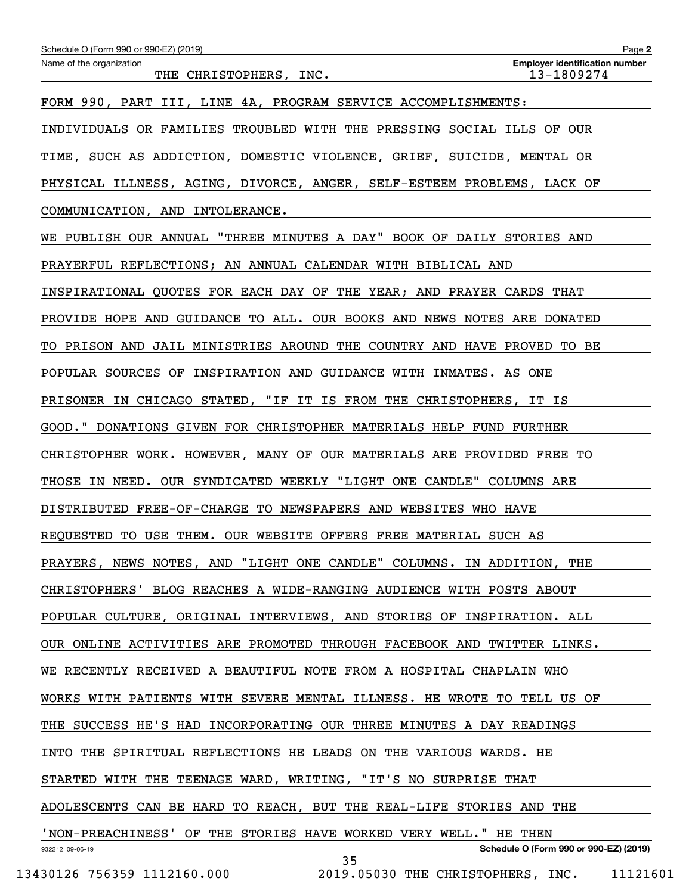| Schedule O (Form 990 or 990-EZ) (2019)<br>Name of the organization<br>THE CHRISTOPHERS, INC. | Page 2<br><b>Employer identification number</b><br>13-1809274 |
|----------------------------------------------------------------------------------------------|---------------------------------------------------------------|
| FORM 990, PART III, LINE 4A, PROGRAM SERVICE ACCOMPLISHMENTS:                                |                                                               |
| INDIVIDUALS OR FAMILIES TROUBLED WITH THE PRESSING SOCIAL ILLS OF OUR                        |                                                               |
| TIME, SUCH AS ADDICTION, DOMESTIC VIOLENCE, GRIEF, SUICIDE, MENTAL OR                        |                                                               |
| PHYSICAL ILLNESS, AGING, DIVORCE, ANGER, SELF-ESTEEM PROBLEMS, LACK OF                       |                                                               |
| COMMUNICATION, AND INTOLERANCE.                                                              |                                                               |
| WE PUBLISH OUR ANNUAL "THREE MINUTES A DAY" BOOK OF DAILY STORIES AND                        |                                                               |
| PRAYERFUL REFLECTIONS; AN ANNUAL CALENDAR WITH BIBLICAL AND                                  |                                                               |
| INSPIRATIONAL QUOTES FOR EACH DAY OF THE YEAR; AND PRAYER CARDS THAT                         |                                                               |
| PROVIDE HOPE AND GUIDANCE TO ALL. OUR BOOKS AND NEWS NOTES ARE DONATED                       |                                                               |
| TO PRISON AND JAIL MINISTRIES AROUND THE COUNTRY AND HAVE PROVED TO BE                       |                                                               |
| POPULAR SOURCES OF INSPIRATION AND GUIDANCE WITH INMATES. AS ONE                             |                                                               |
| PRISONER IN CHICAGO STATED, "IF IT IS FROM THE CHRISTOPHERS, IT IS                           |                                                               |
| GOOD." DONATIONS GIVEN FOR CHRISTOPHER MATERIALS HELP FUND FURTHER                           |                                                               |
| CHRISTOPHER WORK. HOWEVER, MANY OF OUR MATERIALS ARE PROVIDED FREE TO                        |                                                               |
| THOSE IN NEED. OUR SYNDICATED WEEKLY "LIGHT ONE CANDLE" COLUMNS ARE                          |                                                               |
| DISTRIBUTED FREE-OF-CHARGE TO NEWSPAPERS AND WEBSITES WHO HAVE                               |                                                               |
| REQUESTED TO USE THEM. OUR WEBSITE OFFERS FREE MATERIAL SUCH AS                              |                                                               |
| PRAYERS, NEWS NOTES, AND "LIGHT ONE CANDLE" COLUMNS. IN ADDITION, THE                        |                                                               |
| CHRISTOPHERS' BLOG REACHES A WIDE-RANGING AUDIENCE WITH POSTS ABOUT                          |                                                               |
| POPULAR CULTURE, ORIGINAL INTERVIEWS, AND STORIES OF INSPIRATION. ALL                        |                                                               |
| OUR ONLINE ACTIVITIES ARE PROMOTED THROUGH FACEBOOK AND TWITTER LINKS.                       |                                                               |
| WE RECENTLY RECEIVED A BEAUTIFUL NOTE FROM A HOSPITAL CHAPLAIN WHO                           |                                                               |
| WORKS WITH PATIENTS WITH SEVERE MENTAL ILLNESS. HE WROTE TO TELL US OF                       |                                                               |
| THE SUCCESS HE'S HAD INCORPORATING OUR THREE MINUTES A DAY READINGS                          |                                                               |
| INTO THE SPIRITUAL REFLECTIONS HE LEADS ON THE VARIOUS WARDS. HE                             |                                                               |
| STARTED WITH THE TEENAGE WARD, WRITING, "IT'S NO SURPRISE THAT                               |                                                               |
| ADOLESCENTS CAN BE HARD TO REACH, BUT THE REAL-LIFE STORIES AND THE                          |                                                               |
| 'NON-PREACHINESS' OF THE STORIES HAVE WORKED VERY WELL." HE THEN                             |                                                               |
| 932212 09-06-19<br>35                                                                        | Schedule O (Form 990 or 990-EZ) (2019)                        |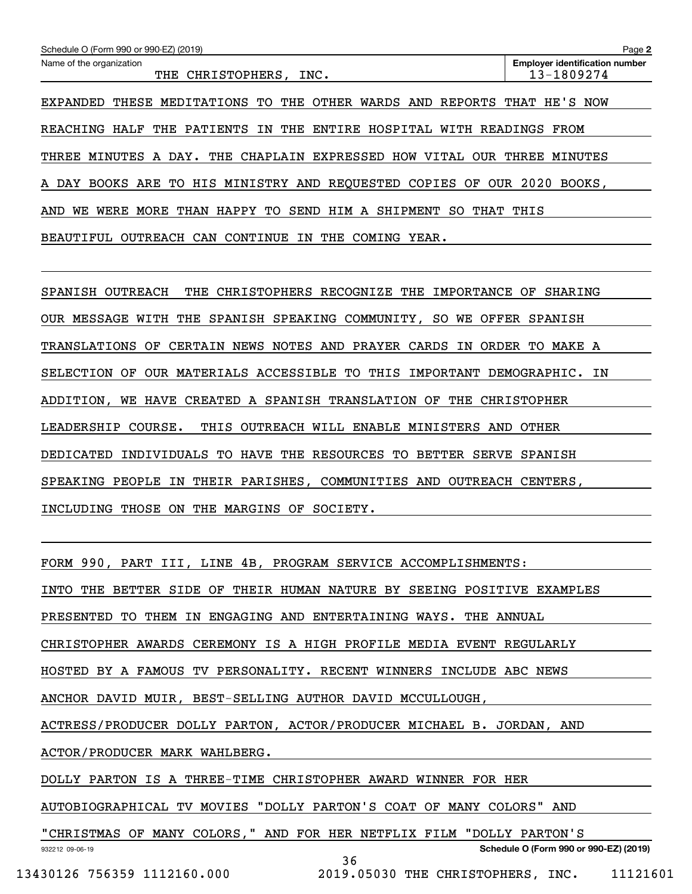| Schedule O (Form 990 or 990-EZ) (2019)                                                       | Page 2                                |
|----------------------------------------------------------------------------------------------|---------------------------------------|
| Name of the organization                                                                     | <b>Employer identification number</b> |
| CHRISTOPHERS, INC.<br>THE                                                                    | 13-1809274                            |
| MEDITATIONS TO THE OTHER WARDS AND REPORTS THAT HE'S NOW<br>THESE<br><b>EXPANDED</b>         |                                       |
| PATIENTS IN THE<br>ENTIRE HOSPITAL WITH READINGS<br>REACHING<br>HALF<br>THE                  | FROM                                  |
| THE CHAPLAIN EXPRESSED HOW<br>MINUTES<br>A DAY.<br>VITAL<br>OUR.<br>THREE                    | THREE<br>MINUTES                      |
| A DAY BOOKS ARE TO HIS MINISTRY AND REOUESTED COPIES OF<br>OUR                               | 2020<br>BOOKS.                        |
| MORE<br>HAPPY<br>TO<br>SEND<br>HIM A<br>WERE<br>THAN<br>SHIPMENT<br>WE<br>SO.<br>THAT<br>AND | THIS                                  |
| CONTINUE<br><b>BEAUTIFUL</b><br>OUTREACH CAN<br>COMING<br>THE<br>YEAR.<br>ΙN                 |                                       |
|                                                                                              |                                       |

SPANISH OUTREACH THE CHRISTOPHERS RECOGNIZE THE IMPORTANCE OF SHARING OUR MESSAGE WITH THE SPANISH SPEAKING COMMUNITY, SO WE OFFER SPANISH TRANSLATIONS OF CERTAIN NEWS NOTES AND PRAYER CARDS IN ORDER TO MAKE A SELECTION OF OUR MATERIALS ACCESSIBLE TO THIS IMPORTANT DEMOGRAPHIC. IN ADDITION, WE HAVE CREATED A SPANISH TRANSLATION OF THE CHRISTOPHER LEADERSHIP COURSE. THIS OUTREACH WILL ENABLE MINISTERS AND OTHER DEDICATED INDIVIDUALS TO HAVE THE RESOURCES TO BETTER SERVE SPANISH SPEAKING PEOPLE IN THEIR PARISHES, COMMUNITIES AND OUTREACH CENTERS, INCLUDING THOSE ON THE MARGINS OF SOCIETY.

FORM 990, PART III, LINE 4B, PROGRAM SERVICE ACCOMPLISHMENTS:

INTO THE BETTER SIDE OF THEIR HUMAN NATURE BY SEEING POSITIVE EXAMPLES

PRESENTED TO THEM IN ENGAGING AND ENTERTAINING WAYS. THE ANNUAL

CHRISTOPHER AWARDS CEREMONY IS A HIGH PROFILE MEDIA EVENT REGULARLY

HOSTED BY A FAMOUS TV PERSONALITY. RECENT WINNERS INCLUDE ABC NEWS

ANCHOR DAVID MUIR, BEST-SELLING AUTHOR DAVID MCCULLOUGH,

ACTRESS/PRODUCER DOLLY PARTON, ACTOR/PRODUCER MICHAEL B. JORDAN, AND

ACTOR/PRODUCER MARK WAHLBERG.

DOLLY PARTON IS A THREE-TIME CHRISTOPHER AWARD WINNER FOR HER

AUTOBIOGRAPHICAL TV MOVIES "DOLLY PARTON'S COAT OF MANY COLORS" AND

932212 09-06-19 "CHRISTMAS OF MANY COLORS," AND FOR HER NETFLIX FILM "DOLLY PARTON'S

**Schedule O (Form 990 or 990-EZ) (2019)**

36

13430126 756359 1112160.000 2019.05030 THE CHRISTOPHERS, INC. 11121601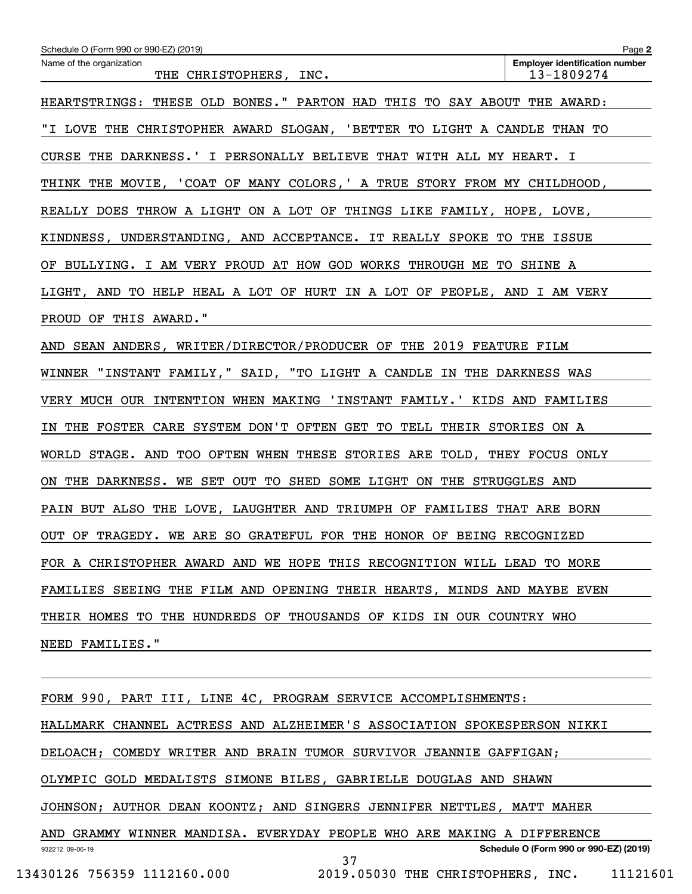| Schedule O (Form 990 or 990-EZ) (2019)                                   | Page 2                                              |
|--------------------------------------------------------------------------|-----------------------------------------------------|
| Name of the organization<br>THE CHRISTOPHERS, INC.                       | <b>Employer identification number</b><br>13-1809274 |
| HEARTSTRINGS: THESE OLD BONES." PARTON HAD THIS TO SAY ABOUT THE AWARD:  |                                                     |
| "I LOVE THE CHRISTOPHER AWARD SLOGAN, 'BETTER TO LIGHT A CANDLE THAN TO  |                                                     |
| CURSE THE DARKNESS.' I PERSONALLY BELIEVE THAT WITH ALL MY HEART. I      |                                                     |
| THINK THE MOVIE, 'COAT OF MANY COLORS,' A TRUE STORY FROM MY CHILDHOOD,  |                                                     |
| REALLY DOES THROW A LIGHT ON A LOT OF THINGS LIKE FAMILY, HOPE, LOVE,    |                                                     |
| KINDNESS, UNDERSTANDING, AND ACCEPTANCE. IT REALLY SPOKE TO THE ISSUE    |                                                     |
| OF BULLYING. I AM VERY PROUD AT HOW GOD WORKS THROUGH ME TO SHINE A      |                                                     |
| LIGHT, AND TO HELP HEAL A LOT OF HURT IN A LOT OF PEOPLE, AND I AM VERY  |                                                     |
| PROUD OF THIS AWARD."                                                    |                                                     |
| AND SEAN ANDERS, WRITER/DIRECTOR/PRODUCER OF THE 2019 FEATURE FILM       |                                                     |
| "INSTANT FAMILY," SAID, "TO LIGHT A CANDLE IN THE DARKNESS WAS<br>WINNER |                                                     |
| VERY MUCH OUR INTENTION WHEN MAKING 'INSTANT FAMILY.' KIDS AND FAMILIES  |                                                     |
| IN THE FOSTER CARE SYSTEM DON'T OFTEN GET TO TELL THEIR STORIES ON A     |                                                     |
| WORLD STAGE. AND TOO OFTEN WHEN THESE STORIES ARE TOLD, THEY FOCUS ONLY  |                                                     |
| ON THE DARKNESS. WE SET OUT TO SHED SOME LIGHT ON THE STRUGGLES AND      |                                                     |
| PAIN BUT ALSO THE LOVE, LAUGHTER AND TRIUMPH OF FAMILIES THAT ARE BORN   |                                                     |
| OUT OF TRAGEDY. WE ARE SO GRATEFUL FOR THE HONOR OF BEING RECOGNIZED     |                                                     |
| FOR A CHRISTOPHER AWARD AND WE HOPE THIS RECOGNITION WILL LEAD TO MORE   |                                                     |
| FAMILIES SEEING THE FILM AND OPENING THEIR HEARTS, MINDS AND MAYBE EVEN  |                                                     |
| THEIR HOMES TO THE HUNDREDS OF THOUSANDS OF KIDS IN OUR COUNTRY WHO      |                                                     |
| NEED FAMILIES."                                                          |                                                     |
|                                                                          |                                                     |
| FORM 990, PART III, LINE 4C, PROGRAM SERVICE ACCOMPLISHMENTS:            |                                                     |
| HALLMARK CHANNEL ACTRESS AND ALZHEIMER'S ASSOCIATION SPOKESPERSON NIKKI  |                                                     |
| DELOACH; COMEDY WRITER AND BRAIN TUMOR SURVIVOR JEANNIE GAFFIGAN;        |                                                     |
| OLYMPIC GOLD MEDALISTS SIMONE BILES, GABRIELLE DOUGLAS AND SHAWN         |                                                     |
| JOHNSON; AUTHOR DEAN KOONTZ; AND SINGERS JENNIFER NETTLES, MATT MAHER    |                                                     |
| AND GRAMMY WINNER MANDISA. EVERYDAY PEOPLE WHO ARE MAKING A DIFFERENCE   |                                                     |
| 932212 09-06-19<br>37                                                    | Schedule O (Form 990 or 990-EZ) (2019)              |

 <sup>13430126 756359 1112160.000 2019.05030</sup> THE CHRISTOPHERS, INC. 11121601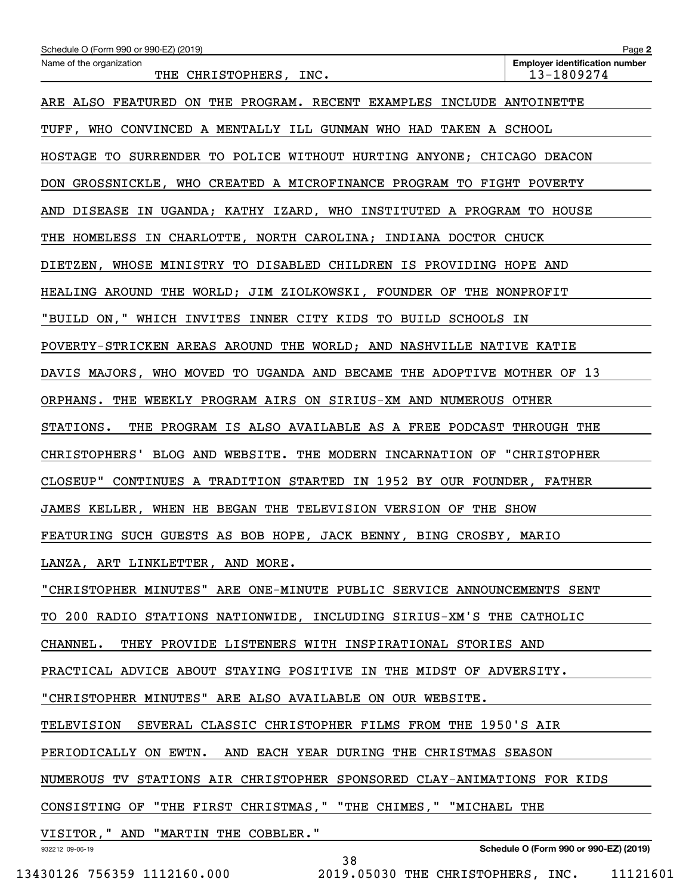| Schedule O (Form 990 or 990-EZ) (2019)<br>Name of the organization               | Page 2<br><b>Employer identification number</b> |  |  |  |
|----------------------------------------------------------------------------------|-------------------------------------------------|--|--|--|
| THE CHRISTOPHERS, INC.                                                           | 13-1809274                                      |  |  |  |
| ARE ALSO FEATURED ON THE PROGRAM. RECENT EXAMPLES INCLUDE ANTOINETTE             |                                                 |  |  |  |
| TUFF, WHO CONVINCED A MENTALLY ILL GUNMAN WHO HAD TAKEN A SCHOOL                 |                                                 |  |  |  |
| HOSTAGE TO SURRENDER TO POLICE WITHOUT HURTING ANYONE; CHICAGO DEACON            |                                                 |  |  |  |
| DON GROSSNICKLE, WHO CREATED A MICROFINANCE PROGRAM TO FIGHT POVERTY             |                                                 |  |  |  |
| DISEASE IN UGANDA; KATHY IZARD, WHO INSTITUTED A PROGRAM TO HOUSE<br>AND         |                                                 |  |  |  |
| THE HOMELESS IN CHARLOTTE, NORTH CAROLINA; INDIANA DOCTOR CHUCK                  |                                                 |  |  |  |
| DIETZEN, WHOSE MINISTRY TO DISABLED CHILDREN IS PROVIDING HOPE AND               |                                                 |  |  |  |
| HEALING AROUND THE WORLD; JIM ZIOLKOWSKI, FOUNDER OF THE NONPROFIT               |                                                 |  |  |  |
| "BUILD ON," WHICH INVITES INNER CITY KIDS TO BUILD SCHOOLS IN                    |                                                 |  |  |  |
| POVERTY-STRICKEN AREAS AROUND THE WORLD; AND NASHVILLE NATIVE KATIE              |                                                 |  |  |  |
| DAVIS MAJORS, WHO MOVED TO UGANDA AND BECAME THE ADOPTIVE MOTHER OF 13           |                                                 |  |  |  |
| ORPHANS. THE WEEKLY PROGRAM AIRS ON SIRIUS-XM AND NUMEROUS OTHER                 |                                                 |  |  |  |
| THE PROGRAM IS ALSO AVAILABLE AS A FREE PODCAST THROUGH THE<br>STATIONS.         |                                                 |  |  |  |
| BLOG AND WEBSITE. THE MODERN INCARNATION OF "CHRISTOPHER<br><b>CHRISTOPHERS'</b> |                                                 |  |  |  |
| <b>CLOSEUP"</b><br>CONTINUES A TRADITION STARTED IN 1952 BY OUR FOUNDER, FATHER  |                                                 |  |  |  |
| JAMES KELLER, WHEN HE BEGAN THE TELEVISION VERSION OF THE SHOW                   |                                                 |  |  |  |
| FEATURING SUCH GUESTS AS BOB HOPE, JACK BENNY, BING CROSBY, MARIO                |                                                 |  |  |  |
| LANZA, ART LINKLETTER, AND MORE.                                                 |                                                 |  |  |  |
| "CHRISTOPHER MINUTES" ARE ONE-MINUTE PUBLIC SERVICE ANNOUNCEMENTS SENT           |                                                 |  |  |  |
| TO 200 RADIO STATIONS NATIONWIDE, INCLUDING SIRIUS-XM'S THE CATHOLIC             |                                                 |  |  |  |
| THEY PROVIDE LISTENERS WITH INSPIRATIONAL STORIES AND<br>CHANNEL.                |                                                 |  |  |  |
| PRACTICAL ADVICE ABOUT STAYING POSITIVE IN THE MIDST OF ADVERSITY.               |                                                 |  |  |  |
| "CHRISTOPHER MINUTES" ARE ALSO AVAILABLE ON OUR WEBSITE.                         |                                                 |  |  |  |
| SEVERAL CLASSIC CHRISTOPHER FILMS FROM THE 1950'S AIR<br>TELEVISION              |                                                 |  |  |  |
| AND EACH YEAR DURING THE CHRISTMAS SEASON<br>PERIODICALLY ON EWTN.               |                                                 |  |  |  |
| NUMEROUS TV STATIONS AIR CHRISTOPHER SPONSORED CLAY-ANIMATIONS FOR KIDS          |                                                 |  |  |  |
| CONSISTING OF "THE FIRST CHRISTMAS," "THE CHIMES," "MICHAEL THE                  |                                                 |  |  |  |
| VISITOR, " AND "MARTIN THE COBBLER."                                             |                                                 |  |  |  |
| 932212 09-06-19<br>38                                                            | Schedule O (Form 990 or 990-EZ) (2019)          |  |  |  |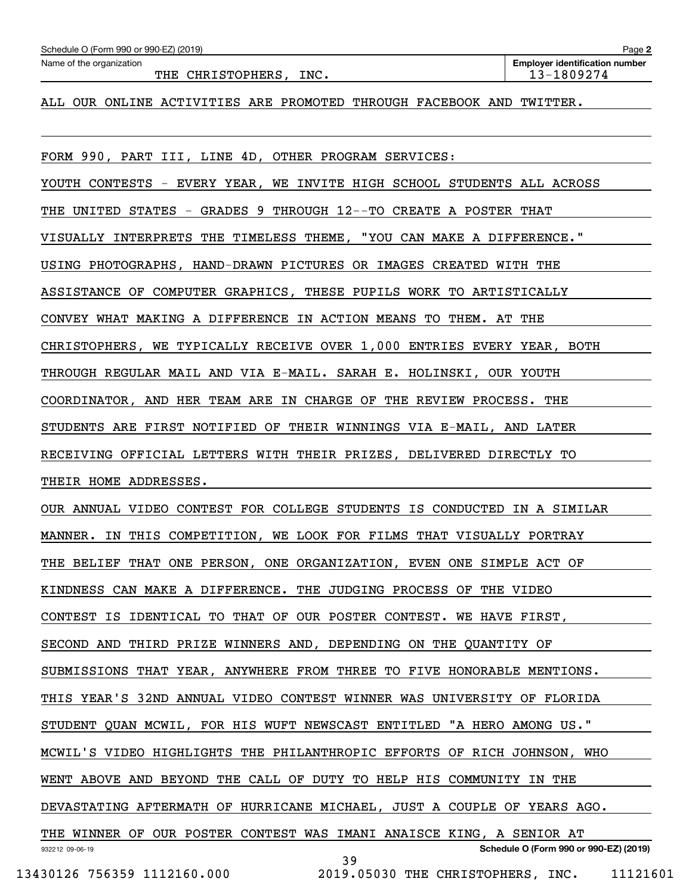|                       | FORM 990, PART III, LINE 4D, OTHER PROGRAM SERVICES:                    |  |  |  |  |
|-----------------------|-------------------------------------------------------------------------|--|--|--|--|
|                       | YOUTH CONTESTS - EVERY YEAR, WE INVITE HIGH SCHOOL STUDENTS ALL ACROSS  |  |  |  |  |
|                       | THE UNITED STATES - GRADES 9 THROUGH 12--TO CREATE A POSTER THAT        |  |  |  |  |
|                       | VISUALLY INTERPRETS THE TIMELESS THEME, "YOU CAN MAKE A DIFFERENCE."    |  |  |  |  |
|                       | USING PHOTOGRAPHS, HAND-DRAWN PICTURES OR IMAGES CREATED WITH THE       |  |  |  |  |
|                       | ASSISTANCE OF COMPUTER GRAPHICS, THESE PUPILS WORK TO ARTISTICALLY      |  |  |  |  |
|                       | CONVEY WHAT MAKING A DIFFERENCE IN ACTION MEANS TO THEM. AT THE         |  |  |  |  |
|                       | CHRISTOPHERS, WE TYPICALLY RECEIVE OVER 1,000 ENTRIES EVERY YEAR, BOTH  |  |  |  |  |
|                       | THROUGH REGULAR MAIL AND VIA E-MAIL. SARAH E. HOLINSKI, OUR YOUTH       |  |  |  |  |
|                       | COORDINATOR, AND HER TEAM ARE IN CHARGE OF THE REVIEW PROCESS. THE      |  |  |  |  |
|                       | STUDENTS ARE FIRST NOTIFIED OF THEIR WINNINGS VIA E-MAIL, AND LATER     |  |  |  |  |
|                       | RECEIVING OFFICIAL LETTERS WITH THEIR PRIZES, DELIVERED DIRECTLY TO     |  |  |  |  |
| THEIR HOME ADDRESSES. |                                                                         |  |  |  |  |
|                       | OUR ANNUAL VIDEO CONTEST FOR COLLEGE STUDENTS IS CONDUCTED IN A SIMILAR |  |  |  |  |
|                       | MANNER. IN THIS COMPETITION, WE LOOK FOR FILMS THAT VISUALLY PORTRAY    |  |  |  |  |
|                       | THE BELIEF THAT ONE PERSON, ONE ORGANIZATION, EVEN ONE SIMPLE ACT OF    |  |  |  |  |
|                       | KINDNESS CAN MAKE A DIFFERENCE. THE JUDGING PROCESS OF THE VIDEO        |  |  |  |  |
|                       | CONTEST IS IDENTICAL TO THAT OF OUR POSTER CONTEST. WE HAVE FIRST,      |  |  |  |  |
|                       | SECOND AND THIRD PRIZE WINNERS AND, DEPENDING ON THE QUANTITY OF        |  |  |  |  |
|                       | SUBMISSIONS THAT YEAR, ANYWHERE FROM THREE TO FIVE HONORABLE MENTIONS.  |  |  |  |  |
|                       | THIS YEAR'S 32ND ANNUAL VIDEO CONTEST WINNER WAS UNIVERSITY OF FLORIDA  |  |  |  |  |
|                       | STUDENT QUAN MCWIL, FOR HIS WUFT NEWSCAST ENTITLED "A HERO AMONG US."   |  |  |  |  |
|                       | MCWIL'S VIDEO HIGHLIGHTS THE PHILANTHROPIC EFFORTS OF RICH JOHNSON, WHO |  |  |  |  |
|                       | WENT ABOVE AND BEYOND THE CALL OF DUTY TO HELP HIS COMMUNITY IN THE     |  |  |  |  |
|                       | DEVASTATING AFTERMATH OF HURRICANE MICHAEL, JUST A COUPLE OF YEARS AGO. |  |  |  |  |
|                       | THE WINNER OF OUR POSTER CONTEST WAS IMANI ANAISCE KING, A SENIOR AT    |  |  |  |  |
| 932212 09-06-19       | Schedule O (Form 990 or 990-EZ) (2019)                                  |  |  |  |  |

THE CHRISTOPHERS, INC. 13-1809274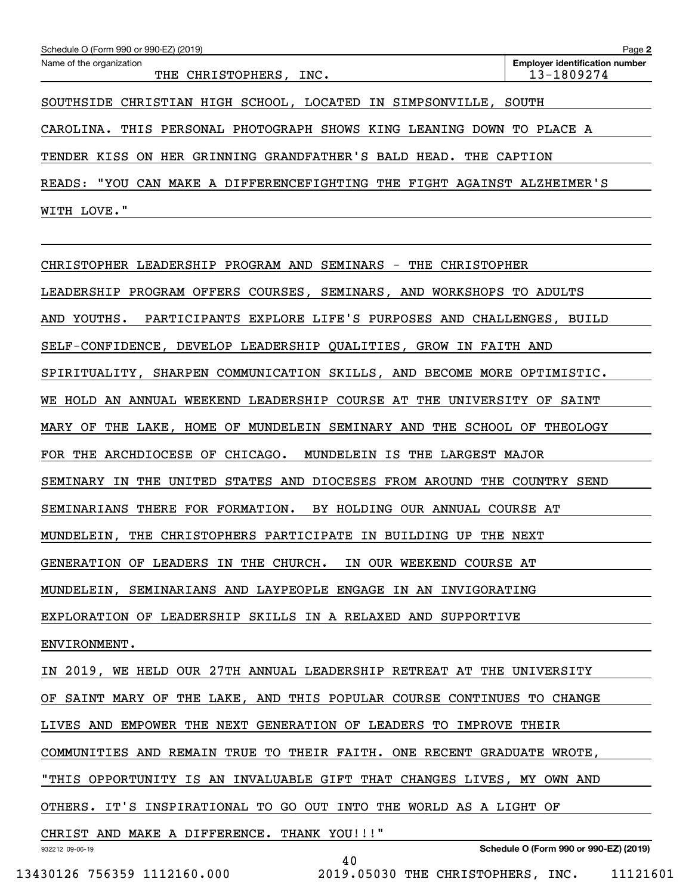| Schedule O (Form 990 or 990-EZ) (2019)                                      | Page 2                                              |  |  |  |
|-----------------------------------------------------------------------------|-----------------------------------------------------|--|--|--|
| Name of the organization<br>THE CHRISTOPHERS, INC.                          | <b>Employer identification number</b><br>13-1809274 |  |  |  |
| SOUTHSIDE CHRISTIAN HIGH SCHOOL, LOCATED IN SIMPSONVILLE, SOUTH             |                                                     |  |  |  |
| CAROLINA. THIS PERSONAL PHOTOGRAPH SHOWS KING LEANING DOWN TO PLACE A       |                                                     |  |  |  |
| TENDER KISS ON HER GRINNING GRANDFATHER'S BALD HEAD. THE CAPTION            |                                                     |  |  |  |
| "YOU CAN MAKE A DIFFERENCEFIGHTING THE FIGHT AGAINST ALZHEIMER'S<br>READS : |                                                     |  |  |  |
| WITH LOVE."                                                                 |                                                     |  |  |  |
|                                                                             |                                                     |  |  |  |
| CHRISTOPHER LEADERSHIP PROGRAM AND SEMINARS - THE CHRISTOPHER               |                                                     |  |  |  |
| LEADERSHIP PROGRAM OFFERS COURSES, SEMINARS, AND WORKSHOPS TO ADULTS        |                                                     |  |  |  |
| AND YOUTHS.<br>PARTICIPANTS EXPLORE LIFE'S PURPOSES AND CHALLENGES, BUILD   |                                                     |  |  |  |
| SELF-CONFIDENCE, DEVELOP LEADERSHIP QUALITIES, GROW IN FAITH AND            |                                                     |  |  |  |
| SPIRITUALITY, SHARPEN COMMUNICATION SKILLS, AND BECOME MORE OPTIMISTIC.     |                                                     |  |  |  |
| WE HOLD AN ANNUAL WEEKEND LEADERSHIP COURSE AT THE UNIVERSITY OF SAINT      |                                                     |  |  |  |
| MARY OF THE LAKE, HOME OF MUNDELEIN SEMINARY AND THE SCHOOL OF THEOLOGY     |                                                     |  |  |  |
| FOR THE ARCHDIOCESE OF CHICAGO.<br>MUNDELEIN IS THE LARGEST MAJOR           |                                                     |  |  |  |
| SEMINARY IN THE UNITED STATES AND DIOCESES FROM AROUND THE COUNTRY SEND     |                                                     |  |  |  |
| SEMINARIANS THERE FOR FORMATION. BY HOLDING OUR ANNUAL COURSE AT            |                                                     |  |  |  |
| MUNDELEIN, THE CHRISTOPHERS PARTICIPATE IN BUILDING UP THE NEXT             |                                                     |  |  |  |
| GENERATION OF LEADERS IN THE CHURCH. IN OUR WEEKEND COURSE AT               |                                                     |  |  |  |
| MUNDELEIN, SEMINARIANS AND LAYPEOPLE ENGAGE IN AN INVIGORATING              |                                                     |  |  |  |
| EXPLORATION OF LEADERSHIP SKILLS IN A RELAXED AND SUPPORTIVE                |                                                     |  |  |  |
| ENVIRONMENT.                                                                |                                                     |  |  |  |
| IN 2019, WE HELD OUR 27TH ANNUAL LEADERSHIP RETREAT AT THE UNIVERSITY       |                                                     |  |  |  |

OF SAINT MARY OF THE LAKE, AND THIS POPULAR COURSE CONTINUES TO CHANGE

LIVES AND EMPOWER THE NEXT GENERATION OF LEADERS TO IMPROVE THEIR

COMMUNITIES AND REMAIN TRUE TO THEIR FAITH. ONE RECENT GRADUATE WROTE,

"THIS OPPORTUNITY IS AN INVALUABLE GIFT THAT CHANGES LIVES, MY OWN AND

OTHERS. IT'S INSPIRATIONAL TO GO OUT INTO THE WORLD AS A LIGHT OF

CHRIST AND MAKE A DIFFERENCE. THANK YOU!!!"

932212 09-06-19

**Schedule O (Form 990 or 990-EZ) (2019)**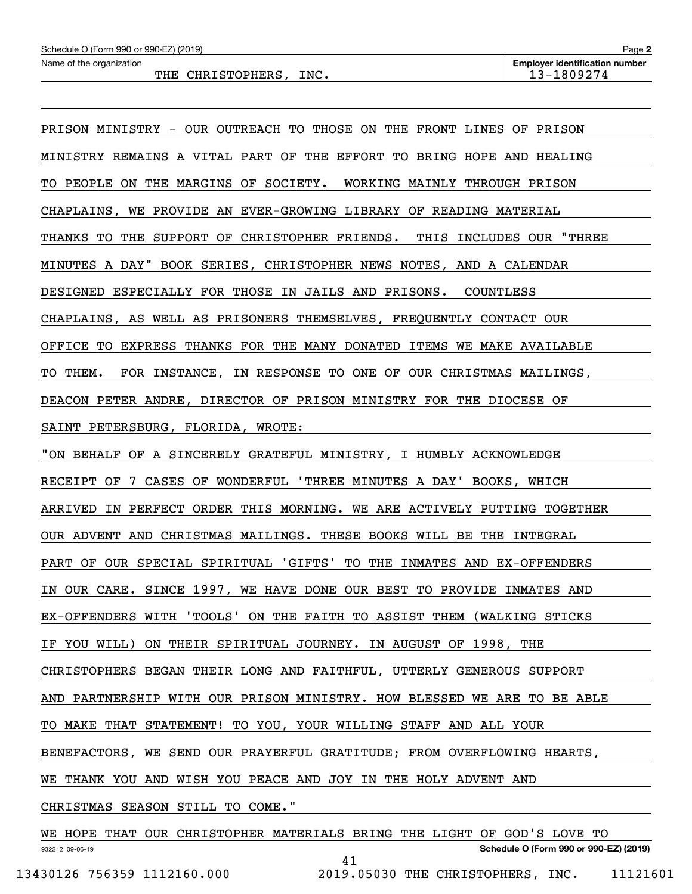| PRISON MINISTRY - OUR OUTREACH TO THOSE ON THE FRONT LINES OF PRISON    |
|-------------------------------------------------------------------------|
| MINISTRY REMAINS A VITAL PART OF THE EFFORT TO BRING HOPE AND HEALING   |
| TO PEOPLE ON THE MARGINS OF SOCIETY. WORKING MAINLY THROUGH PRISON      |
| CHAPLAINS, WE PROVIDE AN EVER-GROWING LIBRARY OF READING MATERIAL       |
| THANKS TO THE SUPPORT OF CHRISTOPHER FRIENDS. THIS INCLUDES OUR "THREE  |
| MINUTES A DAY" BOOK SERIES, CHRISTOPHER NEWS NOTES, AND A CALENDAR      |
| DESIGNED ESPECIALLY FOR THOSE IN JAILS AND PRISONS. COUNTLESS           |
| CHAPLAINS, AS WELL AS PRISONERS THEMSELVES, FREQUENTLY CONTACT OUR      |
| OFFICE TO EXPRESS THANKS FOR THE MANY DONATED ITEMS WE MAKE AVAILABLE   |
| TO THEM. FOR INSTANCE, IN RESPONSE TO ONE OF OUR CHRISTMAS MAILINGS,    |
| DEACON PETER ANDRE, DIRECTOR OF PRISON MINISTRY FOR THE DIOCESE OF      |
| SAINT PETERSBURG, FLORIDA, WROTE:                                       |
| "ON BEHALF OF A SINCERELY GRATEFUL MINISTRY, I HUMBLY ACKNOWLEDGE       |
| RECEIPT OF 7 CASES OF WONDERFUL 'THREE MINUTES A DAY' BOOKS, WHICH      |
| ARRIVED IN PERFECT ORDER THIS MORNING. WE ARE ACTIVELY PUTTING TOGETHER |
| OUR ADVENT AND CHRISTMAS MAILINGS. THESE BOOKS WILL BE THE INTEGRAL     |
| PART OF OUR SPECIAL SPIRITUAL 'GIFTS' TO THE INMATES AND EX-OFFENDERS   |
| IN OUR CARE. SINCE 1997, WE HAVE DONE OUR BEST TO PROVIDE INMATES AND   |
| EX-OFFENDERS WITH 'TOOLS' ON THE FAITH TO ASSIST THEM (WALKING STICKS   |
| IF YOU WILL) ON THEIR SPIRITUAL JOURNEY. IN AUGUST OF 1998, THE         |
| CHRISTOPHERS BEGAN THEIR LONG AND FAITHFUL, UTTERLY GENEROUS SUPPORT    |
| AND PARTNERSHIP WITH OUR PRISON MINISTRY. HOW BLESSED WE ARE TO BE ABLE |
| TO MAKE THAT STATEMENT! TO YOU, YOUR WILLING STAFF AND ALL YOUR         |
| BENEFACTORS, WE SEND OUR PRAYERFUL GRATITUDE; FROM OVERFLOWING HEARTS,  |
| WE THANK YOU AND WISH YOU PEACE AND JOY IN THE HOLY ADVENT AND          |
| CHRISTMAS SEASON STILL TO COME."                                        |
| WE HOPE THAT OUR CHRISTOPHER MATERIALS BRING THE LIGHT OF GOD'S LOVE TO |

41 13430126 756359 1112160.000 2019.05030 THE CHRISTOPHERS, INC. 11121601

932212 09-06-19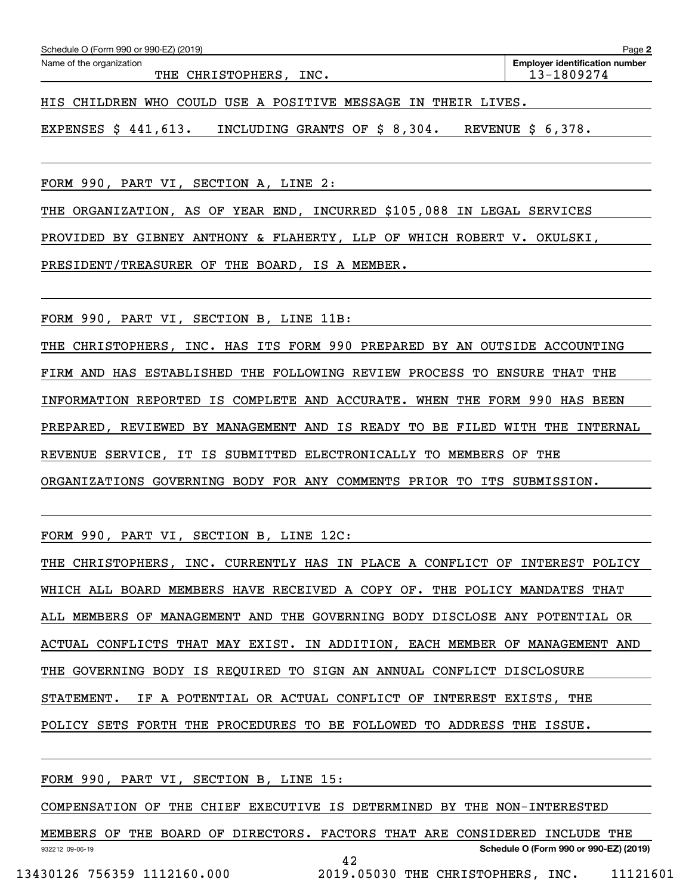| Schedule O (Form 990 or 990-EZ) (2019)<br>Page 2              |                                                     |  |  |  |  |  |
|---------------------------------------------------------------|-----------------------------------------------------|--|--|--|--|--|
| Name of the organization<br>THE CHRISTOPHERS, INC.            | <b>Employer identification number</b><br>13-1809274 |  |  |  |  |  |
| HIS CHILDREN WHO COULD USE A POSITIVE MESSAGE IN THEIR LIVES. |                                                     |  |  |  |  |  |

EXPENSES \$ 441,613. INCLUDING GRANTS OF \$ 8,304. REVENUE \$ 6,378.

FORM 990, PART VI, SECTION A, LINE 2:

THE ORGANIZATION, AS OF YEAR END, INCURRED \$105,088 IN LEGAL SERVICES

PROVIDED BY GIBNEY ANTHONY & FLAHERTY, LLP OF WHICH ROBERT V. OKULSKI,

PRESIDENT/TREASURER OF THE BOARD, IS A MEMBER.

FORM 990, PART VI, SECTION B, LINE 11B:

THE CHRISTOPHERS, INC. HAS ITS FORM 990 PREPARED BY AN OUTSIDE ACCOUNTING FIRM AND HAS ESTABLISHED THE FOLLOWING REVIEW PROCESS TO ENSURE THAT THE INFORMATION REPORTED IS COMPLETE AND ACCURATE. WHEN THE FORM 990 HAS BEEN PREPARED, REVIEWED BY MANAGEMENT AND IS READY TO BE FILED WITH THE INTERNAL REVENUE SERVICE, IT IS SUBMITTED ELECTRONICALLY TO MEMBERS OF THE ORGANIZATIONS GOVERNING BODY FOR ANY COMMENTS PRIOR TO ITS SUBMISSION.

FORM 990, PART VI, SECTION B, LINE 12C:

THE CHRISTOPHERS, INC. CURRENTLY HAS IN PLACE A CONFLICT OF INTEREST POLICY WHICH ALL BOARD MEMBERS HAVE RECEIVED A COPY OF. THE POLICY MANDATES THAT ALL MEMBERS OF MANAGEMENT AND THE GOVERNING BODY DISCLOSE ANY POTENTIAL OR ACTUAL CONFLICTS THAT MAY EXIST. IN ADDITION, EACH MEMBER OF MANAGEMENT AND THE GOVERNING BODY IS REQUIRED TO SIGN AN ANNUAL CONFLICT DISCLOSURE STATEMENT. IF A POTENTIAL OR ACTUAL CONFLICT OF INTEREST EXISTS, THE POLICY SETS FORTH THE PROCEDURES TO BE FOLLOWED TO ADDRESS THE ISSUE.

932212 09-06-19 **Schedule O (Form 990 or 990-EZ) (2019)** FORM 990, PART VI, SECTION B, LINE 15: COMPENSATION OF THE CHIEF EXECUTIVE IS DETERMINED BY THE NON-INTERESTED MEMBERS OF THE BOARD OF DIRECTORS. FACTORS THAT ARE CONSIDERED INCLUDE THE

42

13430126 756359 1112160.000 2019.05030 THE CHRISTOPHERS, INC. 11121601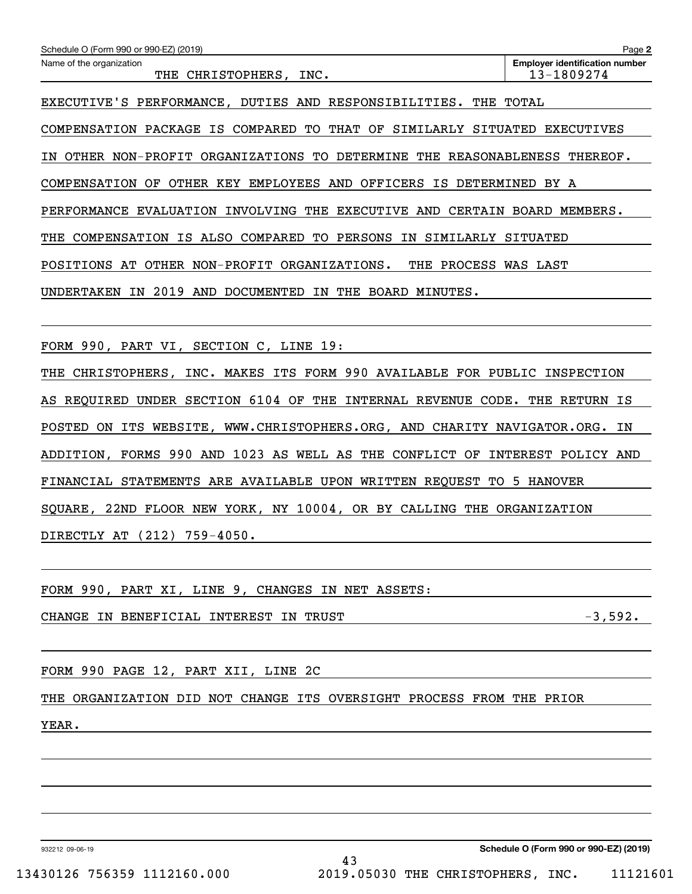| Schedule O (Form 990 or 990-EZ) (2019)                                                               | Page 2                                              |
|------------------------------------------------------------------------------------------------------|-----------------------------------------------------|
| Name of the organization<br>CHRISTOPHERS, INC.<br>THE                                                | <b>Employer identification number</b><br>13-1809274 |
| EXECUTIVE'S PERFORMANCE, DUTIES AND RESPONSIBILITIES.<br>THE                                         | TOTAL                                               |
| COMPENSATION PACKAGE<br>IS COMPARED<br>TO<br>THAT OF<br>SIMILARLY<br>SITUATED                        | EXECUTIVES                                          |
| DETERMINE<br>OTHER NON-PROFIT<br>ORGANIZATIONS TO<br>THE<br>REASONABLENESS<br>ΙN                     | THEREOF.                                            |
| EMPLOYEES AND<br>OFFICERS<br>DETERMINED<br>COMPENSATION<br>OF<br>OTHER KEY<br>IS                     | BY A                                                |
| INVOLVING<br>EXECUTIVE<br>CERTAIN<br>PERFORMANCE<br>EVALUATION<br>THE<br>AND                         | <b>BOARD</b><br>MEMBERS.                            |
| COMPENSATION<br>IS ALSO<br>COMPARED TO<br>PERSONS<br>SIMILARLY<br>THE<br>IN                          | SITUATED                                            |
| PROCESS<br>POSITIONS<br>OTHER NON-PROFIT<br>ORGANIZATIONS.<br>AT<br>THE                              | WAS LAST                                            |
| 2019<br>AND<br><b>DOCUMENTED</b><br><b>UNDERTAKEN</b><br>ΙN<br>IN<br>THE<br><b>BOARD</b><br>MINUTES. |                                                     |
|                                                                                                      |                                                     |
|                                                                                                      |                                                     |

FORM 990, PART VI, SECTION C, LINE 19:

THE CHRISTOPHERS, INC. MAKES ITS FORM 990 AVAILABLE FOR PUBLIC INSPECTION AS REQUIRED UNDER SECTION 6104 OF THE INTERNAL REVENUE CODE. THE RETURN IS POSTED ON ITS WEBSITE, WWW.CHRISTOPHERS.ORG, AND CHARITY NAVIGATOR.ORG. IN ADDITION, FORMS 990 AND 1023 AS WELL AS THE CONFLICT OF INTEREST POLICY AND FINANCIAL STATEMENTS ARE AVAILABLE UPON WRITTEN REQUEST TO 5 HANOVER SQUARE, 22ND FLOOR NEW YORK, NY 10004, OR BY CALLING THE ORGANIZATION DIRECTLY AT (212) 759-4050.

FORM 990, PART XI, LINE 9, CHANGES IN NET ASSETS:

CHANGE IN BENEFICIAL INTEREST IN TRUST  $-3,592$ .

FORM 990 PAGE 12, PART XII, LINE 2C

THE ORGANIZATION DID NOT CHANGE ITS OVERSIGHT PROCESS FROM THE PRIOR

YEAR.

932212 09-06-19